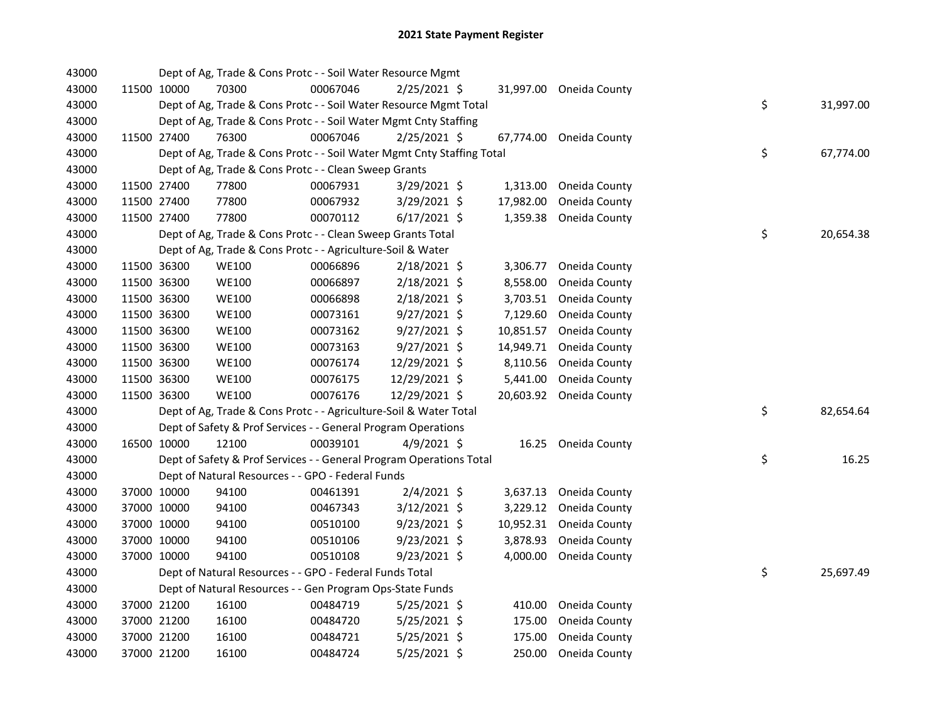| 43000 |             | Dept of Ag, Trade & Cons Protc - - Soil Water Resource Mgmt            |          |                |           |                         |    |           |
|-------|-------------|------------------------------------------------------------------------|----------|----------------|-----------|-------------------------|----|-----------|
| 43000 | 11500 10000 | 70300                                                                  | 00067046 | 2/25/2021 \$   |           | 31,997.00 Oneida County |    |           |
| 43000 |             | Dept of Ag, Trade & Cons Protc - - Soil Water Resource Mgmt Total      |          |                |           |                         | \$ | 31,997.00 |
| 43000 |             | Dept of Ag, Trade & Cons Protc - - Soil Water Mgmt Cnty Staffing       |          |                |           |                         |    |           |
| 43000 | 11500 27400 | 76300                                                                  | 00067046 | 2/25/2021 \$   |           | 67,774.00 Oneida County |    |           |
| 43000 |             | Dept of Ag, Trade & Cons Protc - - Soil Water Mgmt Cnty Staffing Total |          |                |           |                         | \$ | 67,774.00 |
| 43000 |             | Dept of Ag, Trade & Cons Protc - - Clean Sweep Grants                  |          |                |           |                         |    |           |
| 43000 | 11500 27400 | 77800                                                                  | 00067931 | $3/29/2021$ \$ |           | 1,313.00 Oneida County  |    |           |
| 43000 | 11500 27400 | 77800                                                                  | 00067932 | 3/29/2021 \$   | 17,982.00 | Oneida County           |    |           |
| 43000 | 11500 27400 | 77800                                                                  | 00070112 | $6/17/2021$ \$ | 1,359.38  | Oneida County           |    |           |
| 43000 |             | Dept of Ag, Trade & Cons Protc - - Clean Sweep Grants Total            |          |                |           |                         | \$ | 20,654.38 |
| 43000 |             | Dept of Ag, Trade & Cons Protc - - Agriculture-Soil & Water            |          |                |           |                         |    |           |
| 43000 | 11500 36300 | <b>WE100</b>                                                           | 00066896 | 2/18/2021 \$   | 3,306.77  | Oneida County           |    |           |
| 43000 | 11500 36300 | <b>WE100</b>                                                           | 00066897 | $2/18/2021$ \$ | 8,558.00  | Oneida County           |    |           |
| 43000 | 11500 36300 | <b>WE100</b>                                                           | 00066898 | 2/18/2021 \$   | 3,703.51  | Oneida County           |    |           |
| 43000 | 11500 36300 | <b>WE100</b>                                                           | 00073161 | $9/27/2021$ \$ | 7,129.60  | Oneida County           |    |           |
| 43000 | 11500 36300 | <b>WE100</b>                                                           | 00073162 | $9/27/2021$ \$ | 10,851.57 | Oneida County           |    |           |
| 43000 | 11500 36300 | <b>WE100</b>                                                           | 00073163 | $9/27/2021$ \$ | 14,949.71 | Oneida County           |    |           |
| 43000 | 11500 36300 | <b>WE100</b>                                                           | 00076174 | 12/29/2021 \$  | 8,110.56  | Oneida County           |    |           |
| 43000 | 11500 36300 | <b>WE100</b>                                                           | 00076175 | 12/29/2021 \$  | 5,441.00  | Oneida County           |    |           |
| 43000 | 11500 36300 | <b>WE100</b>                                                           | 00076176 | 12/29/2021 \$  |           | 20,603.92 Oneida County |    |           |
| 43000 |             | Dept of Ag, Trade & Cons Protc - - Agriculture-Soil & Water Total      |          |                |           |                         | \$ | 82,654.64 |
| 43000 |             | Dept of Safety & Prof Services - - General Program Operations          |          |                |           |                         |    |           |
| 43000 | 16500 10000 | 12100                                                                  | 00039101 | 4/9/2021 \$    |           | 16.25 Oneida County     |    |           |
| 43000 |             | Dept of Safety & Prof Services - - General Program Operations Total    |          |                |           |                         | \$ | 16.25     |
| 43000 |             | Dept of Natural Resources - - GPO - Federal Funds                      |          |                |           |                         |    |           |
| 43000 | 37000 10000 | 94100                                                                  | 00461391 | $2/4/2021$ \$  |           | 3,637.13 Oneida County  |    |           |
| 43000 | 37000 10000 | 94100                                                                  | 00467343 | 3/12/2021 \$   |           | 3,229.12 Oneida County  |    |           |
| 43000 | 37000 10000 | 94100                                                                  | 00510100 | $9/23/2021$ \$ |           | 10,952.31 Oneida County |    |           |
| 43000 | 37000 10000 | 94100                                                                  | 00510106 | $9/23/2021$ \$ |           | 3,878.93 Oneida County  |    |           |
| 43000 | 37000 10000 | 94100                                                                  | 00510108 | $9/23/2021$ \$ | 4,000.00  | Oneida County           |    |           |
| 43000 |             | Dept of Natural Resources - - GPO - Federal Funds Total                |          |                |           |                         | \$ | 25,697.49 |
| 43000 |             | Dept of Natural Resources - - Gen Program Ops-State Funds              |          |                |           |                         |    |           |
| 43000 | 37000 21200 | 16100                                                                  | 00484719 | $5/25/2021$ \$ | 410.00    | Oneida County           |    |           |
| 43000 | 37000 21200 | 16100                                                                  | 00484720 | 5/25/2021 \$   | 175.00    | Oneida County           |    |           |
| 43000 | 37000 21200 | 16100                                                                  | 00484721 | $5/25/2021$ \$ | 175.00    | Oneida County           |    |           |
| 43000 | 37000 21200 | 16100                                                                  | 00484724 | 5/25/2021 \$   | 250.00    | Oneida County           |    |           |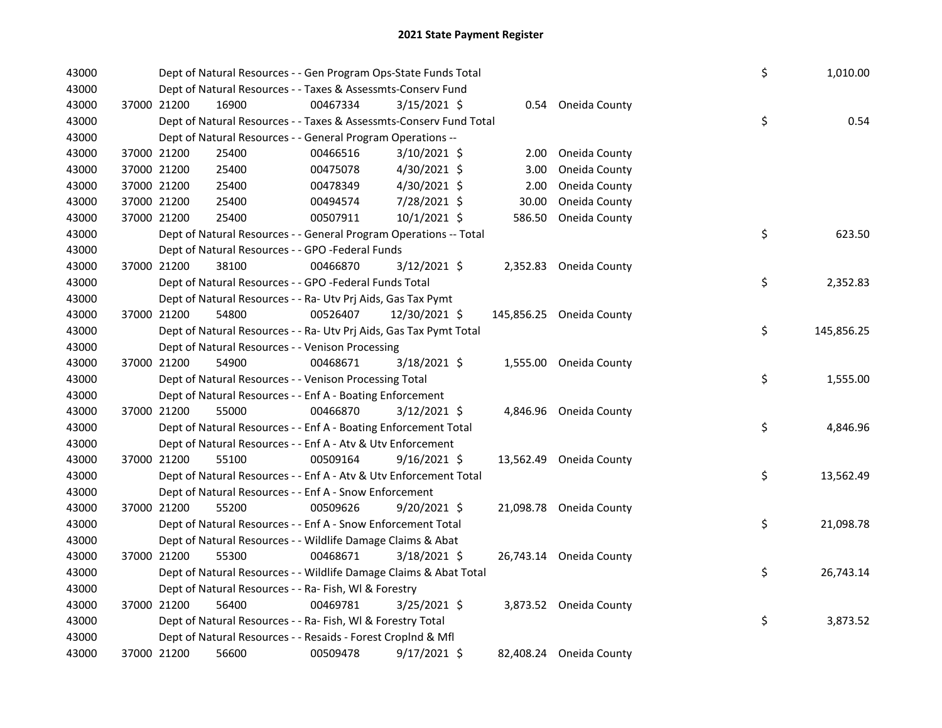| 43000 |             | Dept of Natural Resources - - Gen Program Ops-State Funds Total<br>Dept of Natural Resources - - Taxes & Assessmts-Conserv Fund |          |                |  |        |                          |  | \$<br>1,010.00   |
|-------|-------------|---------------------------------------------------------------------------------------------------------------------------------|----------|----------------|--|--------|--------------------------|--|------------------|
| 43000 |             |                                                                                                                                 |          |                |  |        |                          |  |                  |
| 43000 | 37000 21200 | 16900                                                                                                                           | 00467334 | 3/15/2021 \$   |  |        | 0.54 Oneida County       |  |                  |
| 43000 |             | Dept of Natural Resources - - Taxes & Assessmts-Conserv Fund Total                                                              |          |                |  |        |                          |  | \$<br>0.54       |
| 43000 |             | Dept of Natural Resources - - General Program Operations --                                                                     |          |                |  |        |                          |  |                  |
| 43000 | 37000 21200 | 25400                                                                                                                           | 00466516 | 3/10/2021 \$   |  | 2.00   | Oneida County            |  |                  |
| 43000 | 37000 21200 | 25400                                                                                                                           | 00475078 | 4/30/2021 \$   |  | 3.00   | Oneida County            |  |                  |
| 43000 | 37000 21200 | 25400                                                                                                                           | 00478349 | 4/30/2021 \$   |  | 2.00   | Oneida County            |  |                  |
| 43000 | 37000 21200 | 25400                                                                                                                           | 00494574 | 7/28/2021 \$   |  | 30.00  | Oneida County            |  |                  |
| 43000 | 37000 21200 | 25400                                                                                                                           | 00507911 | 10/1/2021 \$   |  | 586.50 | Oneida County            |  |                  |
| 43000 |             | Dept of Natural Resources - - General Program Operations -- Total                                                               |          |                |  |        |                          |  | \$<br>623.50     |
| 43000 |             | Dept of Natural Resources - - GPO -Federal Funds                                                                                |          |                |  |        |                          |  |                  |
| 43000 | 37000 21200 | 38100                                                                                                                           | 00466870 | 3/12/2021 \$   |  |        | 2,352.83 Oneida County   |  |                  |
| 43000 |             | Dept of Natural Resources - - GPO -Federal Funds Total                                                                          |          |                |  |        |                          |  | \$<br>2,352.83   |
| 43000 |             | Dept of Natural Resources - - Ra- Utv Prj Aids, Gas Tax Pymt                                                                    |          |                |  |        |                          |  |                  |
| 43000 | 37000 21200 | 54800                                                                                                                           | 00526407 | 12/30/2021 \$  |  |        | 145,856.25 Oneida County |  |                  |
| 43000 |             | Dept of Natural Resources - - Ra- Utv Prj Aids, Gas Tax Pymt Total                                                              |          |                |  |        |                          |  | \$<br>145,856.25 |
| 43000 |             | Dept of Natural Resources - - Venison Processing                                                                                |          |                |  |        |                          |  |                  |
| 43000 | 37000 21200 | 54900                                                                                                                           | 00468671 | 3/18/2021 \$   |  |        | 1,555.00 Oneida County   |  |                  |
| 43000 |             | Dept of Natural Resources - - Venison Processing Total                                                                          |          |                |  |        |                          |  | \$<br>1,555.00   |
| 43000 |             | Dept of Natural Resources - - Enf A - Boating Enforcement                                                                       |          |                |  |        |                          |  |                  |
| 43000 | 37000 21200 | 55000                                                                                                                           | 00466870 | $3/12/2021$ \$ |  |        | 4,846.96 Oneida County   |  |                  |
| 43000 |             | Dept of Natural Resources - - Enf A - Boating Enforcement Total                                                                 |          |                |  |        |                          |  | \$<br>4,846.96   |
| 43000 |             | Dept of Natural Resources - - Enf A - Atv & Utv Enforcement                                                                     |          |                |  |        |                          |  |                  |
| 43000 | 37000 21200 | 55100                                                                                                                           | 00509164 | $9/16/2021$ \$ |  |        | 13,562.49 Oneida County  |  |                  |
| 43000 |             | Dept of Natural Resources - - Enf A - Atv & Utv Enforcement Total                                                               |          |                |  |        |                          |  | \$<br>13,562.49  |
| 43000 |             | Dept of Natural Resources - - Enf A - Snow Enforcement                                                                          |          |                |  |        |                          |  |                  |
| 43000 | 37000 21200 | 55200                                                                                                                           | 00509626 | 9/20/2021 \$   |  |        | 21,098.78 Oneida County  |  |                  |
| 43000 |             | Dept of Natural Resources - - Enf A - Snow Enforcement Total                                                                    |          |                |  |        |                          |  | \$<br>21,098.78  |
| 43000 |             | Dept of Natural Resources - - Wildlife Damage Claims & Abat                                                                     |          |                |  |        |                          |  |                  |
| 43000 | 37000 21200 | 55300                                                                                                                           | 00468671 | 3/18/2021 \$   |  |        | 26,743.14 Oneida County  |  |                  |
| 43000 |             | Dept of Natural Resources - - Wildlife Damage Claims & Abat Total                                                               |          |                |  |        |                          |  | \$<br>26,743.14  |
| 43000 |             | Dept of Natural Resources - - Ra- Fish, WI & Forestry                                                                           |          |                |  |        |                          |  |                  |
| 43000 | 37000 21200 | 56400                                                                                                                           | 00469781 | $3/25/2021$ \$ |  |        | 3,873.52 Oneida County   |  |                  |
| 43000 |             | Dept of Natural Resources - - Ra- Fish, WI & Forestry Total                                                                     |          |                |  |        |                          |  | \$<br>3,873.52   |
| 43000 |             | Dept of Natural Resources - - Resaids - Forest CropInd & Mfl                                                                    |          |                |  |        |                          |  |                  |
| 43000 | 37000 21200 | 56600                                                                                                                           | 00509478 | $9/17/2021$ \$ |  |        | 82,408.24 Oneida County  |  |                  |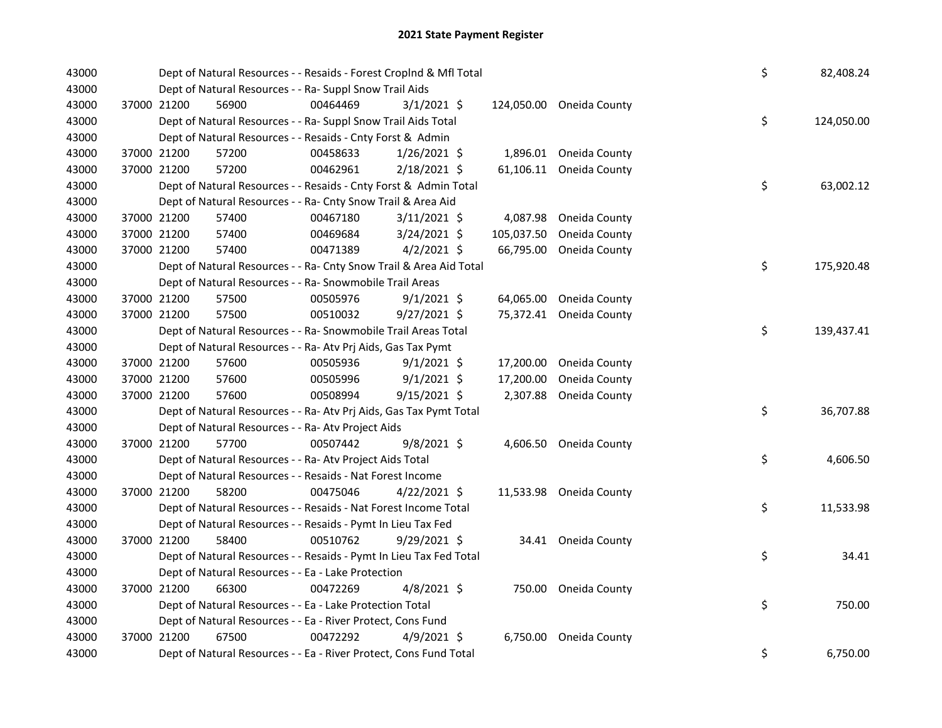| 43000 |             | Dept of Natural Resources - - Resaids - Forest CropInd & Mfl Total                                                        |          |                |  |            |                         |  |    | 82,408.24  |
|-------|-------------|---------------------------------------------------------------------------------------------------------------------------|----------|----------------|--|------------|-------------------------|--|----|------------|
| 43000 |             | Dept of Natural Resources - - Ra- Suppl Snow Trail Aids<br>56900<br>00464469<br>$3/1/2021$ \$<br>124,050.00 Oneida County |          |                |  |            |                         |  |    |            |
| 43000 | 37000 21200 |                                                                                                                           |          |                |  |            |                         |  |    |            |
| 43000 |             | Dept of Natural Resources - - Ra- Suppl Snow Trail Aids Total                                                             |          |                |  |            |                         |  | \$ | 124,050.00 |
| 43000 |             | Dept of Natural Resources - - Resaids - Cnty Forst & Admin                                                                |          |                |  |            |                         |  |    |            |
| 43000 | 37000 21200 | 57200                                                                                                                     | 00458633 | $1/26/2021$ \$ |  |            | 1,896.01 Oneida County  |  |    |            |
| 43000 | 37000 21200 | 57200                                                                                                                     | 00462961 | $2/18/2021$ \$ |  |            | 61,106.11 Oneida County |  |    |            |
| 43000 |             | Dept of Natural Resources - - Resaids - Cnty Forst & Admin Total                                                          |          |                |  |            |                         |  | \$ | 63,002.12  |
| 43000 |             | Dept of Natural Resources - - Ra- Cnty Snow Trail & Area Aid                                                              |          |                |  |            |                         |  |    |            |
| 43000 | 37000 21200 | 57400                                                                                                                     | 00467180 | $3/11/2021$ \$ |  |            | 4,087.98 Oneida County  |  |    |            |
| 43000 | 37000 21200 | 57400                                                                                                                     | 00469684 | 3/24/2021 \$   |  | 105,037.50 | Oneida County           |  |    |            |
| 43000 | 37000 21200 | 57400                                                                                                                     | 00471389 | 4/2/2021 \$    |  | 66,795.00  | Oneida County           |  |    |            |
| 43000 |             | Dept of Natural Resources - - Ra- Cnty Snow Trail & Area Aid Total                                                        |          |                |  |            |                         |  | \$ | 175,920.48 |
| 43000 |             | Dept of Natural Resources - - Ra- Snowmobile Trail Areas                                                                  |          |                |  |            |                         |  |    |            |
| 43000 | 37000 21200 | 57500                                                                                                                     | 00505976 | $9/1/2021$ \$  |  |            | 64,065.00 Oneida County |  |    |            |
| 43000 | 37000 21200 | 57500                                                                                                                     | 00510032 | $9/27/2021$ \$ |  |            | 75,372.41 Oneida County |  |    |            |
| 43000 |             | Dept of Natural Resources - - Ra- Snowmobile Trail Areas Total                                                            |          |                |  |            |                         |  | \$ | 139,437.41 |
| 43000 |             | Dept of Natural Resources - - Ra- Atv Prj Aids, Gas Tax Pymt                                                              |          |                |  |            |                         |  |    |            |
| 43000 | 37000 21200 | 57600                                                                                                                     | 00505936 | $9/1/2021$ \$  |  | 17,200.00  | Oneida County           |  |    |            |
| 43000 | 37000 21200 | 57600                                                                                                                     | 00505996 | $9/1/2021$ \$  |  | 17,200.00  | Oneida County           |  |    |            |
| 43000 | 37000 21200 | 57600                                                                                                                     | 00508994 | $9/15/2021$ \$ |  | 2,307.88   | Oneida County           |  |    |            |
| 43000 |             | Dept of Natural Resources - - Ra- Atv Prj Aids, Gas Tax Pymt Total                                                        |          |                |  |            |                         |  | \$ | 36,707.88  |
| 43000 |             | Dept of Natural Resources - - Ra- Atv Project Aids                                                                        |          |                |  |            |                         |  |    |            |
| 43000 | 37000 21200 | 57700                                                                                                                     | 00507442 | $9/8/2021$ \$  |  |            | 4,606.50 Oneida County  |  |    |            |
| 43000 |             | Dept of Natural Resources - - Ra- Atv Project Aids Total                                                                  |          |                |  |            |                         |  | \$ | 4,606.50   |
| 43000 |             | Dept of Natural Resources - - Resaids - Nat Forest Income                                                                 |          |                |  |            |                         |  |    |            |
| 43000 | 37000 21200 | 58200                                                                                                                     | 00475046 | $4/22/2021$ \$ |  |            | 11,533.98 Oneida County |  |    |            |
| 43000 |             | Dept of Natural Resources - - Resaids - Nat Forest Income Total                                                           |          |                |  |            |                         |  | \$ | 11,533.98  |
| 43000 |             | Dept of Natural Resources - - Resaids - Pymt In Lieu Tax Fed                                                              |          |                |  |            |                         |  |    |            |
| 43000 | 37000 21200 | 58400                                                                                                                     | 00510762 | 9/29/2021 \$   |  |            | 34.41 Oneida County     |  |    |            |
| 43000 |             | Dept of Natural Resources - - Resaids - Pymt In Lieu Tax Fed Total                                                        |          |                |  |            |                         |  | \$ | 34.41      |
| 43000 |             | Dept of Natural Resources - - Ea - Lake Protection                                                                        |          |                |  |            |                         |  |    |            |
| 43000 | 37000 21200 | 66300                                                                                                                     | 00472269 | $4/8/2021$ \$  |  |            | 750.00 Oneida County    |  |    |            |
| 43000 |             | Dept of Natural Resources - - Ea - Lake Protection Total                                                                  |          |                |  |            |                         |  | \$ | 750.00     |
| 43000 |             | Dept of Natural Resources - - Ea - River Protect, Cons Fund                                                               |          |                |  |            |                         |  |    |            |
| 43000 | 37000 21200 | 67500                                                                                                                     | 00472292 | $4/9/2021$ \$  |  |            | 6,750.00 Oneida County  |  |    |            |
| 43000 |             | Dept of Natural Resources - - Ea - River Protect, Cons Fund Total                                                         |          |                |  |            |                         |  | \$ | 6,750.00   |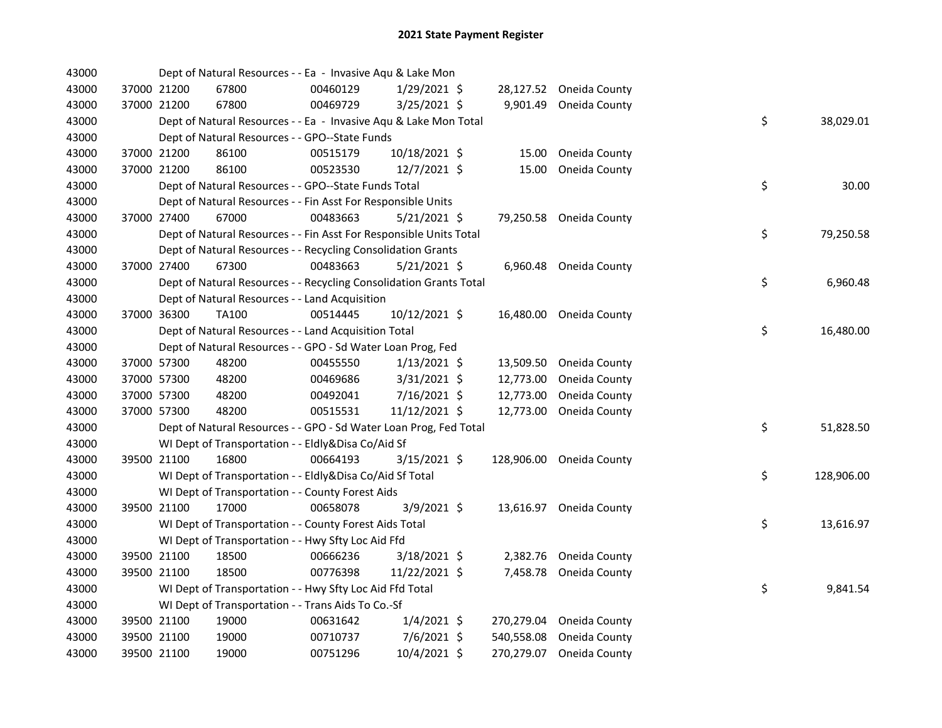| 43000 |             | Dept of Natural Resources - - Ea - Invasive Aqu & Lake Mon         |          |                |            |                          |    |            |
|-------|-------------|--------------------------------------------------------------------|----------|----------------|------------|--------------------------|----|------------|
| 43000 | 37000 21200 | 67800                                                              | 00460129 | 1/29/2021 \$   |            | 28,127.52 Oneida County  |    |            |
| 43000 | 37000 21200 | 67800                                                              | 00469729 | 3/25/2021 \$   | 9,901.49   | Oneida County            |    |            |
| 43000 |             | Dept of Natural Resources - - Ea - Invasive Aqu & Lake Mon Total   |          |                |            |                          | \$ | 38,029.01  |
| 43000 |             | Dept of Natural Resources - - GPO--State Funds                     |          |                |            |                          |    |            |
| 43000 | 37000 21200 | 86100                                                              | 00515179 | 10/18/2021 \$  | 15.00      | Oneida County            |    |            |
| 43000 | 37000 21200 | 86100                                                              | 00523530 | 12/7/2021 \$   | 15.00      | Oneida County            |    |            |
| 43000 |             | Dept of Natural Resources - - GPO--State Funds Total               |          |                |            |                          | \$ | 30.00      |
| 43000 |             | Dept of Natural Resources - - Fin Asst For Responsible Units       |          |                |            |                          |    |            |
| 43000 | 37000 27400 | 67000                                                              | 00483663 | $5/21/2021$ \$ |            | 79,250.58 Oneida County  |    |            |
| 43000 |             | Dept of Natural Resources - - Fin Asst For Responsible Units Total |          |                |            |                          | \$ | 79,250.58  |
| 43000 |             | Dept of Natural Resources - - Recycling Consolidation Grants       |          |                |            |                          |    |            |
| 43000 | 37000 27400 | 67300                                                              | 00483663 | $5/21/2021$ \$ | 6,960.48   | Oneida County            |    |            |
| 43000 |             | Dept of Natural Resources - - Recycling Consolidation Grants Total |          |                |            |                          | \$ | 6,960.48   |
| 43000 |             | Dept of Natural Resources - - Land Acquisition                     |          |                |            |                          |    |            |
| 43000 | 37000 36300 | <b>TA100</b>                                                       | 00514445 | 10/12/2021 \$  |            | 16,480.00 Oneida County  |    |            |
| 43000 |             | Dept of Natural Resources - - Land Acquisition Total               |          |                |            |                          | \$ | 16,480.00  |
| 43000 |             | Dept of Natural Resources - - GPO - Sd Water Loan Prog, Fed        |          |                |            |                          |    |            |
| 43000 | 37000 57300 | 48200                                                              | 00455550 | 1/13/2021 \$   | 13,509.50  | Oneida County            |    |            |
| 43000 | 37000 57300 | 48200                                                              | 00469686 | 3/31/2021 \$   | 12,773.00  | Oneida County            |    |            |
| 43000 | 37000 57300 | 48200                                                              | 00492041 | 7/16/2021 \$   | 12,773.00  | Oneida County            |    |            |
| 43000 | 37000 57300 | 48200                                                              | 00515531 | 11/12/2021 \$  | 12,773.00  | Oneida County            |    |            |
| 43000 |             | Dept of Natural Resources - - GPO - Sd Water Loan Prog, Fed Total  |          |                |            |                          | \$ | 51,828.50  |
| 43000 |             | WI Dept of Transportation - - Eldly&Disa Co/Aid Sf                 |          |                |            |                          |    |            |
| 43000 | 39500 21100 | 16800                                                              | 00664193 | 3/15/2021 \$   |            | 128,906.00 Oneida County |    |            |
| 43000 |             | WI Dept of Transportation - - Eldly&Disa Co/Aid Sf Total           |          |                |            |                          | \$ | 128,906.00 |
| 43000 |             | WI Dept of Transportation - - County Forest Aids                   |          |                |            |                          |    |            |
| 43000 | 39500 21100 | 17000                                                              | 00658078 | $3/9/2021$ \$  |            | 13,616.97 Oneida County  |    |            |
| 43000 |             | WI Dept of Transportation - - County Forest Aids Total             |          |                |            |                          | \$ | 13,616.97  |
| 43000 |             | WI Dept of Transportation - - Hwy Sfty Loc Aid Ffd                 |          |                |            |                          |    |            |
| 43000 | 39500 21100 | 18500                                                              | 00666236 | 3/18/2021 \$   |            | 2,382.76 Oneida County   |    |            |
| 43000 | 39500 21100 | 18500                                                              | 00776398 | 11/22/2021 \$  | 7,458.78   | Oneida County            |    |            |
| 43000 |             | WI Dept of Transportation - - Hwy Sfty Loc Aid Ffd Total           |          |                |            |                          | \$ | 9,841.54   |
| 43000 |             | WI Dept of Transportation - - Trans Aids To Co.-Sf                 |          |                |            |                          |    |            |
| 43000 | 39500 21100 | 19000                                                              | 00631642 | $1/4/2021$ \$  | 270,279.04 | Oneida County            |    |            |
| 43000 | 39500 21100 | 19000                                                              | 00710737 | $7/6/2021$ \$  | 540,558.08 | Oneida County            |    |            |
| 43000 | 39500 21100 | 19000                                                              | 00751296 | 10/4/2021 \$   | 270,279.07 | Oneida County            |    |            |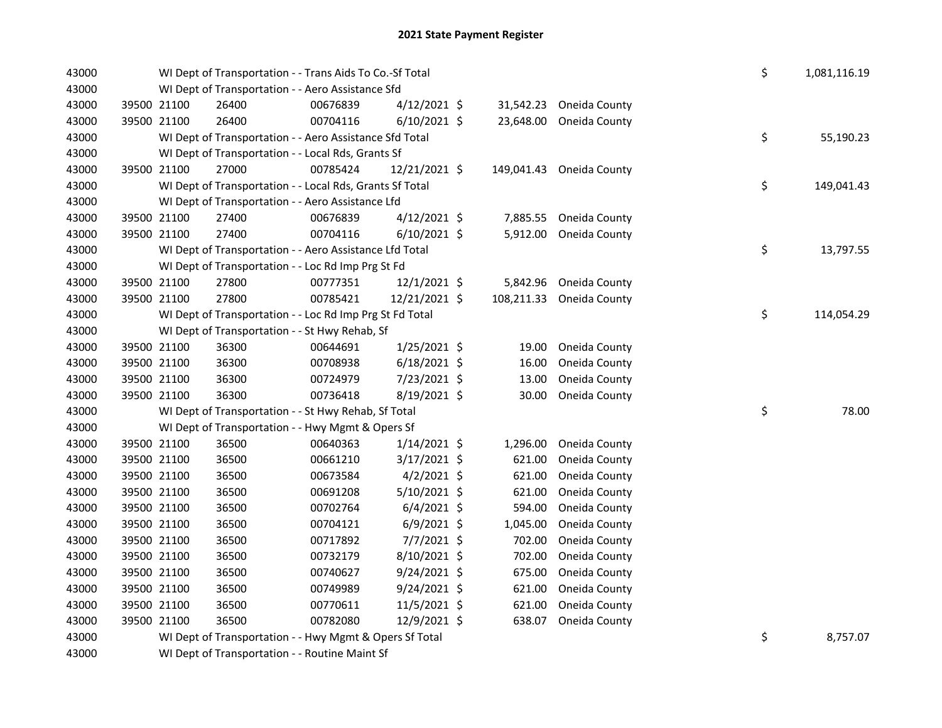| 43000 |             | WI Dept of Transportation - - Trans Aids To Co.-Sf Total<br>WI Dept of Transportation - - Aero Assistance Sfd |          |                |  |            |                          |  |    | 1,081,116.19 |
|-------|-------------|---------------------------------------------------------------------------------------------------------------|----------|----------------|--|------------|--------------------------|--|----|--------------|
| 43000 |             |                                                                                                               |          |                |  |            |                          |  |    |              |
| 43000 | 39500 21100 | 26400                                                                                                         | 00676839 | $4/12/2021$ \$ |  | 31,542.23  | Oneida County            |  |    |              |
| 43000 | 39500 21100 | 26400                                                                                                         | 00704116 | $6/10/2021$ \$ |  | 23,648.00  | Oneida County            |  |    |              |
| 43000 |             | WI Dept of Transportation - - Aero Assistance Sfd Total                                                       |          |                |  |            |                          |  | \$ | 55,190.23    |
| 43000 |             | WI Dept of Transportation - - Local Rds, Grants Sf                                                            |          |                |  |            |                          |  |    |              |
| 43000 | 39500 21100 | 27000                                                                                                         | 00785424 | 12/21/2021 \$  |  |            | 149,041.43 Oneida County |  |    |              |
| 43000 |             | WI Dept of Transportation - - Local Rds, Grants Sf Total                                                      |          |                |  |            |                          |  | \$ | 149,041.43   |
| 43000 |             | WI Dept of Transportation - - Aero Assistance Lfd                                                             |          |                |  |            |                          |  |    |              |
| 43000 | 39500 21100 | 27400                                                                                                         | 00676839 | $4/12/2021$ \$ |  | 7,885.55   | Oneida County            |  |    |              |
| 43000 | 39500 21100 | 27400                                                                                                         | 00704116 | $6/10/2021$ \$ |  | 5,912.00   | Oneida County            |  |    |              |
| 43000 |             | WI Dept of Transportation - - Aero Assistance Lfd Total                                                       |          |                |  |            |                          |  | \$ | 13,797.55    |
| 43000 |             | WI Dept of Transportation - - Loc Rd Imp Prg St Fd                                                            |          |                |  |            |                          |  |    |              |
| 43000 | 39500 21100 | 27800                                                                                                         | 00777351 | 12/1/2021 \$   |  | 5,842.96   | Oneida County            |  |    |              |
| 43000 | 39500 21100 | 27800                                                                                                         | 00785421 | 12/21/2021 \$  |  | 108,211.33 | Oneida County            |  |    |              |
| 43000 |             | WI Dept of Transportation - - Loc Rd Imp Prg St Fd Total                                                      |          |                |  |            |                          |  | \$ | 114,054.29   |
| 43000 |             | WI Dept of Transportation - - St Hwy Rehab, Sf                                                                |          |                |  |            |                          |  |    |              |
| 43000 | 39500 21100 | 36300                                                                                                         | 00644691 | $1/25/2021$ \$ |  | 19.00      | Oneida County            |  |    |              |
| 43000 | 39500 21100 | 36300                                                                                                         | 00708938 | $6/18/2021$ \$ |  | 16.00      | Oneida County            |  |    |              |
| 43000 | 39500 21100 | 36300                                                                                                         | 00724979 | 7/23/2021 \$   |  | 13.00      | Oneida County            |  |    |              |
| 43000 | 39500 21100 | 36300                                                                                                         | 00736418 | 8/19/2021 \$   |  | 30.00      | Oneida County            |  |    |              |
| 43000 |             | WI Dept of Transportation - - St Hwy Rehab, Sf Total                                                          |          |                |  |            |                          |  | \$ | 78.00        |
| 43000 |             | WI Dept of Transportation - - Hwy Mgmt & Opers Sf                                                             |          |                |  |            |                          |  |    |              |
| 43000 | 39500 21100 | 36500                                                                                                         | 00640363 | $1/14/2021$ \$ |  | 1,296.00   | Oneida County            |  |    |              |
| 43000 | 39500 21100 | 36500                                                                                                         | 00661210 | $3/17/2021$ \$ |  | 621.00     | Oneida County            |  |    |              |
| 43000 | 39500 21100 | 36500                                                                                                         | 00673584 | $4/2/2021$ \$  |  | 621.00     | Oneida County            |  |    |              |
| 43000 | 39500 21100 | 36500                                                                                                         | 00691208 | $5/10/2021$ \$ |  | 621.00     | Oneida County            |  |    |              |
| 43000 | 39500 21100 | 36500                                                                                                         | 00702764 | $6/4/2021$ \$  |  | 594.00     | Oneida County            |  |    |              |
| 43000 | 39500 21100 | 36500                                                                                                         | 00704121 | $6/9/2021$ \$  |  | 1,045.00   | Oneida County            |  |    |              |
| 43000 | 39500 21100 | 36500                                                                                                         | 00717892 | $7/7/2021$ \$  |  | 702.00     | Oneida County            |  |    |              |
| 43000 | 39500 21100 | 36500                                                                                                         | 00732179 | 8/10/2021 \$   |  | 702.00     | Oneida County            |  |    |              |
| 43000 | 39500 21100 | 36500                                                                                                         | 00740627 | 9/24/2021 \$   |  | 675.00     | Oneida County            |  |    |              |
| 43000 | 39500 21100 | 36500                                                                                                         | 00749989 | 9/24/2021 \$   |  | 621.00     | Oneida County            |  |    |              |
| 43000 | 39500 21100 | 36500                                                                                                         | 00770611 | 11/5/2021 \$   |  | 621.00     | Oneida County            |  |    |              |
| 43000 | 39500 21100 | 36500                                                                                                         | 00782080 | 12/9/2021 \$   |  | 638.07     | Oneida County            |  |    |              |
| 43000 |             | WI Dept of Transportation - - Hwy Mgmt & Opers Sf Total                                                       |          |                |  |            |                          |  | \$ | 8,757.07     |
| 43000 |             | WI Dept of Transportation - - Routine Maint Sf                                                                |          |                |  |            |                          |  |    |              |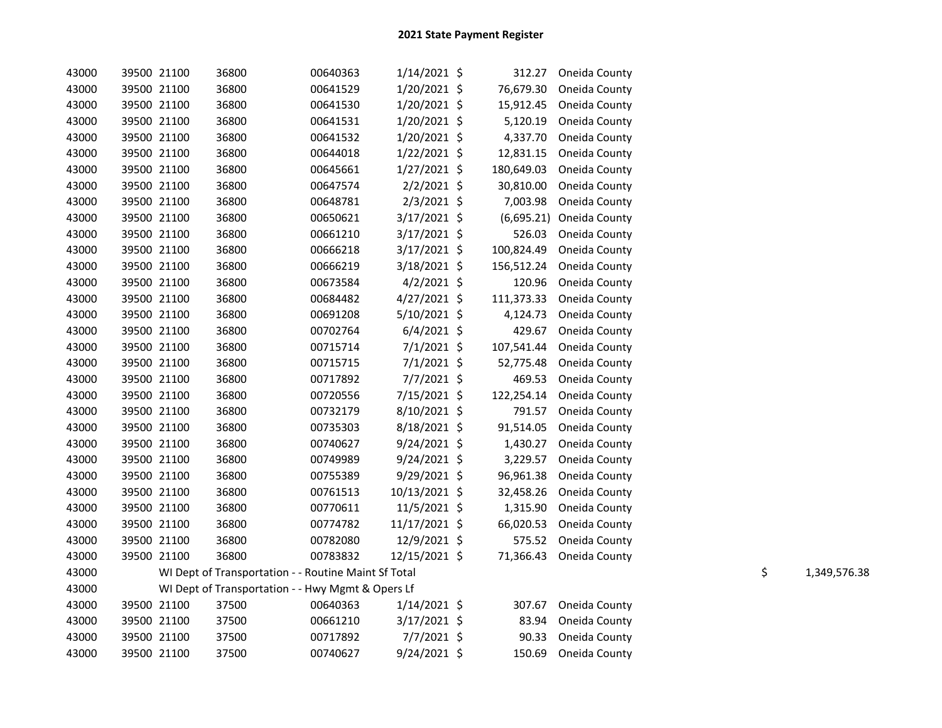| 43000 |             | 39500 21100 | 36800                                                | 00640363 | $1/14/2021$ \$ | 312.27     | Oneida County           |    |              |
|-------|-------------|-------------|------------------------------------------------------|----------|----------------|------------|-------------------------|----|--------------|
| 43000 | 39500 21100 |             | 36800                                                | 00641529 | 1/20/2021 \$   | 76,679.30  | Oneida County           |    |              |
| 43000 |             | 39500 21100 | 36800                                                | 00641530 | $1/20/2021$ \$ | 15,912.45  | Oneida County           |    |              |
| 43000 | 39500 21100 |             | 36800                                                | 00641531 | 1/20/2021 \$   | 5,120.19   | Oneida County           |    |              |
| 43000 | 39500 21100 |             | 36800                                                | 00641532 | $1/20/2021$ \$ | 4,337.70   | Oneida County           |    |              |
| 43000 | 39500 21100 |             | 36800                                                | 00644018 | $1/22/2021$ \$ | 12,831.15  | Oneida County           |    |              |
| 43000 | 39500 21100 |             | 36800                                                | 00645661 | 1/27/2021 \$   | 180,649.03 | Oneida County           |    |              |
| 43000 | 39500 21100 |             | 36800                                                | 00647574 | $2/2/2021$ \$  | 30,810.00  | Oneida County           |    |              |
| 43000 | 39500 21100 |             | 36800                                                | 00648781 | $2/3/2021$ \$  | 7,003.98   | Oneida County           |    |              |
| 43000 | 39500 21100 |             | 36800                                                | 00650621 | $3/17/2021$ \$ | (6,695.21) | Oneida County           |    |              |
| 43000 | 39500 21100 |             | 36800                                                | 00661210 | 3/17/2021 \$   | 526.03     | Oneida County           |    |              |
| 43000 | 39500 21100 |             | 36800                                                | 00666218 | $3/17/2021$ \$ | 100,824.49 | Oneida County           |    |              |
| 43000 |             | 39500 21100 | 36800                                                | 00666219 | $3/18/2021$ \$ | 156,512.24 | Oneida County           |    |              |
| 43000 | 39500 21100 |             | 36800                                                | 00673584 | $4/2/2021$ \$  | 120.96     | Oneida County           |    |              |
| 43000 | 39500 21100 |             | 36800                                                | 00684482 | $4/27/2021$ \$ | 111,373.33 | Oneida County           |    |              |
| 43000 | 39500 21100 |             | 36800                                                | 00691208 | $5/10/2021$ \$ | 4,124.73   | Oneida County           |    |              |
| 43000 | 39500 21100 |             | 36800                                                | 00702764 | $6/4/2021$ \$  | 429.67     | Oneida County           |    |              |
| 43000 |             | 39500 21100 | 36800                                                | 00715714 | $7/1/2021$ \$  | 107,541.44 | Oneida County           |    |              |
| 43000 |             | 39500 21100 | 36800                                                | 00715715 | $7/1/2021$ \$  | 52,775.48  | Oneida County           |    |              |
| 43000 | 39500 21100 |             | 36800                                                | 00717892 | 7/7/2021 \$    | 469.53     | Oneida County           |    |              |
| 43000 | 39500 21100 |             | 36800                                                | 00720556 | 7/15/2021 \$   | 122,254.14 | Oneida County           |    |              |
| 43000 | 39500 21100 |             | 36800                                                | 00732179 | 8/10/2021 \$   | 791.57     | Oneida County           |    |              |
| 43000 | 39500 21100 |             | 36800                                                | 00735303 | $8/18/2021$ \$ | 91,514.05  | Oneida County           |    |              |
| 43000 | 39500 21100 |             | 36800                                                | 00740627 | 9/24/2021 \$   | 1,430.27   | Oneida County           |    |              |
| 43000 | 39500 21100 |             | 36800                                                | 00749989 | $9/24/2021$ \$ | 3,229.57   | Oneida County           |    |              |
| 43000 | 39500 21100 |             | 36800                                                | 00755389 | 9/29/2021 \$   | 96,961.38  | Oneida County           |    |              |
| 43000 | 39500 21100 |             | 36800                                                | 00761513 | 10/13/2021 \$  | 32,458.26  | Oneida County           |    |              |
| 43000 | 39500 21100 |             | 36800                                                | 00770611 | 11/5/2021 \$   | 1,315.90   | Oneida County           |    |              |
| 43000 | 39500 21100 |             | 36800                                                | 00774782 | 11/17/2021 \$  | 66,020.53  | Oneida County           |    |              |
| 43000 | 39500 21100 |             | 36800                                                | 00782080 | 12/9/2021 \$   | 575.52     | Oneida County           |    |              |
| 43000 | 39500 21100 |             | 36800                                                | 00783832 | 12/15/2021 \$  |            | 71,366.43 Oneida County |    |              |
| 43000 |             |             | WI Dept of Transportation - - Routine Maint Sf Total |          |                |            |                         | \$ | 1,349,576.38 |
| 43000 |             |             | WI Dept of Transportation - - Hwy Mgmt & Opers Lf    |          |                |            |                         |    |              |
| 43000 |             | 39500 21100 | 37500                                                | 00640363 | 1/14/2021 \$   | 307.67     | Oneida County           |    |              |
| 43000 | 39500 21100 |             | 37500                                                | 00661210 | 3/17/2021 \$   | 83.94      | Oneida County           |    |              |
| 43000 |             | 39500 21100 | 37500                                                | 00717892 | $7/7/2021$ \$  | 90.33      | Oneida County           |    |              |
| 43000 |             | 39500 21100 | 37500                                                | 00740627 | $9/24/2021$ \$ | 150.69     | Oneida County           |    |              |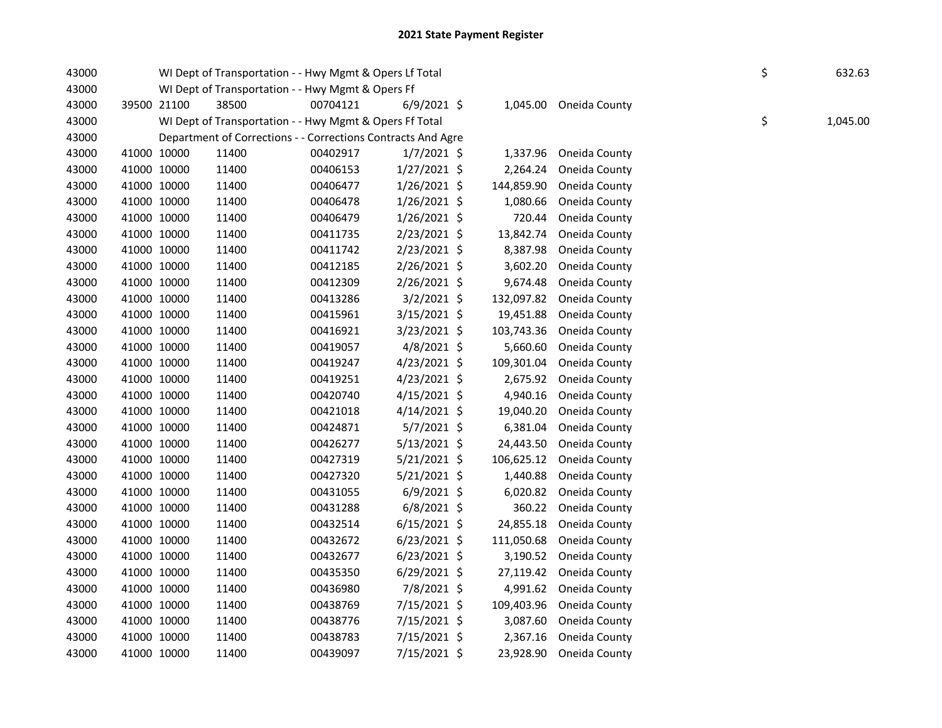| 43000 |             | WI Dept of Transportation - - Hwy Mgmt & Opers Lf Total      | \$       | 632.63         |            |                          |    |          |
|-------|-------------|--------------------------------------------------------------|----------|----------------|------------|--------------------------|----|----------|
| 43000 |             | WI Dept of Transportation - - Hwy Mgmt & Opers Ff            |          |                |            |                          |    |          |
| 43000 | 39500 21100 | 38500                                                        | 00704121 | $6/9/2021$ \$  |            | 1,045.00 Oneida County   |    |          |
| 43000 |             | WI Dept of Transportation - - Hwy Mgmt & Opers Ff Total      |          |                |            |                          | \$ | 1,045.00 |
| 43000 |             | Department of Corrections - - Corrections Contracts And Agre |          |                |            |                          |    |          |
| 43000 | 41000 10000 | 11400                                                        | 00402917 | $1/7/2021$ \$  |            | 1,337.96 Oneida County   |    |          |
| 43000 | 41000 10000 | 11400                                                        | 00406153 | $1/27/2021$ \$ |            | 2,264.24 Oneida County   |    |          |
| 43000 | 41000 10000 | 11400                                                        | 00406477 | $1/26/2021$ \$ | 144,859.90 | Oneida County            |    |          |
| 43000 | 41000 10000 | 11400                                                        | 00406478 | $1/26/2021$ \$ | 1,080.66   | Oneida County            |    |          |
| 43000 | 41000 10000 | 11400                                                        | 00406479 | 1/26/2021 \$   | 720.44     | Oneida County            |    |          |
| 43000 | 41000 10000 | 11400                                                        | 00411735 | 2/23/2021 \$   | 13,842.74  | Oneida County            |    |          |
| 43000 | 41000 10000 | 11400                                                        | 00411742 | $2/23/2021$ \$ | 8,387.98   | Oneida County            |    |          |
| 43000 | 41000 10000 | 11400                                                        | 00412185 | $2/26/2021$ \$ | 3,602.20   | Oneida County            |    |          |
| 43000 | 41000 10000 | 11400                                                        | 00412309 | 2/26/2021 \$   |            | 9,674.48 Oneida County   |    |          |
| 43000 | 41000 10000 | 11400                                                        | 00413286 | 3/2/2021 \$    | 132,097.82 | Oneida County            |    |          |
| 43000 | 41000 10000 | 11400                                                        | 00415961 | $3/15/2021$ \$ | 19,451.88  | Oneida County            |    |          |
| 43000 | 41000 10000 | 11400                                                        | 00416921 | $3/23/2021$ \$ | 103,743.36 | Oneida County            |    |          |
| 43000 | 41000 10000 | 11400                                                        | 00419057 | $4/8/2021$ \$  | 5,660.60   | Oneida County            |    |          |
| 43000 | 41000 10000 | 11400                                                        | 00419247 | $4/23/2021$ \$ | 109,301.04 | Oneida County            |    |          |
| 43000 | 41000 10000 | 11400                                                        | 00419251 | $4/23/2021$ \$ | 2,675.92   | Oneida County            |    |          |
| 43000 | 41000 10000 | 11400                                                        | 00420740 | $4/15/2021$ \$ | 4,940.16   | Oneida County            |    |          |
| 43000 | 41000 10000 | 11400                                                        | 00421018 | $4/14/2021$ \$ | 19,040.20  | Oneida County            |    |          |
| 43000 | 41000 10000 | 11400                                                        | 00424871 | 5/7/2021 \$    | 6,381.04   | Oneida County            |    |          |
| 43000 | 41000 10000 | 11400                                                        | 00426277 | $5/13/2021$ \$ | 24,443.50  | Oneida County            |    |          |
| 43000 | 41000 10000 | 11400                                                        | 00427319 | $5/21/2021$ \$ | 106,625.12 | Oneida County            |    |          |
| 43000 | 41000 10000 | 11400                                                        | 00427320 | $5/21/2021$ \$ | 1,440.88   | Oneida County            |    |          |
| 43000 | 41000 10000 | 11400                                                        | 00431055 | $6/9/2021$ \$  | 6,020.82   | Oneida County            |    |          |
| 43000 | 41000 10000 | 11400                                                        | 00431288 | $6/8/2021$ \$  | 360.22     | Oneida County            |    |          |
| 43000 | 41000 10000 | 11400                                                        | 00432514 | $6/15/2021$ \$ |            | 24,855.18 Oneida County  |    |          |
| 43000 | 41000 10000 | 11400                                                        | 00432672 | $6/23/2021$ \$ | 111,050.68 | Oneida County            |    |          |
| 43000 | 41000 10000 | 11400                                                        | 00432677 | $6/23/2021$ \$ |            | 3,190.52 Oneida County   |    |          |
| 43000 | 41000 10000 | 11400                                                        | 00435350 | $6/29/2021$ \$ | 27,119.42  | Oneida County            |    |          |
| 43000 | 41000 10000 | 11400                                                        | 00436980 | 7/8/2021 \$    |            | 4,991.62 Oneida County   |    |          |
| 43000 | 41000 10000 | 11400                                                        | 00438769 | 7/15/2021 \$   |            | 109,403.96 Oneida County |    |          |
| 43000 | 41000 10000 | 11400                                                        | 00438776 | 7/15/2021 \$   | 3,087.60   | Oneida County            |    |          |
| 43000 | 41000 10000 | 11400                                                        | 00438783 | 7/15/2021 \$   |            | 2,367.16 Oneida County   |    |          |
| 43000 | 41000 10000 | 11400                                                        | 00439097 | 7/15/2021 \$   | 23,928.90  | Oneida County            |    |          |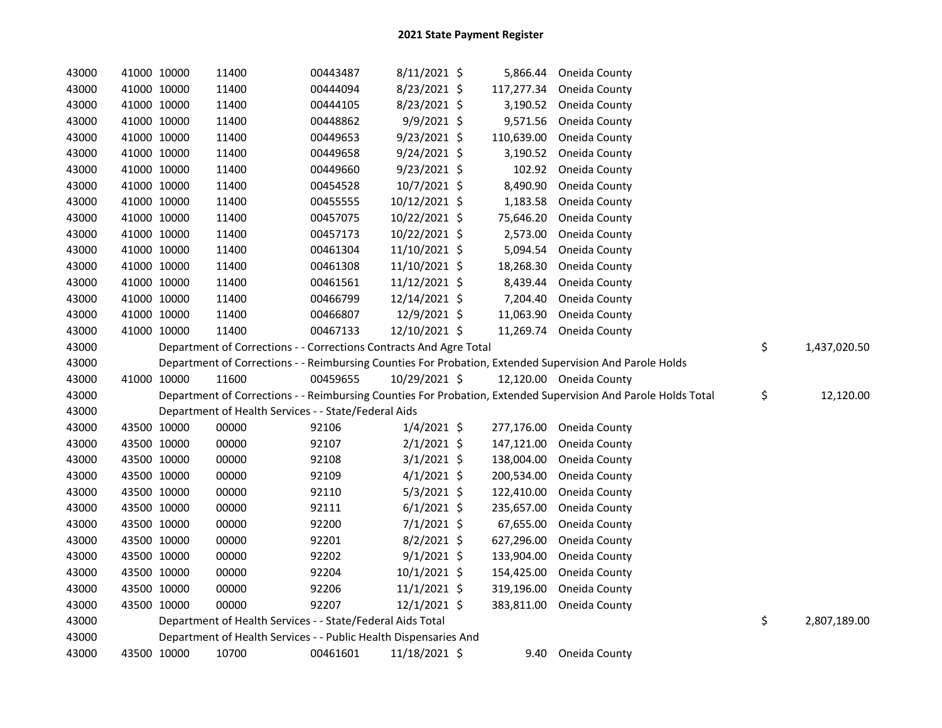| 43000 | 41000 10000 |             | 11400                                                                                                   | 00443487 | 8/11/2021 \$   |            | 5,866.44 Oneida County                                                                                        |                    |
|-------|-------------|-------------|---------------------------------------------------------------------------------------------------------|----------|----------------|------------|---------------------------------------------------------------------------------------------------------------|--------------------|
| 43000 |             | 41000 10000 | 11400                                                                                                   | 00444094 | 8/23/2021 \$   | 117,277.34 | Oneida County                                                                                                 |                    |
| 43000 |             | 41000 10000 | 11400                                                                                                   | 00444105 | 8/23/2021 \$   | 3,190.52   | Oneida County                                                                                                 |                    |
| 43000 | 41000 10000 |             | 11400                                                                                                   | 00448862 | 9/9/2021 \$    | 9,571.56   | Oneida County                                                                                                 |                    |
| 43000 | 41000 10000 |             | 11400                                                                                                   | 00449653 | 9/23/2021 \$   | 110,639.00 | Oneida County                                                                                                 |                    |
| 43000 | 41000 10000 |             | 11400                                                                                                   | 00449658 | $9/24/2021$ \$ | 3,190.52   | Oneida County                                                                                                 |                    |
| 43000 | 41000 10000 |             | 11400                                                                                                   | 00449660 | $9/23/2021$ \$ | 102.92     | Oneida County                                                                                                 |                    |
| 43000 | 41000 10000 |             | 11400                                                                                                   | 00454528 | 10/7/2021 \$   | 8,490.90   | Oneida County                                                                                                 |                    |
| 43000 |             | 41000 10000 | 11400                                                                                                   | 00455555 | 10/12/2021 \$  | 1,183.58   | Oneida County                                                                                                 |                    |
| 43000 |             | 41000 10000 | 11400                                                                                                   | 00457075 | 10/22/2021 \$  | 75,646.20  | Oneida County                                                                                                 |                    |
| 43000 |             | 41000 10000 | 11400                                                                                                   | 00457173 | 10/22/2021 \$  | 2,573.00   | Oneida County                                                                                                 |                    |
| 43000 |             | 41000 10000 | 11400                                                                                                   | 00461304 | 11/10/2021 \$  | 5,094.54   | Oneida County                                                                                                 |                    |
| 43000 |             | 41000 10000 | 11400                                                                                                   | 00461308 | 11/10/2021 \$  | 18,268.30  | Oneida County                                                                                                 |                    |
| 43000 |             | 41000 10000 | 11400                                                                                                   | 00461561 | 11/12/2021 \$  | 8,439.44   | Oneida County                                                                                                 |                    |
| 43000 |             | 41000 10000 | 11400                                                                                                   | 00466799 | 12/14/2021 \$  | 7,204.40   | Oneida County                                                                                                 |                    |
| 43000 |             | 41000 10000 | 11400                                                                                                   | 00466807 | 12/9/2021 \$   | 11,063.90  | Oneida County                                                                                                 |                    |
| 43000 | 41000 10000 |             | 11400                                                                                                   | 00467133 | 12/10/2021 \$  |            | 11,269.74 Oneida County                                                                                       |                    |
| 43000 |             |             | Department of Corrections - - Corrections Contracts And Agre Total                                      |          |                |            |                                                                                                               | \$<br>1,437,020.50 |
| 43000 |             |             | Department of Corrections - - Reimbursing Counties For Probation, Extended Supervision And Parole Holds |          |                |            |                                                                                                               |                    |
|       |             |             |                                                                                                         |          |                |            |                                                                                                               |                    |
| 43000 |             | 41000 10000 | 11600                                                                                                   | 00459655 | 10/29/2021 \$  |            | 12,120.00 Oneida County                                                                                       |                    |
| 43000 |             |             |                                                                                                         |          |                |            | Department of Corrections - - Reimbursing Counties For Probation, Extended Supervision And Parole Holds Total | \$<br>12,120.00    |
| 43000 |             |             | Department of Health Services - - State/Federal Aids                                                    |          |                |            |                                                                                                               |                    |
| 43000 |             | 43500 10000 | 00000                                                                                                   | 92106    | $1/4/2021$ \$  | 277,176.00 | Oneida County                                                                                                 |                    |
| 43000 |             | 43500 10000 | 00000                                                                                                   | 92107    | $2/1/2021$ \$  | 147,121.00 | Oneida County                                                                                                 |                    |
| 43000 |             | 43500 10000 | 00000                                                                                                   | 92108    | $3/1/2021$ \$  | 138,004.00 | Oneida County                                                                                                 |                    |
| 43000 |             | 43500 10000 | 00000                                                                                                   | 92109    | $4/1/2021$ \$  | 200,534.00 | Oneida County                                                                                                 |                    |
| 43000 | 43500 10000 |             | 00000                                                                                                   | 92110    | 5/3/2021 \$    | 122,410.00 | Oneida County                                                                                                 |                    |
| 43000 | 43500 10000 |             | 00000                                                                                                   | 92111    | $6/1/2021$ \$  | 235,657.00 | Oneida County                                                                                                 |                    |
| 43000 |             | 43500 10000 | 00000                                                                                                   | 92200    | $7/1/2021$ \$  | 67,655.00  | Oneida County                                                                                                 |                    |
| 43000 |             | 43500 10000 | 00000                                                                                                   | 92201    | 8/2/2021 \$    | 627,296.00 | Oneida County                                                                                                 |                    |
| 43000 |             | 43500 10000 | 00000                                                                                                   | 92202    | $9/1/2021$ \$  | 133,904.00 | Oneida County                                                                                                 |                    |
| 43000 |             | 43500 10000 | 00000                                                                                                   | 92204    | $10/1/2021$ \$ | 154,425.00 | Oneida County                                                                                                 |                    |
| 43000 | 43500 10000 |             | 00000                                                                                                   | 92206    | $11/1/2021$ \$ | 319,196.00 | Oneida County                                                                                                 |                    |
| 43000 | 43500 10000 |             | 00000                                                                                                   | 92207    | 12/1/2021 \$   | 383,811.00 | Oneida County                                                                                                 |                    |
| 43000 |             |             | Department of Health Services - - State/Federal Aids Total                                              |          |                |            |                                                                                                               | \$<br>2,807,189.00 |
| 43000 |             |             | Department of Health Services - - Public Health Dispensaries And<br>10700                               |          | 11/18/2021 \$  |            |                                                                                                               |                    |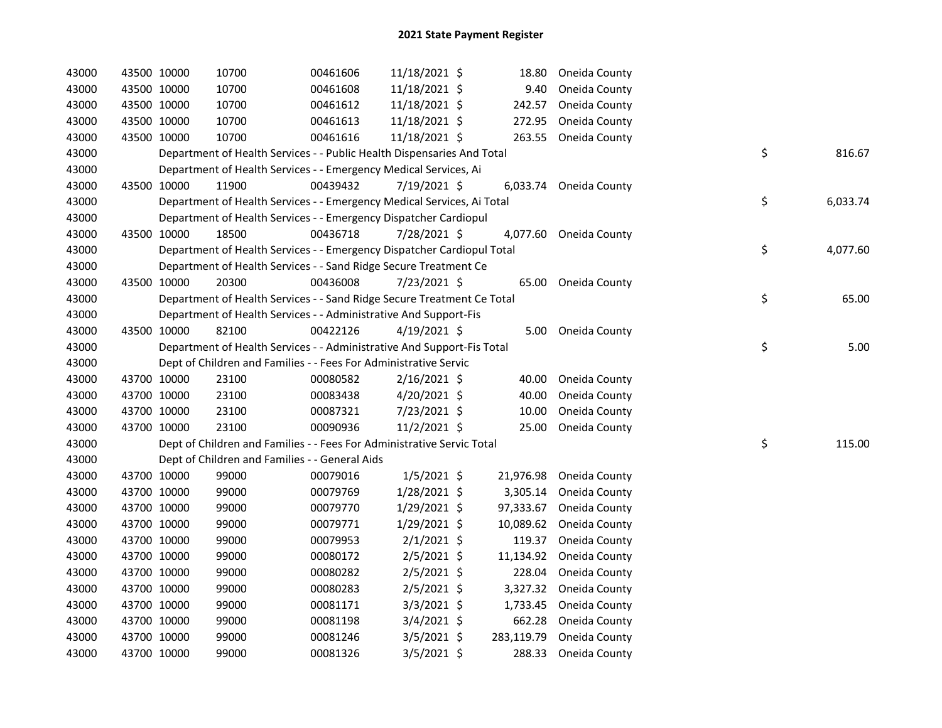| 43000 | 43500 10000 | 10700                                                                  | 00461606 | 11/18/2021 \$  | 18.80      | Oneida County          |    |          |
|-------|-------------|------------------------------------------------------------------------|----------|----------------|------------|------------------------|----|----------|
| 43000 | 43500 10000 | 10700                                                                  | 00461608 | 11/18/2021 \$  | 9.40       | Oneida County          |    |          |
| 43000 | 43500 10000 | 10700                                                                  | 00461612 | 11/18/2021 \$  | 242.57     | Oneida County          |    |          |
| 43000 | 43500 10000 | 10700                                                                  | 00461613 | 11/18/2021 \$  | 272.95     | Oneida County          |    |          |
| 43000 | 43500 10000 | 10700                                                                  | 00461616 | 11/18/2021 \$  | 263.55     | Oneida County          |    |          |
| 43000 |             | Department of Health Services - - Public Health Dispensaries And Total |          |                |            |                        | \$ | 816.67   |
| 43000 |             | Department of Health Services - - Emergency Medical Services, Ai       |          |                |            |                        |    |          |
| 43000 | 43500 10000 | 11900                                                                  | 00439432 | 7/19/2021 \$   |            | 6,033.74 Oneida County |    |          |
| 43000 |             | Department of Health Services - - Emergency Medical Services, Ai Total |          |                |            |                        | \$ | 6,033.74 |
| 43000 |             | Department of Health Services - - Emergency Dispatcher Cardiopul       |          |                |            |                        |    |          |
| 43000 | 43500 10000 | 18500                                                                  | 00436718 | 7/28/2021 \$   |            | 4,077.60 Oneida County |    |          |
| 43000 |             | Department of Health Services - - Emergency Dispatcher Cardiopul Total |          |                |            |                        | \$ | 4,077.60 |
| 43000 |             | Department of Health Services - - Sand Ridge Secure Treatment Ce       |          |                |            |                        |    |          |
| 43000 | 43500 10000 | 20300                                                                  | 00436008 | 7/23/2021 \$   | 65.00      | Oneida County          |    |          |
| 43000 |             | Department of Health Services - - Sand Ridge Secure Treatment Ce Total |          |                |            |                        | \$ | 65.00    |
| 43000 |             | Department of Health Services - - Administrative And Support-Fis       |          |                |            |                        |    |          |
| 43000 | 43500 10000 | 82100                                                                  | 00422126 | 4/19/2021 \$   |            | 5.00 Oneida County     |    |          |
| 43000 |             | Department of Health Services - - Administrative And Support-Fis Total |          |                |            |                        | \$ | 5.00     |
| 43000 |             | Dept of Children and Families - - Fees For Administrative Servic       |          |                |            |                        |    |          |
| 43000 | 43700 10000 | 23100                                                                  | 00080582 | $2/16/2021$ \$ | 40.00      | Oneida County          |    |          |
| 43000 | 43700 10000 | 23100                                                                  | 00083438 | 4/20/2021 \$   | 40.00      | Oneida County          |    |          |
| 43000 | 43700 10000 | 23100                                                                  | 00087321 | 7/23/2021 \$   | 10.00      | Oneida County          |    |          |
| 43000 | 43700 10000 | 23100                                                                  | 00090936 | 11/2/2021 \$   | 25.00      | Oneida County          |    |          |
| 43000 |             | Dept of Children and Families - - Fees For Administrative Servic Total |          |                |            |                        | \$ | 115.00   |
| 43000 |             | Dept of Children and Families - - General Aids                         |          |                |            |                        |    |          |
| 43000 | 43700 10000 | 99000                                                                  | 00079016 | $1/5/2021$ \$  | 21,976.98  | Oneida County          |    |          |
| 43000 | 43700 10000 | 99000                                                                  | 00079769 | 1/28/2021 \$   | 3,305.14   | Oneida County          |    |          |
| 43000 | 43700 10000 | 99000                                                                  | 00079770 | $1/29/2021$ \$ | 97,333.67  | Oneida County          |    |          |
| 43000 | 43700 10000 | 99000                                                                  | 00079771 | 1/29/2021 \$   | 10,089.62  | Oneida County          |    |          |
| 43000 | 43700 10000 | 99000                                                                  | 00079953 | $2/1/2021$ \$  | 119.37     | Oneida County          |    |          |
| 43000 | 43700 10000 | 99000                                                                  | 00080172 | $2/5/2021$ \$  | 11,134.92  | Oneida County          |    |          |
| 43000 | 43700 10000 | 99000                                                                  | 00080282 | $2/5/2021$ \$  | 228.04     | Oneida County          |    |          |
| 43000 | 43700 10000 | 99000                                                                  | 00080283 | $2/5/2021$ \$  | 3,327.32   | Oneida County          |    |          |
| 43000 | 43700 10000 | 99000                                                                  | 00081171 | $3/3/2021$ \$  | 1,733.45   | Oneida County          |    |          |
| 43000 | 43700 10000 | 99000                                                                  | 00081198 | $3/4/2021$ \$  | 662.28     | Oneida County          |    |          |
| 43000 | 43700 10000 | 99000                                                                  | 00081246 | $3/5/2021$ \$  | 283,119.79 | Oneida County          |    |          |
| 43000 | 43700 10000 | 99000                                                                  | 00081326 | $3/5/2021$ \$  | 288.33     | Oneida County          |    |          |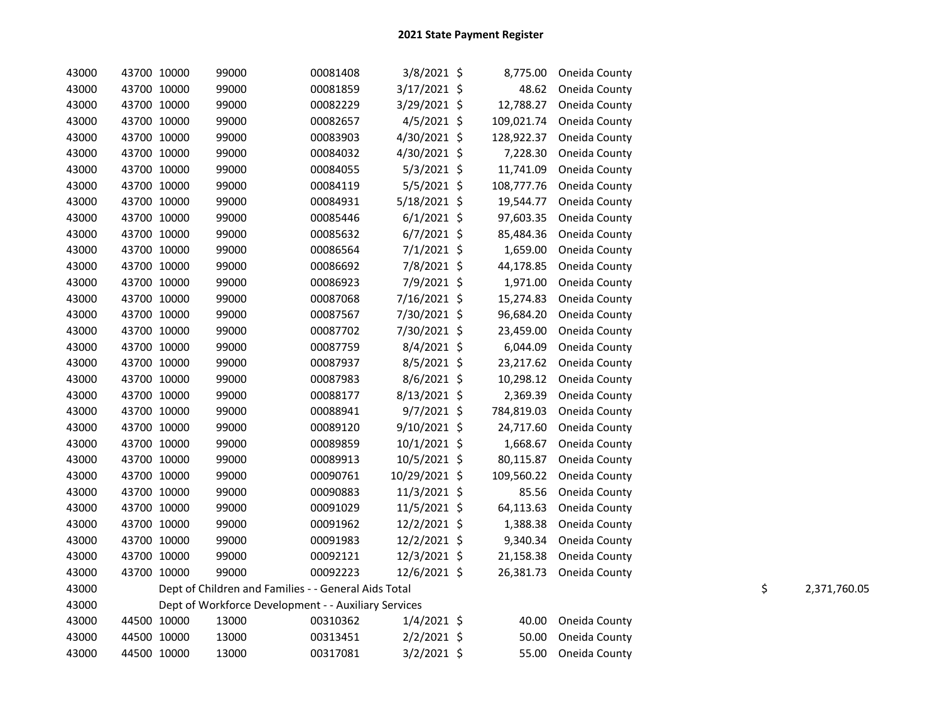| 43000 | 43700 10000 | 99000                                                | 00081408 | 3/8/2021 \$    | 8,775.00   | Oneida County           |    |              |
|-------|-------------|------------------------------------------------------|----------|----------------|------------|-------------------------|----|--------------|
| 43000 | 43700 10000 | 99000                                                | 00081859 | 3/17/2021 \$   | 48.62      | Oneida County           |    |              |
| 43000 | 43700 10000 | 99000                                                | 00082229 | 3/29/2021 \$   | 12,788.27  | Oneida County           |    |              |
| 43000 | 43700 10000 | 99000                                                | 00082657 | $4/5/2021$ \$  | 109,021.74 | Oneida County           |    |              |
| 43000 | 43700 10000 | 99000                                                | 00083903 | 4/30/2021 \$   | 128,922.37 | Oneida County           |    |              |
| 43000 | 43700 10000 | 99000                                                | 00084032 | 4/30/2021 \$   | 7,228.30   | Oneida County           |    |              |
| 43000 | 43700 10000 | 99000                                                | 00084055 | $5/3/2021$ \$  | 11,741.09  | Oneida County           |    |              |
| 43000 | 43700 10000 | 99000                                                | 00084119 | 5/5/2021 \$    | 108,777.76 | Oneida County           |    |              |
| 43000 | 43700 10000 | 99000                                                | 00084931 | 5/18/2021 \$   | 19,544.77  | Oneida County           |    |              |
| 43000 | 43700 10000 | 99000                                                | 00085446 | $6/1/2021$ \$  | 97,603.35  | Oneida County           |    |              |
| 43000 | 43700 10000 | 99000                                                | 00085632 | $6/7/2021$ \$  | 85,484.36  | Oneida County           |    |              |
| 43000 | 43700 10000 | 99000                                                | 00086564 | $7/1/2021$ \$  | 1,659.00   | Oneida County           |    |              |
| 43000 | 43700 10000 | 99000                                                | 00086692 | 7/8/2021 \$    | 44,178.85  | Oneida County           |    |              |
| 43000 | 43700 10000 | 99000                                                | 00086923 | 7/9/2021 \$    | 1,971.00   | Oneida County           |    |              |
| 43000 | 43700 10000 | 99000                                                | 00087068 | 7/16/2021 \$   | 15,274.83  | Oneida County           |    |              |
| 43000 | 43700 10000 | 99000                                                | 00087567 | 7/30/2021 \$   | 96,684.20  | Oneida County           |    |              |
| 43000 | 43700 10000 | 99000                                                | 00087702 | 7/30/2021 \$   | 23,459.00  | Oneida County           |    |              |
| 43000 | 43700 10000 | 99000                                                | 00087759 | 8/4/2021 \$    | 6,044.09   | Oneida County           |    |              |
| 43000 | 43700 10000 | 99000                                                | 00087937 | 8/5/2021 \$    | 23,217.62  | Oneida County           |    |              |
| 43000 | 43700 10000 | 99000                                                | 00087983 | 8/6/2021 \$    | 10,298.12  | Oneida County           |    |              |
| 43000 | 43700 10000 | 99000                                                | 00088177 | $8/13/2021$ \$ | 2,369.39   | Oneida County           |    |              |
| 43000 | 43700 10000 | 99000                                                | 00088941 | $9/7/2021$ \$  | 784,819.03 | Oneida County           |    |              |
| 43000 | 43700 10000 | 99000                                                | 00089120 | 9/10/2021 \$   | 24,717.60  | Oneida County           |    |              |
| 43000 | 43700 10000 | 99000                                                | 00089859 | $10/1/2021$ \$ | 1,668.67   | Oneida County           |    |              |
| 43000 | 43700 10000 | 99000                                                | 00089913 | 10/5/2021 \$   | 80,115.87  | Oneida County           |    |              |
| 43000 | 43700 10000 | 99000                                                | 00090761 | 10/29/2021 \$  | 109,560.22 | Oneida County           |    |              |
| 43000 | 43700 10000 | 99000                                                | 00090883 | 11/3/2021 \$   | 85.56      | Oneida County           |    |              |
| 43000 | 43700 10000 | 99000                                                | 00091029 | $11/5/2021$ \$ | 64,113.63  | Oneida County           |    |              |
| 43000 | 43700 10000 | 99000                                                | 00091962 | 12/2/2021 \$   | 1,388.38   | Oneida County           |    |              |
| 43000 | 43700 10000 | 99000                                                | 00091983 | 12/2/2021 \$   | 9,340.34   | Oneida County           |    |              |
| 43000 | 43700 10000 | 99000                                                | 00092121 | 12/3/2021 \$   | 21,158.38  | Oneida County           |    |              |
| 43000 | 43700 10000 | 99000                                                | 00092223 | 12/6/2021 \$   |            | 26,381.73 Oneida County |    |              |
| 43000 |             | Dept of Children and Families - - General Aids Total |          |                |            |                         | \$ | 2,371,760.05 |
| 43000 |             | Dept of Workforce Development - - Auxiliary Services |          |                |            |                         |    |              |
| 43000 | 44500 10000 | 13000                                                | 00310362 | $1/4/2021$ \$  | 40.00      | Oneida County           |    |              |
| 43000 | 44500 10000 | 13000                                                | 00313451 | $2/2/2021$ \$  | 50.00      | Oneida County           |    |              |
| 43000 | 44500 10000 | 13000                                                | 00317081 | 3/2/2021 \$    | 55.00      | Oneida County           |    |              |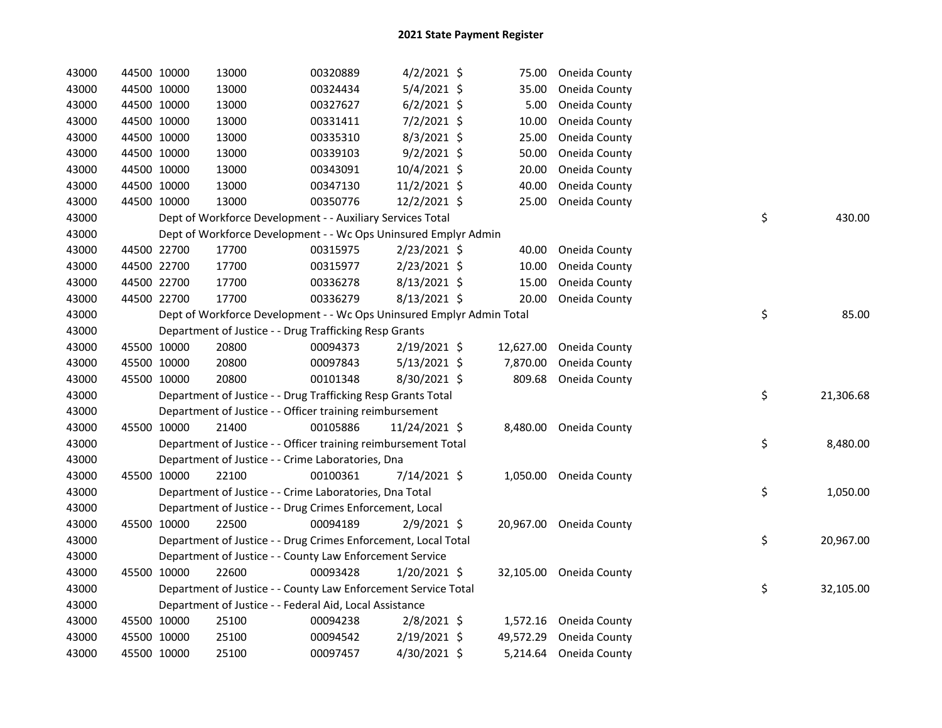| 43000 | 44500 10000 | 13000                                                                 | 00320889 | $4/2/2021$ \$  | 75.00     | Oneida County           |    |           |
|-------|-------------|-----------------------------------------------------------------------|----------|----------------|-----------|-------------------------|----|-----------|
| 43000 | 44500 10000 | 13000                                                                 | 00324434 | 5/4/2021 \$    | 35.00     | Oneida County           |    |           |
| 43000 | 44500 10000 | 13000                                                                 | 00327627 | $6/2/2021$ \$  | 5.00      | Oneida County           |    |           |
| 43000 | 44500 10000 | 13000                                                                 | 00331411 | $7/2/2021$ \$  | 10.00     | Oneida County           |    |           |
| 43000 | 44500 10000 | 13000                                                                 | 00335310 | 8/3/2021 \$    | 25.00     | Oneida County           |    |           |
| 43000 | 44500 10000 | 13000                                                                 | 00339103 | $9/2/2021$ \$  | 50.00     | Oneida County           |    |           |
| 43000 | 44500 10000 | 13000                                                                 | 00343091 | 10/4/2021 \$   | 20.00     | Oneida County           |    |           |
| 43000 | 44500 10000 | 13000                                                                 | 00347130 | 11/2/2021 \$   | 40.00     | Oneida County           |    |           |
| 43000 | 44500 10000 | 13000                                                                 | 00350776 | 12/2/2021 \$   | 25.00     | Oneida County           |    |           |
| 43000 |             | Dept of Workforce Development - - Auxiliary Services Total            |          |                |           |                         | \$ | 430.00    |
| 43000 |             | Dept of Workforce Development - - Wc Ops Uninsured Emplyr Admin       |          |                |           |                         |    |           |
| 43000 | 44500 22700 | 17700                                                                 | 00315975 | 2/23/2021 \$   | 40.00     | Oneida County           |    |           |
| 43000 | 44500 22700 | 17700                                                                 | 00315977 | 2/23/2021 \$   | 10.00     | Oneida County           |    |           |
| 43000 | 44500 22700 | 17700                                                                 | 00336278 | 8/13/2021 \$   | 15.00     | Oneida County           |    |           |
| 43000 | 44500 22700 | 17700                                                                 | 00336279 | 8/13/2021 \$   | 20.00     | Oneida County           |    |           |
| 43000 |             | Dept of Workforce Development - - Wc Ops Uninsured Emplyr Admin Total |          |                |           |                         | \$ | 85.00     |
| 43000 |             | Department of Justice - - Drug Trafficking Resp Grants                |          |                |           |                         |    |           |
| 43000 | 45500 10000 | 20800                                                                 | 00094373 | $2/19/2021$ \$ | 12,627.00 | Oneida County           |    |           |
| 43000 | 45500 10000 | 20800                                                                 | 00097843 | $5/13/2021$ \$ | 7,870.00  | Oneida County           |    |           |
| 43000 | 45500 10000 | 20800                                                                 | 00101348 | 8/30/2021 \$   | 809.68    | Oneida County           |    |           |
| 43000 |             | Department of Justice - - Drug Trafficking Resp Grants Total          |          |                |           |                         | \$ | 21,306.68 |
| 43000 |             | Department of Justice - - Officer training reimbursement              |          |                |           |                         |    |           |
| 43000 | 45500 10000 | 21400                                                                 | 00105886 | 11/24/2021 \$  | 8,480.00  | Oneida County           |    |           |
| 43000 |             | Department of Justice - - Officer training reimbursement Total        |          |                |           |                         | \$ | 8,480.00  |
| 43000 |             | Department of Justice - - Crime Laboratories, Dna                     |          |                |           |                         |    |           |
| 43000 | 45500 10000 | 22100                                                                 | 00100361 | 7/14/2021 \$   |           | 1,050.00 Oneida County  |    |           |
| 43000 |             | Department of Justice - - Crime Laboratories, Dna Total               |          |                |           |                         | \$ | 1,050.00  |
| 43000 |             | Department of Justice - - Drug Crimes Enforcement, Local              |          |                |           |                         |    |           |
| 43000 | 45500 10000 | 22500                                                                 | 00094189 | $2/9/2021$ \$  |           | 20,967.00 Oneida County |    |           |
| 43000 |             | Department of Justice - - Drug Crimes Enforcement, Local Total        |          |                |           |                         | \$ | 20,967.00 |
| 43000 |             | Department of Justice - - County Law Enforcement Service              |          |                |           |                         |    |           |
| 43000 | 45500 10000 | 22600                                                                 | 00093428 | $1/20/2021$ \$ |           | 32,105.00 Oneida County |    |           |
| 43000 |             | Department of Justice - - County Law Enforcement Service Total        |          |                |           |                         | \$ | 32,105.00 |
| 43000 |             | Department of Justice - - Federal Aid, Local Assistance               |          |                |           |                         |    |           |
| 43000 | 45500 10000 | 25100                                                                 | 00094238 | $2/8/2021$ \$  | 1,572.16  | Oneida County           |    |           |
| 43000 | 45500 10000 | 25100                                                                 | 00094542 | 2/19/2021 \$   | 49,572.29 | Oneida County           |    |           |
| 43000 | 45500 10000 | 25100                                                                 | 00097457 | 4/30/2021 \$   | 5,214.64  | Oneida County           |    |           |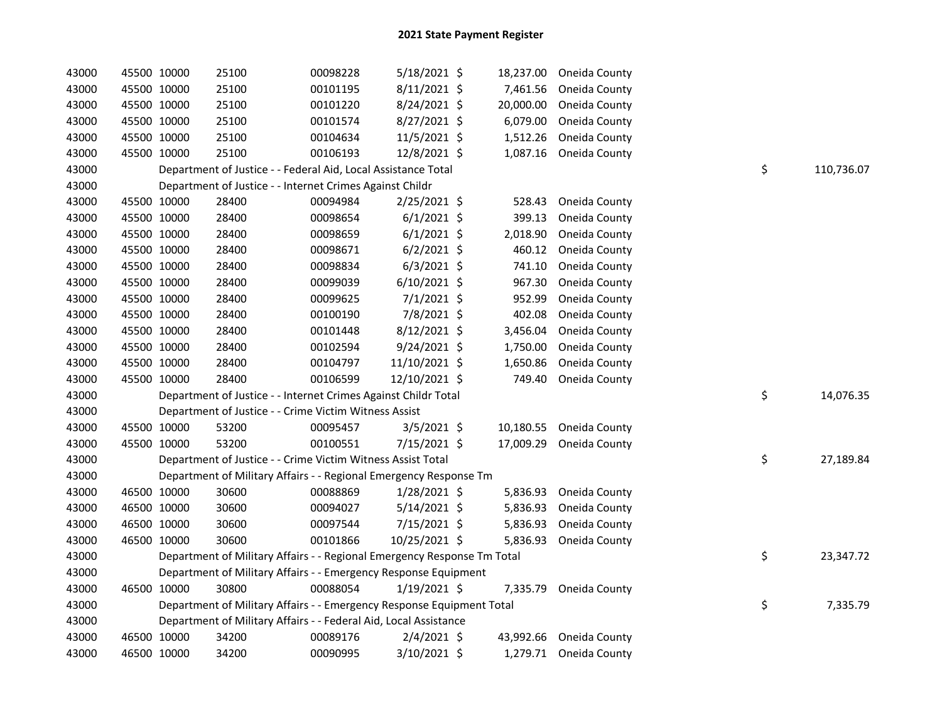| 43000 | 45500 10000 | 25100                                                                   | 00098228 | 5/18/2021 \$   | 18,237.00 | Oneida County          |    |            |
|-------|-------------|-------------------------------------------------------------------------|----------|----------------|-----------|------------------------|----|------------|
| 43000 | 45500 10000 | 25100                                                                   | 00101195 | 8/11/2021 \$   | 7,461.56  | Oneida County          |    |            |
| 43000 | 45500 10000 | 25100                                                                   | 00101220 | 8/24/2021 \$   | 20,000.00 | Oneida County          |    |            |
| 43000 | 45500 10000 | 25100                                                                   | 00101574 | 8/27/2021 \$   | 6,079.00  | Oneida County          |    |            |
| 43000 | 45500 10000 | 25100                                                                   | 00104634 | 11/5/2021 \$   | 1,512.26  | Oneida County          |    |            |
| 43000 | 45500 10000 | 25100                                                                   | 00106193 | 12/8/2021 \$   | 1,087.16  | Oneida County          |    |            |
| 43000 |             | Department of Justice - - Federal Aid, Local Assistance Total           |          |                |           |                        | \$ | 110,736.07 |
| 43000 |             | Department of Justice - - Internet Crimes Against Childr                |          |                |           |                        |    |            |
| 43000 | 45500 10000 | 28400                                                                   | 00094984 | 2/25/2021 \$   | 528.43    | Oneida County          |    |            |
| 43000 | 45500 10000 | 28400                                                                   | 00098654 | $6/1/2021$ \$  | 399.13    | Oneida County          |    |            |
| 43000 | 45500 10000 | 28400                                                                   | 00098659 | $6/1/2021$ \$  | 2,018.90  | Oneida County          |    |            |
| 43000 | 45500 10000 | 28400                                                                   | 00098671 | $6/2/2021$ \$  | 460.12    | Oneida County          |    |            |
| 43000 | 45500 10000 | 28400                                                                   | 00098834 | $6/3/2021$ \$  | 741.10    | Oneida County          |    |            |
| 43000 | 45500 10000 | 28400                                                                   | 00099039 | $6/10/2021$ \$ | 967.30    | Oneida County          |    |            |
| 43000 | 45500 10000 | 28400                                                                   | 00099625 | $7/1/2021$ \$  | 952.99    | Oneida County          |    |            |
| 43000 | 45500 10000 | 28400                                                                   | 00100190 | 7/8/2021 \$    | 402.08    | Oneida County          |    |            |
| 43000 | 45500 10000 | 28400                                                                   | 00101448 | 8/12/2021 \$   | 3,456.04  | Oneida County          |    |            |
| 43000 | 45500 10000 | 28400                                                                   | 00102594 | $9/24/2021$ \$ | 1,750.00  | Oneida County          |    |            |
| 43000 | 45500 10000 | 28400                                                                   | 00104797 | 11/10/2021 \$  | 1,650.86  | Oneida County          |    |            |
| 43000 | 45500 10000 | 28400                                                                   | 00106599 | 12/10/2021 \$  | 749.40    | Oneida County          |    |            |
| 43000 |             | Department of Justice - - Internet Crimes Against Childr Total          |          |                |           |                        | \$ | 14,076.35  |
| 43000 |             | Department of Justice - - Crime Victim Witness Assist                   |          |                |           |                        |    |            |
| 43000 | 45500 10000 | 53200                                                                   | 00095457 | $3/5/2021$ \$  | 10,180.55 | Oneida County          |    |            |
| 43000 | 45500 10000 | 53200                                                                   | 00100551 | 7/15/2021 \$   | 17,009.29 | Oneida County          |    |            |
| 43000 |             | Department of Justice - - Crime Victim Witness Assist Total             |          |                |           |                        | \$ | 27,189.84  |
| 43000 |             | Department of Military Affairs - - Regional Emergency Response Tm       |          |                |           |                        |    |            |
| 43000 | 46500 10000 | 30600                                                                   | 00088869 | 1/28/2021 \$   | 5,836.93  | Oneida County          |    |            |
| 43000 | 46500 10000 | 30600                                                                   | 00094027 | $5/14/2021$ \$ | 5,836.93  | Oneida County          |    |            |
| 43000 | 46500 10000 | 30600                                                                   | 00097544 | 7/15/2021 \$   | 5,836.93  | Oneida County          |    |            |
| 43000 | 46500 10000 | 30600                                                                   | 00101866 | 10/25/2021 \$  | 5,836.93  | Oneida County          |    |            |
| 43000 |             | Department of Military Affairs - - Regional Emergency Response Tm Total |          |                |           |                        | \$ | 23,347.72  |
| 43000 |             | Department of Military Affairs - - Emergency Response Equipment         |          |                |           |                        |    |            |
| 43000 | 46500 10000 | 30800                                                                   | 00088054 | $1/19/2021$ \$ | 7,335.79  | Oneida County          |    |            |
| 43000 |             | Department of Military Affairs - - Emergency Response Equipment Total   |          |                |           |                        | \$ | 7,335.79   |
| 43000 |             | Department of Military Affairs - - Federal Aid, Local Assistance        |          |                |           |                        |    |            |
| 43000 | 46500 10000 | 34200                                                                   | 00089176 | $2/4/2021$ \$  | 43,992.66 | Oneida County          |    |            |
| 43000 | 46500 10000 | 34200                                                                   | 00090995 | 3/10/2021 \$   |           | 1,279.71 Oneida County |    |            |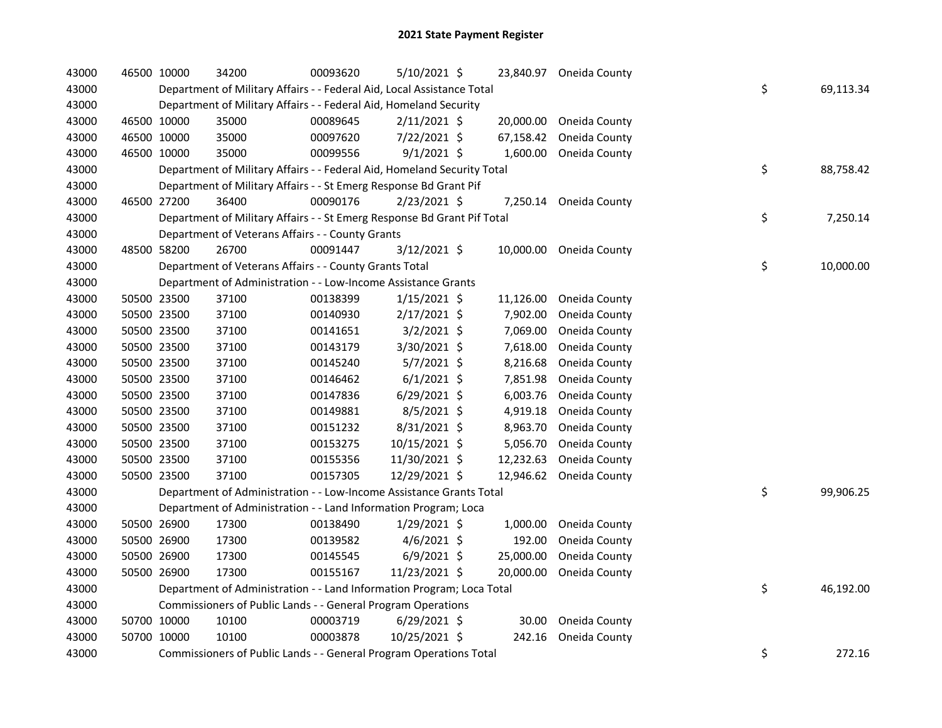| 43000 | 46500 10000 | 34200                                                                   | 00093620 | 5/10/2021 \$   |           | 23,840.97 Oneida County |    |           |
|-------|-------------|-------------------------------------------------------------------------|----------|----------------|-----------|-------------------------|----|-----------|
| 43000 |             | Department of Military Affairs - - Federal Aid, Local Assistance Total  |          |                |           |                         | \$ | 69,113.34 |
| 43000 |             | Department of Military Affairs - - Federal Aid, Homeland Security       |          |                |           |                         |    |           |
| 43000 | 46500 10000 | 35000                                                                   | 00089645 | $2/11/2021$ \$ | 20,000.00 | Oneida County           |    |           |
| 43000 | 46500 10000 | 35000                                                                   | 00097620 | 7/22/2021 \$   | 67,158.42 | Oneida County           |    |           |
| 43000 | 46500 10000 | 35000                                                                   | 00099556 | $9/1/2021$ \$  | 1,600.00  | Oneida County           |    |           |
| 43000 |             | Department of Military Affairs - - Federal Aid, Homeland Security Total |          |                |           |                         | \$ | 88,758.42 |
| 43000 |             | Department of Military Affairs - - St Emerg Response Bd Grant Pif       |          |                |           |                         |    |           |
| 43000 | 46500 27200 | 36400                                                                   | 00090176 | 2/23/2021 \$   |           | 7,250.14 Oneida County  |    |           |
| 43000 |             | Department of Military Affairs - - St Emerg Response Bd Grant Pif Total |          |                |           |                         | \$ | 7,250.14  |
| 43000 |             | Department of Veterans Affairs - - County Grants                        |          |                |           |                         |    |           |
| 43000 | 48500 58200 | 26700                                                                   | 00091447 | 3/12/2021 \$   |           | 10,000.00 Oneida County |    |           |
| 43000 |             | Department of Veterans Affairs - - County Grants Total                  |          |                |           |                         | \$ | 10,000.00 |
| 43000 |             | Department of Administration - - Low-Income Assistance Grants           |          |                |           |                         |    |           |
| 43000 | 50500 23500 | 37100                                                                   | 00138399 | $1/15/2021$ \$ | 11,126.00 | Oneida County           |    |           |
| 43000 | 50500 23500 | 37100                                                                   | 00140930 | 2/17/2021 \$   | 7,902.00  | Oneida County           |    |           |
| 43000 | 50500 23500 | 37100                                                                   | 00141651 | $3/2/2021$ \$  | 7,069.00  | Oneida County           |    |           |
| 43000 | 50500 23500 | 37100                                                                   | 00143179 | 3/30/2021 \$   | 7,618.00  | Oneida County           |    |           |
| 43000 | 50500 23500 | 37100                                                                   | 00145240 | 5/7/2021 \$    | 8,216.68  | Oneida County           |    |           |
| 43000 | 50500 23500 | 37100                                                                   | 00146462 | $6/1/2021$ \$  | 7,851.98  | Oneida County           |    |           |
| 43000 | 50500 23500 | 37100                                                                   | 00147836 | $6/29/2021$ \$ | 6,003.76  | Oneida County           |    |           |
| 43000 | 50500 23500 | 37100                                                                   | 00149881 | $8/5/2021$ \$  | 4,919.18  | Oneida County           |    |           |
| 43000 | 50500 23500 | 37100                                                                   | 00151232 | 8/31/2021 \$   | 8,963.70  | Oneida County           |    |           |
| 43000 | 50500 23500 | 37100                                                                   | 00153275 | 10/15/2021 \$  | 5,056.70  | Oneida County           |    |           |
| 43000 | 50500 23500 | 37100                                                                   | 00155356 | 11/30/2021 \$  | 12,232.63 | Oneida County           |    |           |
| 43000 | 50500 23500 | 37100                                                                   | 00157305 | 12/29/2021 \$  | 12,946.62 | Oneida County           |    |           |
| 43000 |             | Department of Administration - - Low-Income Assistance Grants Total     |          |                |           |                         | \$ | 99,906.25 |
| 43000 |             | Department of Administration - - Land Information Program; Loca         |          |                |           |                         |    |           |
| 43000 | 50500 26900 | 17300                                                                   | 00138490 | $1/29/2021$ \$ | 1,000.00  | Oneida County           |    |           |
| 43000 | 50500 26900 | 17300                                                                   | 00139582 | $4/6/2021$ \$  | 192.00    | Oneida County           |    |           |
| 43000 | 50500 26900 | 17300                                                                   | 00145545 | $6/9/2021$ \$  | 25,000.00 | Oneida County           |    |           |
| 43000 | 50500 26900 | 17300                                                                   | 00155167 | 11/23/2021 \$  | 20,000.00 | Oneida County           |    |           |
| 43000 |             | Department of Administration - - Land Information Program; Loca Total   |          |                |           |                         | \$ | 46,192.00 |
| 43000 |             | Commissioners of Public Lands - - General Program Operations            |          |                |           |                         |    |           |
| 43000 | 50700 10000 | 10100                                                                   | 00003719 | $6/29/2021$ \$ | 30.00     | Oneida County           |    |           |
| 43000 | 50700 10000 | 10100                                                                   | 00003878 | 10/25/2021 \$  | 242.16    | Oneida County           |    |           |
| 43000 |             | Commissioners of Public Lands - - General Program Operations Total      |          |                |           |                         | \$ | 272.16    |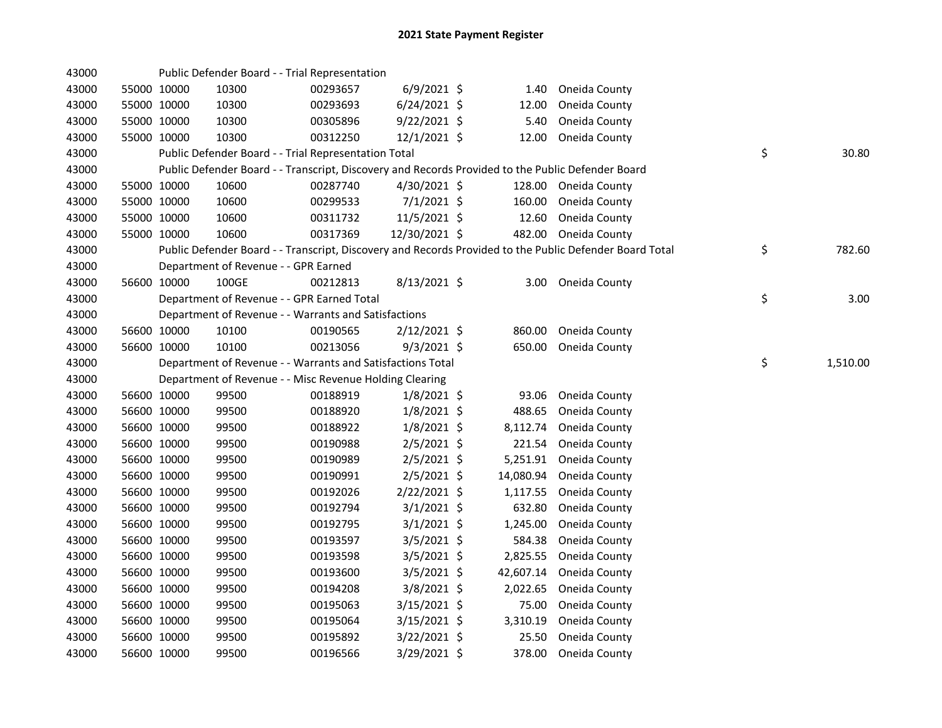| 43000 |             | Public Defender Board - - Trial Representation             |          |                |           |                                                                                                         |                |
|-------|-------------|------------------------------------------------------------|----------|----------------|-----------|---------------------------------------------------------------------------------------------------------|----------------|
| 43000 | 55000 10000 | 10300                                                      | 00293657 | $6/9/2021$ \$  | 1.40      | Oneida County                                                                                           |                |
| 43000 | 55000 10000 | 10300                                                      | 00293693 | $6/24/2021$ \$ | 12.00     | Oneida County                                                                                           |                |
| 43000 | 55000 10000 | 10300                                                      | 00305896 | $9/22/2021$ \$ | 5.40      | Oneida County                                                                                           |                |
| 43000 | 55000 10000 | 10300                                                      | 00312250 | 12/1/2021 \$   | 12.00     | Oneida County                                                                                           |                |
| 43000 |             | Public Defender Board - - Trial Representation Total       |          |                |           |                                                                                                         | \$<br>30.80    |
| 43000 |             |                                                            |          |                |           | Public Defender Board - - Transcript, Discovery and Records Provided to the Public Defender Board       |                |
| 43000 | 55000 10000 | 10600                                                      | 00287740 | $4/30/2021$ \$ |           | 128.00 Oneida County                                                                                    |                |
| 43000 | 55000 10000 | 10600                                                      | 00299533 | 7/1/2021 \$    | 160.00    | Oneida County                                                                                           |                |
| 43000 | 55000 10000 | 10600                                                      | 00311732 | 11/5/2021 \$   | 12.60     | Oneida County                                                                                           |                |
| 43000 | 55000 10000 | 10600                                                      | 00317369 | 12/30/2021 \$  |           | 482.00 Oneida County                                                                                    |                |
| 43000 |             |                                                            |          |                |           | Public Defender Board - - Transcript, Discovery and Records Provided to the Public Defender Board Total | \$<br>782.60   |
| 43000 |             | Department of Revenue - - GPR Earned                       |          |                |           |                                                                                                         |                |
| 43000 | 56600 10000 | 100GE                                                      | 00212813 | $8/13/2021$ \$ |           | 3.00 Oneida County                                                                                      |                |
| 43000 |             | Department of Revenue - - GPR Earned Total                 |          |                |           |                                                                                                         | \$<br>3.00     |
| 43000 |             | Department of Revenue - - Warrants and Satisfactions       |          |                |           |                                                                                                         |                |
| 43000 | 56600 10000 | 10100                                                      | 00190565 | 2/12/2021 \$   | 860.00    | Oneida County                                                                                           |                |
| 43000 | 56600 10000 | 10100                                                      | 00213056 | $9/3/2021$ \$  | 650.00    | Oneida County                                                                                           |                |
| 43000 |             | Department of Revenue - - Warrants and Satisfactions Total |          |                |           |                                                                                                         | \$<br>1,510.00 |
| 43000 |             | Department of Revenue - - Misc Revenue Holding Clearing    |          |                |           |                                                                                                         |                |
| 43000 | 56600 10000 | 99500                                                      | 00188919 | $1/8/2021$ \$  | 93.06     | Oneida County                                                                                           |                |
| 43000 | 56600 10000 | 99500                                                      | 00188920 | $1/8/2021$ \$  | 488.65    | Oneida County                                                                                           |                |
| 43000 | 56600 10000 | 99500                                                      | 00188922 | $1/8/2021$ \$  | 8,112.74  | Oneida County                                                                                           |                |
| 43000 | 56600 10000 | 99500                                                      | 00190988 | $2/5/2021$ \$  | 221.54    | Oneida County                                                                                           |                |
| 43000 | 56600 10000 | 99500                                                      | 00190989 | $2/5/2021$ \$  | 5,251.91  | Oneida County                                                                                           |                |
| 43000 | 56600 10000 | 99500                                                      | 00190991 | $2/5/2021$ \$  | 14,080.94 | Oneida County                                                                                           |                |
| 43000 | 56600 10000 | 99500                                                      | 00192026 | 2/22/2021 \$   | 1,117.55  | Oneida County                                                                                           |                |
| 43000 | 56600 10000 | 99500                                                      | 00192794 | $3/1/2021$ \$  | 632.80    | Oneida County                                                                                           |                |
| 43000 | 56600 10000 | 99500                                                      | 00192795 | $3/1/2021$ \$  | 1,245.00  | Oneida County                                                                                           |                |
| 43000 | 56600 10000 | 99500                                                      | 00193597 | $3/5/2021$ \$  | 584.38    | Oneida County                                                                                           |                |
| 43000 | 56600 10000 | 99500                                                      | 00193598 | $3/5/2021$ \$  | 2,825.55  | Oneida County                                                                                           |                |
| 43000 | 56600 10000 | 99500                                                      | 00193600 | $3/5/2021$ \$  | 42,607.14 | Oneida County                                                                                           |                |
| 43000 | 56600 10000 | 99500                                                      | 00194208 | 3/8/2021 \$    | 2,022.65  | Oneida County                                                                                           |                |
| 43000 | 56600 10000 | 99500                                                      | 00195063 | $3/15/2021$ \$ | 75.00     | Oneida County                                                                                           |                |
| 43000 | 56600 10000 | 99500                                                      | 00195064 | 3/15/2021 \$   | 3,310.19  | Oneida County                                                                                           |                |
| 43000 | 56600 10000 | 99500                                                      | 00195892 | 3/22/2021 \$   | 25.50     | Oneida County                                                                                           |                |
| 43000 | 56600 10000 | 99500                                                      | 00196566 | 3/29/2021 \$   | 378.00    | Oneida County                                                                                           |                |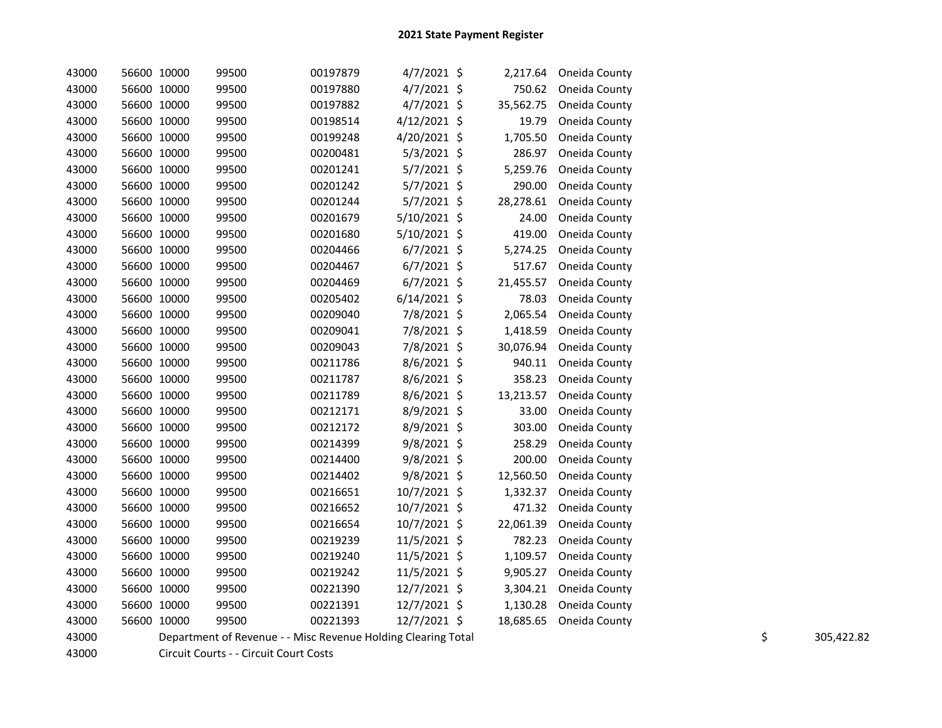| 43000 | 56600 10000 |       | 99500 | 00197879 | 4/7/2021 \$   |     | 2,217.64  | Oneida County |
|-------|-------------|-------|-------|----------|---------------|-----|-----------|---------------|
| 43000 | 56600 10000 |       | 99500 | 00197880 | 4/7/2021      | -\$ | 750.62    | Oneida County |
| 43000 | 56600 10000 |       | 99500 | 00197882 | 4/7/2021 \$   |     | 35,562.75 | Oneida County |
| 43000 | 56600 10000 |       | 99500 | 00198514 | 4/12/2021 \$  |     | 19.79     | Oneida County |
| 43000 | 56600 10000 |       | 99500 | 00199248 | 4/20/2021 \$  |     | 1,705.50  | Oneida County |
| 43000 | 56600 10000 |       | 99500 | 00200481 | 5/3/2021      | \$  | 286.97    | Oneida County |
| 43000 | 56600 10000 |       | 99500 | 00201241 | 5/7/2021 \$   |     | 5,259.76  | Oneida County |
| 43000 | 56600 10000 |       | 99500 | 00201242 | 5/7/2021 \$   |     | 290.00    | Oneida County |
| 43000 | 56600 10000 |       | 99500 | 00201244 | 5/7/2021 \$   |     | 28,278.61 | Oneida County |
| 43000 | 56600 10000 |       | 99500 | 00201679 | 5/10/2021     | -\$ | 24.00     | Oneida County |
| 43000 | 56600 10000 |       | 99500 | 00201680 | 5/10/2021 \$  |     | 419.00    | Oneida County |
| 43000 | 56600 10000 |       | 99500 | 00204466 | $6/7/2021$ \$ |     | 5,274.25  | Oneida County |
| 43000 | 56600 10000 |       | 99500 | 00204467 | $6/7/2021$ \$ |     | 517.67    | Oneida County |
| 43000 | 56600 10000 |       | 99500 | 00204469 | $6/7/2021$ \$ |     | 21,455.57 | Oneida County |
| 43000 | 56600 10000 |       | 99500 | 00205402 | 6/14/2021 \$  |     | 78.03     | Oneida County |
| 43000 | 56600 10000 |       | 99500 | 00209040 | 7/8/2021 \$   |     | 2,065.54  | Oneida County |
| 43000 | 56600 10000 |       | 99500 | 00209041 | 7/8/2021 \$   |     | 1,418.59  | Oneida County |
| 43000 | 56600 10000 |       | 99500 | 00209043 | 7/8/2021      | -\$ | 30,076.94 | Oneida County |
| 43000 | 56600 10000 |       | 99500 | 00211786 | 8/6/2021 \$   |     | 940.11    | Oneida County |
| 43000 | 56600 10000 |       | 99500 | 00211787 | 8/6/2021 \$   |     | 358.23    | Oneida County |
| 43000 | 56600       | 10000 | 99500 | 00211789 | 8/6/2021      | \$  | 13,213.57 | Oneida County |
| 43000 | 56600 10000 |       | 99500 | 00212171 | 8/9/2021 \$   |     | 33.00     | Oneida County |
| 43000 | 56600 10000 |       | 99500 | 00212172 | 8/9/2021 \$   |     | 303.00    | Oneida County |
| 43000 | 56600 10000 |       | 99500 | 00214399 | 9/8/2021      | \$  | 258.29    | Oneida County |
| 43000 | 56600       | 10000 | 99500 | 00214400 | 9/8/2021 \$   |     | 200.00    | Oneida County |
| 43000 | 56600 10000 |       | 99500 | 00214402 | 9/8/2021 \$   |     | 12,560.50 | Oneida County |
| 43000 | 56600 10000 |       | 99500 | 00216651 | 10/7/2021 \$  |     | 1,332.37  | Oneida County |
| 43000 | 56600 10000 |       | 99500 | 00216652 | 10/7/2021     | \$  | 471.32    | Oneida County |
| 43000 | 56600       | 10000 | 99500 | 00216654 | 10/7/2021     | \$  | 22,061.39 | Oneida County |
| 43000 | 56600 10000 |       | 99500 | 00219239 | 11/5/2021     | \$  | 782.23    | Oneida County |
| 43000 | 56600 10000 |       | 99500 | 00219240 | 11/5/2021     | \$  | 1,109.57  | Oneida County |
| 43000 | 56600 10000 |       | 99500 | 00219242 | 11/5/2021     | \$  | 9,905.27  | Oneida County |
| 43000 | 56600 10000 |       | 99500 | 00221390 | 12/7/2021     | \$  | 3,304.21  | Oneida County |
| 43000 | 56600 10000 |       | 99500 | 00221391 | 12/7/2021 \$  |     | 1,130.28  | Oneida County |
| 43000 | 56600 10000 |       | 99500 | 00221393 | 12/7/2021 \$  |     | 18,685.65 | Oneida County |

43000 Department of Revenue - - Misc Revenue Holding Clearing Total 305,422.82 \$ \$ 305,422.82 \$ 305,422.82 \$ \$

43000 Circuit Courts - - Circuit Court Costs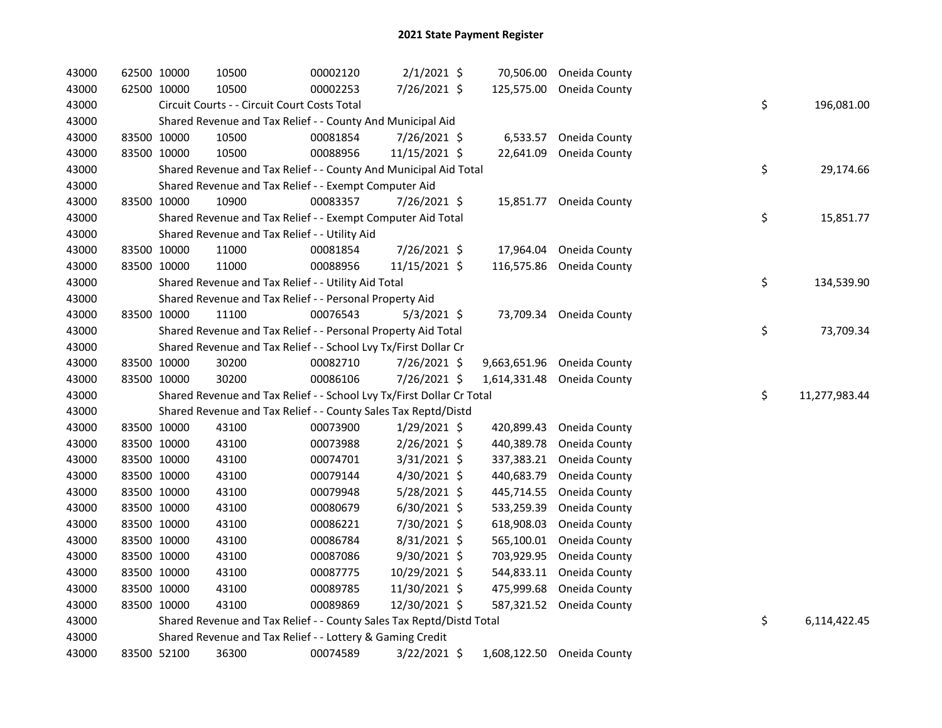| 43000 | 62500 10000 |             | 10500                                                                 | 00002120 | $2/1/2021$ \$  |              | 70,506.00 Oneida County    |    |               |
|-------|-------------|-------------|-----------------------------------------------------------------------|----------|----------------|--------------|----------------------------|----|---------------|
| 43000 | 62500 10000 |             | 10500                                                                 | 00002253 | 7/26/2021 \$   |              | 125,575.00 Oneida County   |    |               |
| 43000 |             |             | Circuit Courts - - Circuit Court Costs Total                          |          |                |              |                            | \$ | 196,081.00    |
| 43000 |             |             | Shared Revenue and Tax Relief - - County And Municipal Aid            |          |                |              |                            |    |               |
| 43000 | 83500 10000 |             | 10500                                                                 | 00081854 | 7/26/2021 \$   | 6,533.57     | Oneida County              |    |               |
| 43000 | 83500 10000 |             | 10500                                                                 | 00088956 | 11/15/2021 \$  | 22,641.09    | Oneida County              |    |               |
| 43000 |             |             | Shared Revenue and Tax Relief - - County And Municipal Aid Total      |          |                |              |                            | \$ | 29,174.66     |
| 43000 |             |             | Shared Revenue and Tax Relief - - Exempt Computer Aid                 |          |                |              |                            |    |               |
| 43000 | 83500 10000 |             | 10900                                                                 | 00083357 | 7/26/2021 \$   |              | 15,851.77 Oneida County    |    |               |
| 43000 |             |             | Shared Revenue and Tax Relief - - Exempt Computer Aid Total           |          |                |              |                            | \$ | 15,851.77     |
| 43000 |             |             | Shared Revenue and Tax Relief - - Utility Aid                         |          |                |              |                            |    |               |
| 43000 | 83500 10000 |             | 11000                                                                 | 00081854 | 7/26/2021 \$   | 17,964.04    | Oneida County              |    |               |
| 43000 |             | 83500 10000 | 11000                                                                 | 00088956 | 11/15/2021 \$  | 116,575.86   | Oneida County              |    |               |
| 43000 |             |             | Shared Revenue and Tax Relief - - Utility Aid Total                   |          |                |              |                            | \$ | 134,539.90    |
| 43000 |             |             | Shared Revenue and Tax Relief - - Personal Property Aid               |          |                |              |                            |    |               |
| 43000 | 83500 10000 |             | 11100                                                                 | 00076543 | $5/3/2021$ \$  |              | 73,709.34 Oneida County    |    |               |
| 43000 |             |             | Shared Revenue and Tax Relief - - Personal Property Aid Total         |          |                |              |                            | \$ | 73,709.34     |
| 43000 |             |             | Shared Revenue and Tax Relief - - School Lvy Tx/First Dollar Cr       |          |                |              |                            |    |               |
| 43000 | 83500 10000 |             | 30200                                                                 | 00082710 | 7/26/2021 \$   | 9,663,651.96 | Oneida County              |    |               |
| 43000 |             | 83500 10000 | 30200                                                                 | 00086106 | 7/26/2021 \$   | 1,614,331.48 | Oneida County              |    |               |
| 43000 |             |             | Shared Revenue and Tax Relief - - School Lvy Tx/First Dollar Cr Total |          |                |              |                            | \$ | 11,277,983.44 |
| 43000 |             |             | Shared Revenue and Tax Relief - - County Sales Tax Reptd/Distd        |          |                |              |                            |    |               |
| 43000 | 83500 10000 |             | 43100                                                                 | 00073900 | $1/29/2021$ \$ | 420,899.43   | Oneida County              |    |               |
| 43000 | 83500 10000 |             | 43100                                                                 | 00073988 | 2/26/2021 \$   | 440,389.78   | Oneida County              |    |               |
| 43000 | 83500 10000 |             | 43100                                                                 | 00074701 | $3/31/2021$ \$ | 337,383.21   | Oneida County              |    |               |
| 43000 | 83500 10000 |             | 43100                                                                 | 00079144 | 4/30/2021 \$   | 440,683.79   | Oneida County              |    |               |
| 43000 | 83500 10000 |             | 43100                                                                 | 00079948 | 5/28/2021 \$   | 445,714.55   | Oneida County              |    |               |
| 43000 | 83500 10000 |             | 43100                                                                 | 00080679 | $6/30/2021$ \$ | 533,259.39   | Oneida County              |    |               |
| 43000 | 83500 10000 |             | 43100                                                                 | 00086221 | 7/30/2021 \$   | 618,908.03   | Oneida County              |    |               |
| 43000 | 83500 10000 |             | 43100                                                                 | 00086784 | $8/31/2021$ \$ | 565,100.01   | Oneida County              |    |               |
| 43000 | 83500 10000 |             | 43100                                                                 | 00087086 | 9/30/2021 \$   | 703,929.95   | Oneida County              |    |               |
| 43000 | 83500 10000 |             | 43100                                                                 | 00087775 | 10/29/2021 \$  | 544,833.11   | Oneida County              |    |               |
| 43000 | 83500 10000 |             | 43100                                                                 | 00089785 | 11/30/2021 \$  | 475,999.68   | Oneida County              |    |               |
| 43000 | 83500 10000 |             | 43100                                                                 | 00089869 | 12/30/2021 \$  |              | 587,321.52 Oneida County   |    |               |
| 43000 |             |             | Shared Revenue and Tax Relief - - County Sales Tax Reptd/Distd Total  |          |                |              |                            | \$ | 6,114,422.45  |
| 43000 |             |             | Shared Revenue and Tax Relief - - Lottery & Gaming Credit             |          |                |              |                            |    |               |
| 43000 | 83500 52100 |             | 36300                                                                 | 00074589 | 3/22/2021 \$   |              | 1,608,122.50 Oneida County |    |               |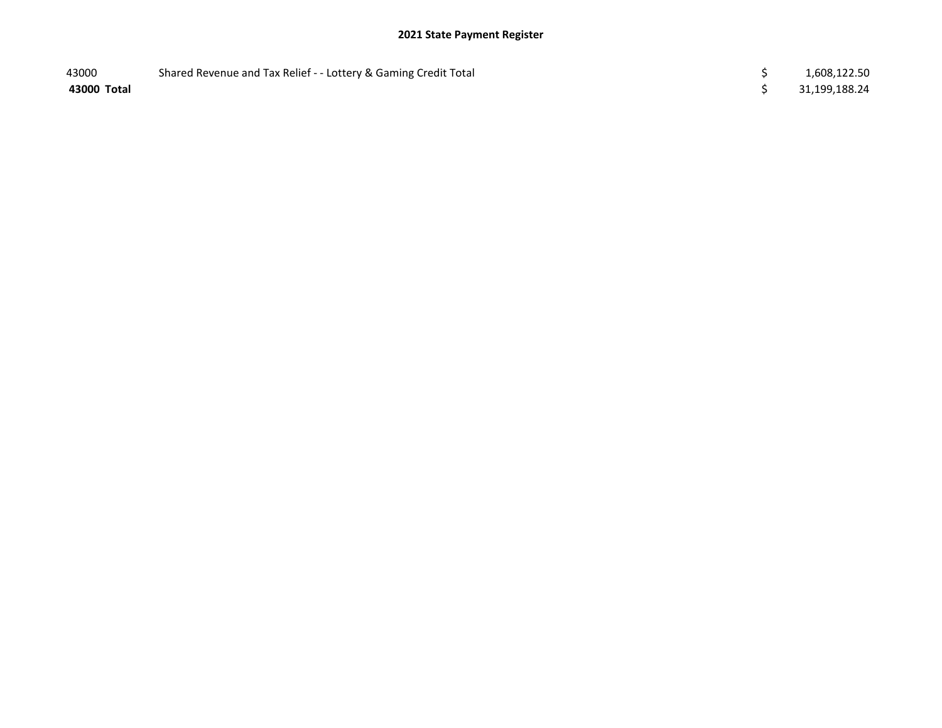| 43000       | Shared Revenue and Tax Relief - - Lottery & Gaming Credit Total | 1,608,122.50  |
|-------------|-----------------------------------------------------------------|---------------|
| 43000 Total |                                                                 | 31,199,188.24 |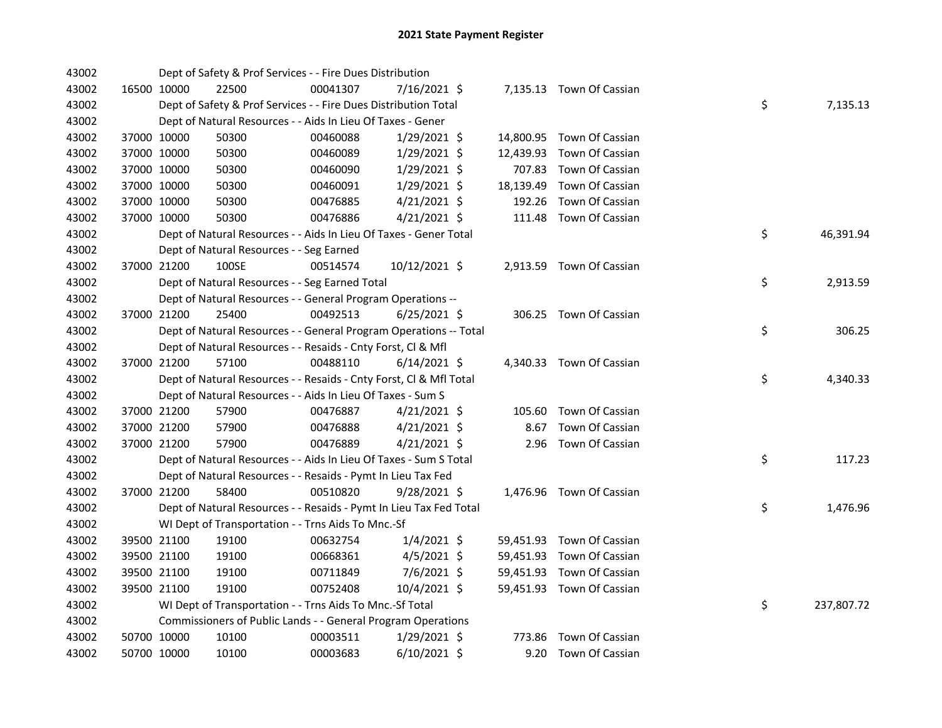| 43002 |             | Dept of Safety & Prof Services - - Fire Dues Distribution          |          |                |        |                           |    |            |
|-------|-------------|--------------------------------------------------------------------|----------|----------------|--------|---------------------------|----|------------|
| 43002 | 16500 10000 | 22500                                                              | 00041307 | 7/16/2021 \$   |        | 7,135.13 Town Of Cassian  |    |            |
| 43002 |             | Dept of Safety & Prof Services - - Fire Dues Distribution Total    |          |                |        |                           | \$ | 7,135.13   |
| 43002 |             | Dept of Natural Resources - - Aids In Lieu Of Taxes - Gener        |          |                |        |                           |    |            |
| 43002 | 37000 10000 | 50300                                                              | 00460088 | $1/29/2021$ \$ |        | 14,800.95 Town Of Cassian |    |            |
| 43002 | 37000 10000 | 50300                                                              | 00460089 | $1/29/2021$ \$ |        | 12,439.93 Town Of Cassian |    |            |
| 43002 | 37000 10000 | 50300                                                              | 00460090 | 1/29/2021 \$   |        | 707.83 Town Of Cassian    |    |            |
| 43002 | 37000 10000 | 50300                                                              | 00460091 | $1/29/2021$ \$ |        | 18,139.49 Town Of Cassian |    |            |
| 43002 | 37000 10000 | 50300                                                              | 00476885 | $4/21/2021$ \$ | 192.26 | Town Of Cassian           |    |            |
| 43002 | 37000 10000 | 50300                                                              | 00476886 | $4/21/2021$ \$ |        | 111.48 Town Of Cassian    |    |            |
| 43002 |             | Dept of Natural Resources - - Aids In Lieu Of Taxes - Gener Total  |          |                |        |                           | \$ | 46,391.94  |
| 43002 |             | Dept of Natural Resources - - Seg Earned                           |          |                |        |                           |    |            |
| 43002 | 37000 21200 | 100SE                                                              | 00514574 | 10/12/2021 \$  |        | 2,913.59 Town Of Cassian  |    |            |
| 43002 |             | Dept of Natural Resources - - Seg Earned Total                     |          |                |        |                           | \$ | 2,913.59   |
| 43002 |             | Dept of Natural Resources - - General Program Operations --        |          |                |        |                           |    |            |
| 43002 | 37000 21200 | 25400                                                              | 00492513 | $6/25/2021$ \$ |        | 306.25 Town Of Cassian    |    |            |
| 43002 |             | Dept of Natural Resources - - General Program Operations -- Total  |          |                |        |                           | \$ | 306.25     |
| 43002 |             | Dept of Natural Resources - - Resaids - Cnty Forst, Cl & Mfl       |          |                |        |                           |    |            |
| 43002 | 37000 21200 | 57100                                                              | 00488110 | $6/14/2021$ \$ |        | 4,340.33 Town Of Cassian  |    |            |
| 43002 |             | Dept of Natural Resources - - Resaids - Cnty Forst, Cl & Mfl Total |          |                |        |                           | \$ | 4,340.33   |
| 43002 |             | Dept of Natural Resources - - Aids In Lieu Of Taxes - Sum S        |          |                |        |                           |    |            |
| 43002 | 37000 21200 | 57900                                                              | 00476887 | $4/21/2021$ \$ |        | 105.60 Town Of Cassian    |    |            |
| 43002 | 37000 21200 | 57900                                                              | 00476888 | $4/21/2021$ \$ | 8.67   | Town Of Cassian           |    |            |
| 43002 | 37000 21200 | 57900                                                              | 00476889 | $4/21/2021$ \$ |        | 2.96 Town Of Cassian      |    |            |
| 43002 |             | Dept of Natural Resources - - Aids In Lieu Of Taxes - Sum S Total  |          |                |        |                           | \$ | 117.23     |
| 43002 |             | Dept of Natural Resources - - Resaids - Pymt In Lieu Tax Fed       |          |                |        |                           |    |            |
| 43002 | 37000 21200 | 58400                                                              | 00510820 | 9/28/2021 \$   |        | 1,476.96 Town Of Cassian  |    |            |
| 43002 |             | Dept of Natural Resources - - Resaids - Pymt In Lieu Tax Fed Total |          |                |        |                           | \$ | 1,476.96   |
| 43002 |             | WI Dept of Transportation - - Trns Aids To Mnc.-Sf                 |          |                |        |                           |    |            |
| 43002 | 39500 21100 | 19100                                                              | 00632754 | $1/4/2021$ \$  |        | 59,451.93 Town Of Cassian |    |            |
| 43002 | 39500 21100 | 19100                                                              | 00668361 | $4/5/2021$ \$  |        | 59,451.93 Town Of Cassian |    |            |
| 43002 | 39500 21100 | 19100                                                              | 00711849 | 7/6/2021 \$    |        | 59,451.93 Town Of Cassian |    |            |
| 43002 | 39500 21100 | 19100                                                              | 00752408 | $10/4/2021$ \$ |        | 59,451.93 Town Of Cassian |    |            |
| 43002 |             | WI Dept of Transportation - - Trns Aids To Mnc.-Sf Total           |          |                |        |                           | \$ | 237,807.72 |
| 43002 |             | Commissioners of Public Lands - - General Program Operations       |          |                |        |                           |    |            |
| 43002 | 50700 10000 | 10100                                                              | 00003511 | $1/29/2021$ \$ | 773.86 | Town Of Cassian           |    |            |
| 43002 | 50700 10000 | 10100                                                              | 00003683 | $6/10/2021$ \$ |        | 9.20 Town Of Cassian      |    |            |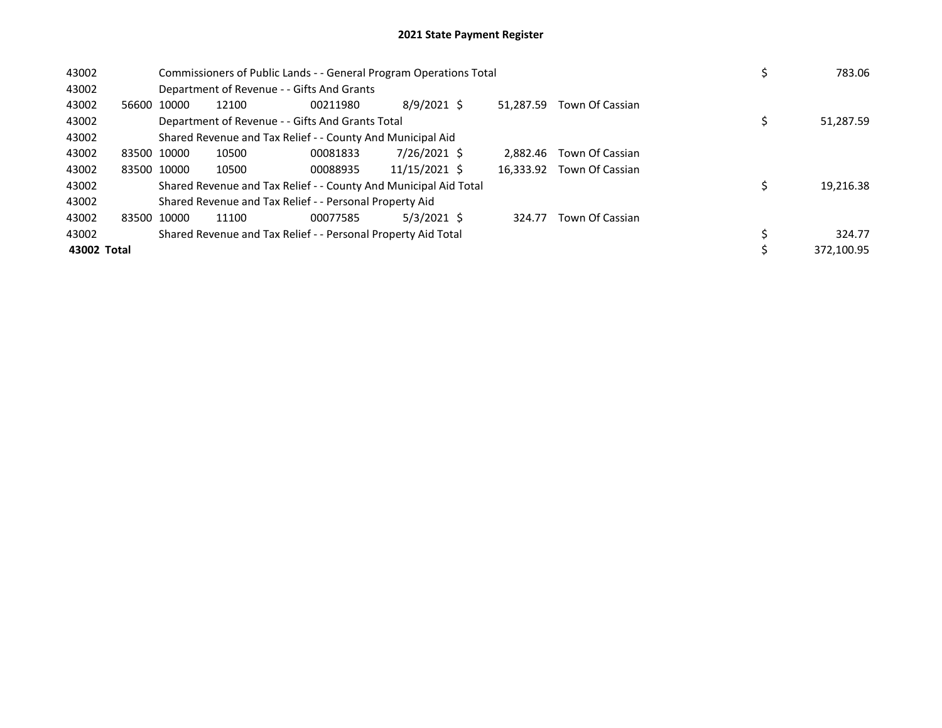| 43002       |             |             | Commissioners of Public Lands - - General Program Operations Total | 783.06                                                           |               |           |                 |            |  |
|-------------|-------------|-------------|--------------------------------------------------------------------|------------------------------------------------------------------|---------------|-----------|-----------------|------------|--|
| 43002       |             |             |                                                                    | Department of Revenue - - Gifts And Grants                       |               |           |                 |            |  |
| 43002       |             | 56600 10000 | 12100                                                              | 00211980                                                         | $8/9/2021$ \$ | 51.287.59 | Town Of Cassian |            |  |
| 43002       |             |             |                                                                    | Department of Revenue - - Gifts And Grants Total                 |               |           |                 | 51,287.59  |  |
| 43002       |             |             | Shared Revenue and Tax Relief - - County And Municipal Aid         |                                                                  |               |           |                 |            |  |
| 43002       | 83500 10000 |             | 10500                                                              | 00081833                                                         | 7/26/2021 \$  | 2.882.46  | Town Of Cassian |            |  |
| 43002       |             | 83500 10000 | 10500                                                              | 00088935                                                         | 11/15/2021 \$ | 16,333.92 | Town Of Cassian |            |  |
| 43002       |             |             |                                                                    | Shared Revenue and Tax Relief - - County And Municipal Aid Total |               |           |                 | 19,216.38  |  |
| 43002       |             |             |                                                                    | Shared Revenue and Tax Relief - - Personal Property Aid          |               |           |                 |            |  |
| 43002       | 83500 10000 |             | 11100                                                              | 00077585                                                         | $5/3/2021$ \$ | 324.77    | Town Of Cassian |            |  |
| 43002       |             |             |                                                                    | Shared Revenue and Tax Relief - - Personal Property Aid Total    |               |           |                 | 324.77     |  |
| 43002 Total |             |             |                                                                    |                                                                  |               |           |                 | 372.100.95 |  |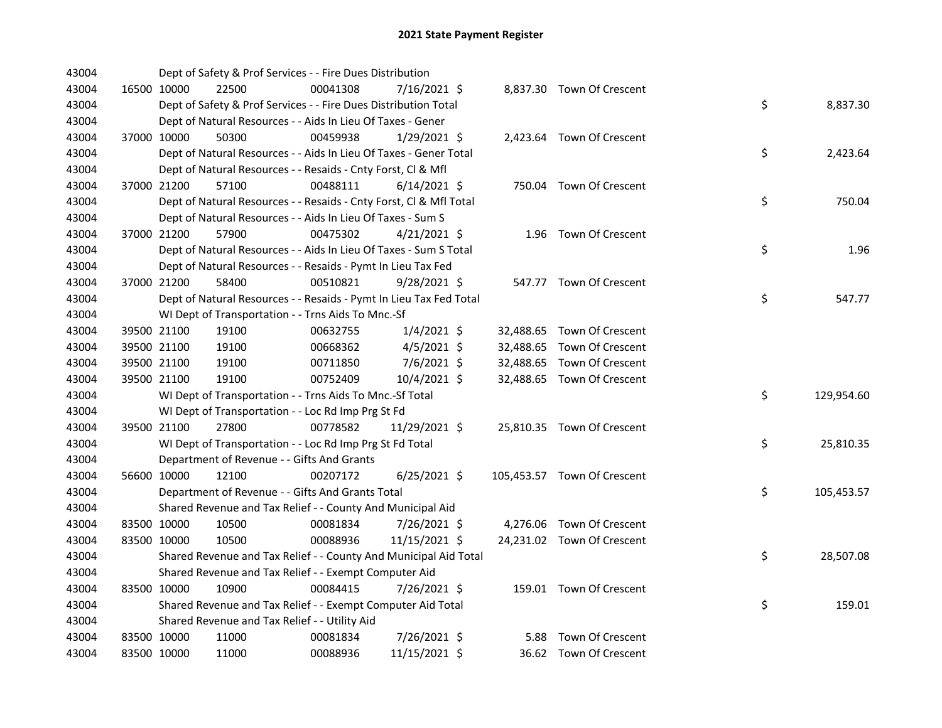| 43004 |             | Dept of Safety & Prof Services - - Fire Dues Distribution          |          |                |  |                             |    |            |
|-------|-------------|--------------------------------------------------------------------|----------|----------------|--|-----------------------------|----|------------|
| 43004 | 16500 10000 | 22500                                                              | 00041308 | 7/16/2021 \$   |  | 8,837.30 Town Of Crescent   |    |            |
| 43004 |             | Dept of Safety & Prof Services - - Fire Dues Distribution Total    |          |                |  |                             | \$ | 8,837.30   |
| 43004 |             | Dept of Natural Resources - - Aids In Lieu Of Taxes - Gener        |          |                |  |                             |    |            |
| 43004 | 37000 10000 | 50300                                                              | 00459938 | $1/29/2021$ \$ |  | 2,423.64 Town Of Crescent   |    |            |
| 43004 |             | Dept of Natural Resources - - Aids In Lieu Of Taxes - Gener Total  |          |                |  |                             | \$ | 2,423.64   |
| 43004 |             | Dept of Natural Resources - - Resaids - Cnty Forst, Cl & Mfl       |          |                |  |                             |    |            |
| 43004 | 37000 21200 | 57100                                                              | 00488111 | $6/14/2021$ \$ |  | 750.04 Town Of Crescent     |    |            |
| 43004 |             | Dept of Natural Resources - - Resaids - Cnty Forst, Cl & Mfl Total |          |                |  |                             | \$ | 750.04     |
| 43004 |             | Dept of Natural Resources - - Aids In Lieu Of Taxes - Sum S        |          |                |  |                             |    |            |
| 43004 | 37000 21200 | 57900                                                              | 00475302 | $4/21/2021$ \$ |  | 1.96 Town Of Crescent       |    |            |
| 43004 |             | Dept of Natural Resources - - Aids In Lieu Of Taxes - Sum S Total  |          |                |  |                             | \$ | 1.96       |
| 43004 |             | Dept of Natural Resources - - Resaids - Pymt In Lieu Tax Fed       |          |                |  |                             |    |            |
| 43004 | 37000 21200 | 58400                                                              | 00510821 | $9/28/2021$ \$ |  | 547.77 Town Of Crescent     |    |            |
| 43004 |             | Dept of Natural Resources - - Resaids - Pymt In Lieu Tax Fed Total |          |                |  |                             | \$ | 547.77     |
| 43004 |             | WI Dept of Transportation - - Trns Aids To Mnc.-Sf                 |          |                |  |                             |    |            |
| 43004 | 39500 21100 | 19100                                                              | 00632755 | $1/4/2021$ \$  |  | 32,488.65 Town Of Crescent  |    |            |
| 43004 | 39500 21100 | 19100                                                              | 00668362 | $4/5/2021$ \$  |  | 32,488.65 Town Of Crescent  |    |            |
| 43004 | 39500 21100 | 19100                                                              | 00711850 | 7/6/2021 \$    |  | 32,488.65 Town Of Crescent  |    |            |
| 43004 | 39500 21100 | 19100                                                              | 00752409 | 10/4/2021 \$   |  | 32,488.65 Town Of Crescent  |    |            |
| 43004 |             | WI Dept of Transportation - - Trns Aids To Mnc.-Sf Total           |          |                |  |                             | \$ | 129,954.60 |
| 43004 |             | WI Dept of Transportation - - Loc Rd Imp Prg St Fd                 |          |                |  |                             |    |            |
| 43004 | 39500 21100 | 27800                                                              | 00778582 | 11/29/2021 \$  |  | 25,810.35 Town Of Crescent  |    |            |
| 43004 |             | WI Dept of Transportation - - Loc Rd Imp Prg St Fd Total           |          |                |  |                             | \$ | 25,810.35  |
| 43004 |             | Department of Revenue - - Gifts And Grants                         |          |                |  |                             |    |            |
| 43004 | 56600 10000 | 12100                                                              | 00207172 | $6/25/2021$ \$ |  | 105,453.57 Town Of Crescent |    |            |
| 43004 |             | Department of Revenue - - Gifts And Grants Total                   |          |                |  |                             | \$ | 105,453.57 |
| 43004 |             | Shared Revenue and Tax Relief - - County And Municipal Aid         |          |                |  |                             |    |            |
| 43004 | 83500 10000 | 10500                                                              | 00081834 | 7/26/2021 \$   |  | 4,276.06 Town Of Crescent   |    |            |
| 43004 | 83500 10000 | 10500                                                              | 00088936 | 11/15/2021 \$  |  | 24,231.02 Town Of Crescent  |    |            |
| 43004 |             | Shared Revenue and Tax Relief - - County And Municipal Aid Total   |          |                |  |                             | \$ | 28,507.08  |
| 43004 |             | Shared Revenue and Tax Relief - - Exempt Computer Aid              |          |                |  |                             |    |            |
| 43004 | 83500 10000 | 10900                                                              | 00084415 | 7/26/2021 \$   |  | 159.01 Town Of Crescent     |    |            |
| 43004 |             | Shared Revenue and Tax Relief - - Exempt Computer Aid Total        |          |                |  |                             | \$ | 159.01     |
| 43004 |             | Shared Revenue and Tax Relief - - Utility Aid                      |          |                |  |                             |    |            |
| 43004 | 83500 10000 | 11000                                                              | 00081834 | 7/26/2021 \$   |  | 5.88 Town Of Crescent       |    |            |
| 43004 | 83500 10000 | 11000                                                              | 00088936 | 11/15/2021 \$  |  | 36.62 Town Of Crescent      |    |            |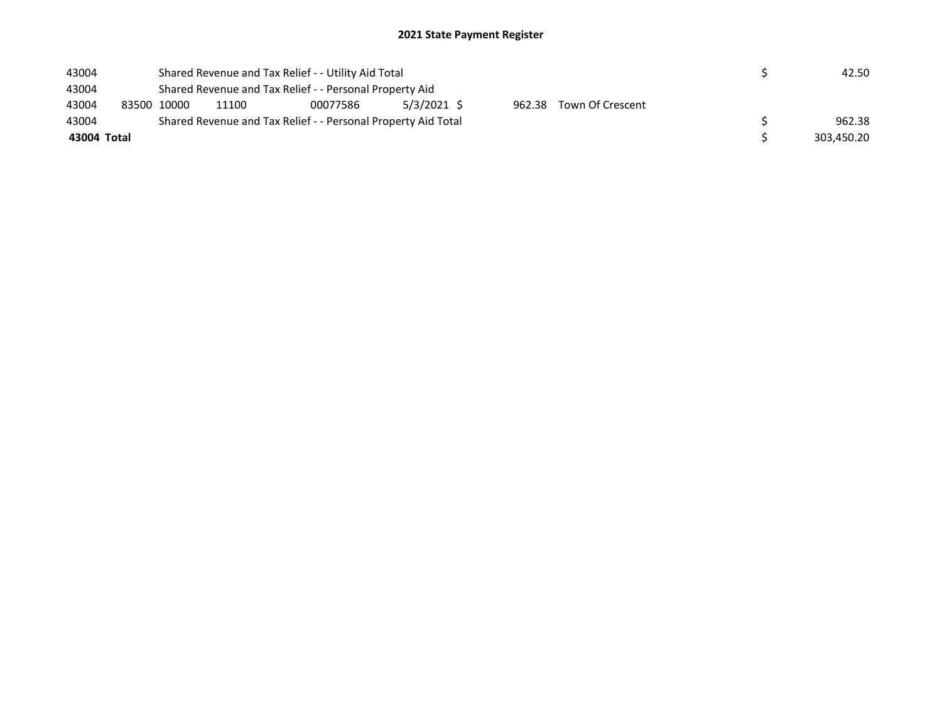| 43004 |                                                         | Shared Revenue and Tax Relief - - Utility Aid Total |                                                             |                                                               | 42.50 |  |  |  |            |  |  |
|-------|---------------------------------------------------------|-----------------------------------------------------|-------------------------------------------------------------|---------------------------------------------------------------|-------|--|--|--|------------|--|--|
| 43004 | Shared Revenue and Tax Relief - - Personal Property Aid |                                                     |                                                             |                                                               |       |  |  |  |            |  |  |
| 43004 | 83500 10000                                             |                                                     | 5/3/2021 \$<br>962.38 Town Of Crescent<br>11100<br>00077586 |                                                               |       |  |  |  |            |  |  |
| 43004 |                                                         |                                                     |                                                             | Shared Revenue and Tax Relief - - Personal Property Aid Total |       |  |  |  | 962.38     |  |  |
|       | 43004 Total                                             |                                                     |                                                             |                                                               |       |  |  |  | 303.450.20 |  |  |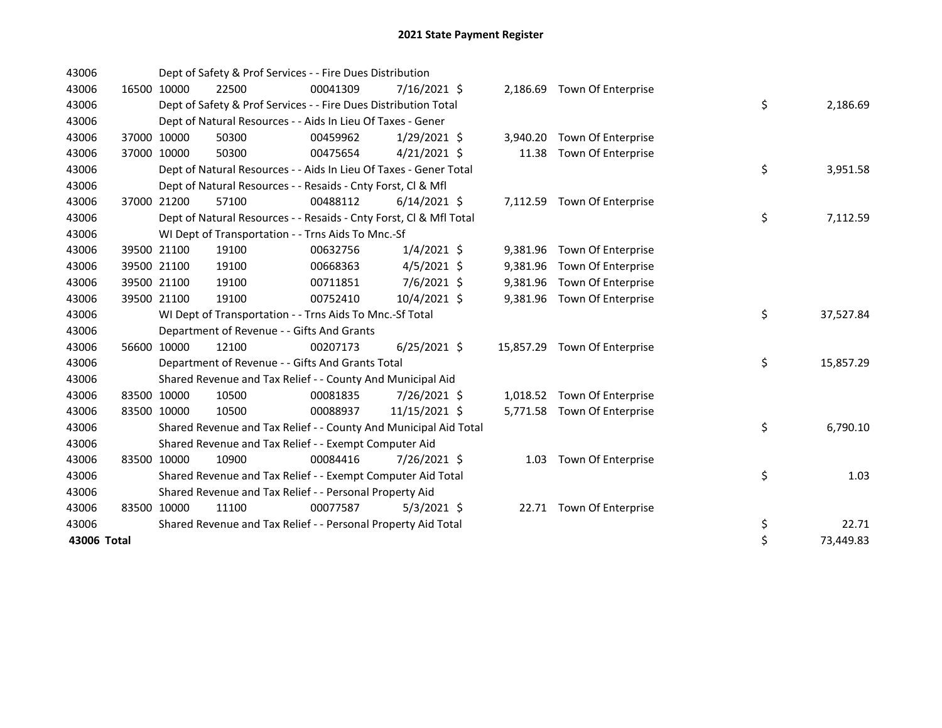| 43006       |             |             | Dept of Safety & Prof Services - - Fire Dues Distribution          |          |                |          |                              |    |           |
|-------------|-------------|-------------|--------------------------------------------------------------------|----------|----------------|----------|------------------------------|----|-----------|
| 43006       |             | 16500 10000 | 22500                                                              | 00041309 | $7/16/2021$ \$ |          | 2,186.69 Town Of Enterprise  |    |           |
| 43006       |             |             | Dept of Safety & Prof Services - - Fire Dues Distribution Total    |          |                |          |                              | \$ | 2,186.69  |
| 43006       |             |             | Dept of Natural Resources - - Aids In Lieu Of Taxes - Gener        |          |                |          |                              |    |           |
| 43006       |             | 37000 10000 | 50300                                                              | 00459962 | $1/29/2021$ \$ | 3,940.20 | Town Of Enterprise           |    |           |
| 43006       |             | 37000 10000 | 50300                                                              | 00475654 | $4/21/2021$ \$ | 11.38    | Town Of Enterprise           |    |           |
| 43006       |             |             | Dept of Natural Resources - - Aids In Lieu Of Taxes - Gener Total  |          |                |          |                              | \$ | 3,951.58  |
| 43006       |             |             | Dept of Natural Resources - - Resaids - Cnty Forst, Cl & Mfl       |          |                |          |                              |    |           |
| 43006       |             | 37000 21200 | 57100                                                              | 00488112 | $6/14/2021$ \$ |          | 7,112.59 Town Of Enterprise  |    |           |
| 43006       |             |             | Dept of Natural Resources - - Resaids - Cnty Forst, Cl & Mfl Total |          |                |          |                              | \$ | 7,112.59  |
| 43006       |             |             | WI Dept of Transportation - - Trns Aids To Mnc.-Sf                 |          |                |          |                              |    |           |
| 43006       |             | 39500 21100 | 19100                                                              | 00632756 | $1/4/2021$ \$  |          | 9,381.96 Town Of Enterprise  |    |           |
| 43006       |             | 39500 21100 | 19100                                                              | 00668363 | $4/5/2021$ \$  | 9,381.96 | Town Of Enterprise           |    |           |
| 43006       |             | 39500 21100 | 19100                                                              | 00711851 | $7/6/2021$ \$  |          | 9,381.96 Town Of Enterprise  |    |           |
| 43006       |             | 39500 21100 | 19100                                                              | 00752410 | 10/4/2021 \$   | 9,381.96 | Town Of Enterprise           |    |           |
| 43006       |             |             | WI Dept of Transportation - - Trns Aids To Mnc.-Sf Total           |          |                |          |                              | \$ | 37,527.84 |
| 43006       |             |             | Department of Revenue - - Gifts And Grants                         |          |                |          |                              |    |           |
| 43006       |             | 56600 10000 | 12100                                                              | 00207173 | $6/25/2021$ \$ |          | 15,857.29 Town Of Enterprise |    |           |
| 43006       |             |             | Department of Revenue - - Gifts And Grants Total                   |          |                |          |                              | \$ | 15,857.29 |
| 43006       |             |             | Shared Revenue and Tax Relief - - County And Municipal Aid         |          |                |          |                              |    |           |
| 43006       | 83500 10000 |             | 10500                                                              | 00081835 | 7/26/2021 \$   | 1,018.52 | Town Of Enterprise           |    |           |
| 43006       | 83500 10000 |             | 10500                                                              | 00088937 | 11/15/2021 \$  |          | 5,771.58 Town Of Enterprise  |    |           |
| 43006       |             |             | Shared Revenue and Tax Relief - - County And Municipal Aid Total   |          |                |          |                              | \$ | 6,790.10  |
| 43006       |             |             | Shared Revenue and Tax Relief - - Exempt Computer Aid              |          |                |          |                              |    |           |
| 43006       | 83500 10000 |             | 10900                                                              | 00084416 | 7/26/2021 \$   |          | 1.03 Town Of Enterprise      |    |           |
| 43006       |             |             | Shared Revenue and Tax Relief - - Exempt Computer Aid Total        |          |                |          |                              | \$ | 1.03      |
| 43006       |             |             | Shared Revenue and Tax Relief - - Personal Property Aid            |          |                |          |                              |    |           |
| 43006       | 83500 10000 |             | 11100                                                              | 00077587 | $5/3/2021$ \$  |          | 22.71 Town Of Enterprise     |    |           |
| 43006       |             |             | Shared Revenue and Tax Relief - - Personal Property Aid Total      |          |                |          |                              | \$ | 22.71     |
| 43006 Total |             |             |                                                                    |          |                |          |                              | \$ | 73,449.83 |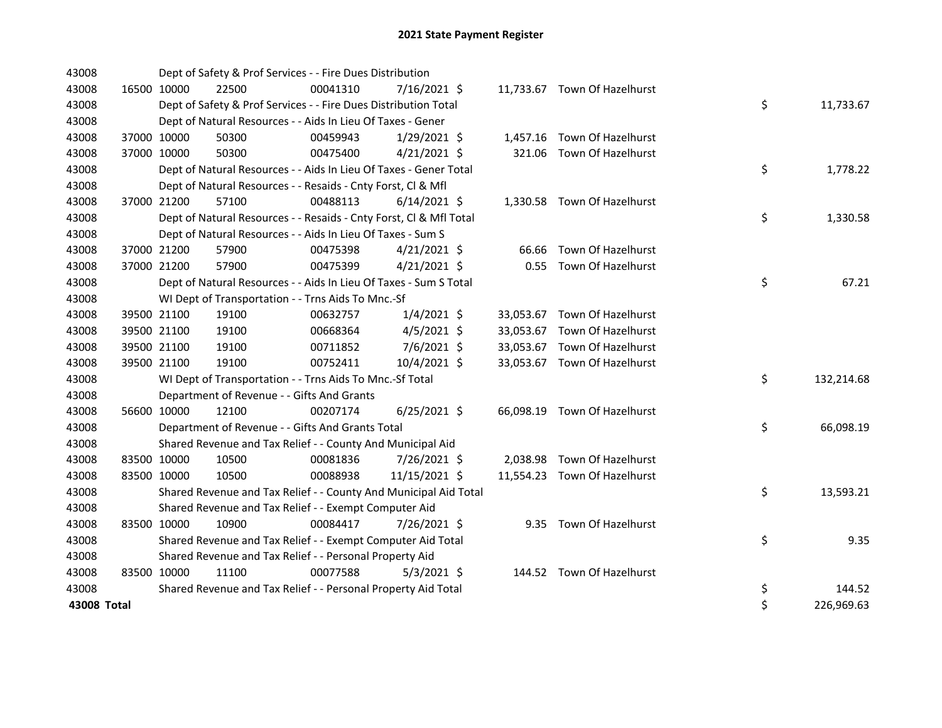| 43008       |             |             | Dept of Safety & Prof Services - - Fire Dues Distribution          |          |                |  |                              |    |            |
|-------------|-------------|-------------|--------------------------------------------------------------------|----------|----------------|--|------------------------------|----|------------|
| 43008       | 16500 10000 |             | 22500                                                              | 00041310 | $7/16/2021$ \$ |  | 11,733.67 Town Of Hazelhurst |    |            |
| 43008       |             |             | Dept of Safety & Prof Services - - Fire Dues Distribution Total    |          |                |  |                              | \$ | 11,733.67  |
| 43008       |             |             | Dept of Natural Resources - - Aids In Lieu Of Taxes - Gener        |          |                |  |                              |    |            |
| 43008       |             | 37000 10000 | 50300                                                              | 00459943 | $1/29/2021$ \$ |  | 1,457.16 Town Of Hazelhurst  |    |            |
| 43008       |             | 37000 10000 | 50300                                                              | 00475400 | $4/21/2021$ \$ |  | 321.06 Town Of Hazelhurst    |    |            |
| 43008       |             |             | Dept of Natural Resources - - Aids In Lieu Of Taxes - Gener Total  |          |                |  |                              | \$ | 1,778.22   |
| 43008       |             |             | Dept of Natural Resources - - Resaids - Cnty Forst, Cl & Mfl       |          |                |  |                              |    |            |
| 43008       |             | 37000 21200 | 57100                                                              | 00488113 | $6/14/2021$ \$ |  | 1,330.58 Town Of Hazelhurst  |    |            |
| 43008       |             |             | Dept of Natural Resources - - Resaids - Cnty Forst, Cl & Mfl Total |          |                |  |                              | \$ | 1,330.58   |
| 43008       |             |             | Dept of Natural Resources - - Aids In Lieu Of Taxes - Sum S        |          |                |  |                              |    |            |
| 43008       |             | 37000 21200 | 57900                                                              | 00475398 | $4/21/2021$ \$ |  | 66.66 Town Of Hazelhurst     |    |            |
| 43008       |             | 37000 21200 | 57900                                                              | 00475399 | $4/21/2021$ \$ |  | 0.55 Town Of Hazelhurst      |    |            |
| 43008       |             |             | Dept of Natural Resources - - Aids In Lieu Of Taxes - Sum S Total  |          |                |  |                              | \$ | 67.21      |
| 43008       |             |             | WI Dept of Transportation - - Trns Aids To Mnc.-Sf                 |          |                |  |                              |    |            |
| 43008       |             | 39500 21100 | 19100                                                              | 00632757 | $1/4/2021$ \$  |  | 33,053.67 Town Of Hazelhurst |    |            |
| 43008       |             | 39500 21100 | 19100                                                              | 00668364 | $4/5/2021$ \$  |  | 33,053.67 Town Of Hazelhurst |    |            |
| 43008       | 39500 21100 |             | 19100                                                              | 00711852 | $7/6/2021$ \$  |  | 33,053.67 Town Of Hazelhurst |    |            |
| 43008       |             | 39500 21100 | 19100                                                              | 00752411 | 10/4/2021 \$   |  | 33,053.67 Town Of Hazelhurst |    |            |
| 43008       |             |             | WI Dept of Transportation - - Trns Aids To Mnc.-Sf Total           |          |                |  |                              | \$ | 132,214.68 |
| 43008       |             |             | Department of Revenue - - Gifts And Grants                         |          |                |  |                              |    |            |
| 43008       |             | 56600 10000 | 12100                                                              | 00207174 | $6/25/2021$ \$ |  | 66,098.19 Town Of Hazelhurst |    |            |
| 43008       |             |             | Department of Revenue - - Gifts And Grants Total                   |          |                |  |                              | \$ | 66,098.19  |
| 43008       |             |             | Shared Revenue and Tax Relief - - County And Municipal Aid         |          |                |  |                              |    |            |
| 43008       |             | 83500 10000 | 10500                                                              | 00081836 | 7/26/2021 \$   |  | 2,038.98 Town Of Hazelhurst  |    |            |
| 43008       |             | 83500 10000 | 10500                                                              | 00088938 | 11/15/2021 \$  |  | 11,554.23 Town Of Hazelhurst |    |            |
| 43008       |             |             | Shared Revenue and Tax Relief - - County And Municipal Aid Total   |          |                |  |                              | \$ | 13,593.21  |
| 43008       |             |             | Shared Revenue and Tax Relief - - Exempt Computer Aid              |          |                |  |                              |    |            |
| 43008       | 83500 10000 |             | 10900                                                              | 00084417 | 7/26/2021 \$   |  | 9.35 Town Of Hazelhurst      |    |            |
| 43008       |             |             | Shared Revenue and Tax Relief - - Exempt Computer Aid Total        |          |                |  |                              | \$ | 9.35       |
| 43008       |             |             | Shared Revenue and Tax Relief - - Personal Property Aid            |          |                |  |                              |    |            |
| 43008       | 83500 10000 |             | 11100                                                              | 00077588 | $5/3/2021$ \$  |  | 144.52 Town Of Hazelhurst    |    |            |
| 43008       |             |             | Shared Revenue and Tax Relief - - Personal Property Aid Total      |          |                |  |                              | \$ | 144.52     |
| 43008 Total |             |             |                                                                    |          |                |  |                              | \$ | 226,969.63 |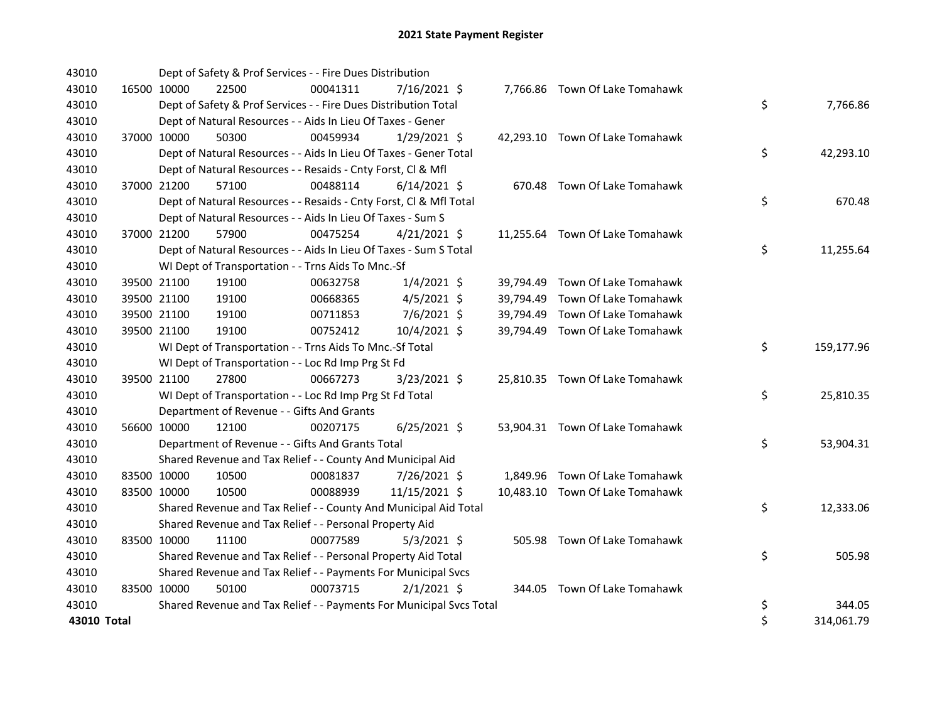| 43010       |             |             | Dept of Safety & Prof Services - - Fire Dues Distribution           |          |                |  |                                 |    |            |
|-------------|-------------|-------------|---------------------------------------------------------------------|----------|----------------|--|---------------------------------|----|------------|
| 43010       | 16500 10000 |             | 22500                                                               | 00041311 | 7/16/2021 \$   |  | 7,766.86 Town Of Lake Tomahawk  |    |            |
| 43010       |             |             | Dept of Safety & Prof Services - - Fire Dues Distribution Total     |          |                |  |                                 | \$ | 7,766.86   |
| 43010       |             |             | Dept of Natural Resources - - Aids In Lieu Of Taxes - Gener         |          |                |  |                                 |    |            |
| 43010       |             | 37000 10000 | 50300                                                               | 00459934 | $1/29/2021$ \$ |  | 42,293.10 Town Of Lake Tomahawk |    |            |
| 43010       |             |             | Dept of Natural Resources - - Aids In Lieu Of Taxes - Gener Total   |          |                |  |                                 | \$ | 42,293.10  |
| 43010       |             |             | Dept of Natural Resources - - Resaids - Cnty Forst, Cl & Mfl        |          |                |  |                                 |    |            |
| 43010       |             | 37000 21200 | 57100                                                               | 00488114 | $6/14/2021$ \$ |  | 670.48 Town Of Lake Tomahawk    |    |            |
| 43010       |             |             | Dept of Natural Resources - - Resaids - Cnty Forst, Cl & Mfl Total  |          |                |  |                                 | \$ | 670.48     |
| 43010       |             |             | Dept of Natural Resources - - Aids In Lieu Of Taxes - Sum S         |          |                |  |                                 |    |            |
| 43010       |             | 37000 21200 | 57900                                                               | 00475254 | $4/21/2021$ \$ |  | 11,255.64 Town Of Lake Tomahawk |    |            |
| 43010       |             |             | Dept of Natural Resources - - Aids In Lieu Of Taxes - Sum S Total   |          |                |  |                                 | \$ | 11,255.64  |
| 43010       |             |             | WI Dept of Transportation - - Trns Aids To Mnc.-Sf                  |          |                |  |                                 |    |            |
| 43010       |             | 39500 21100 | 19100                                                               | 00632758 | $1/4/2021$ \$  |  | 39,794.49 Town Of Lake Tomahawk |    |            |
| 43010       |             | 39500 21100 | 19100                                                               | 00668365 | $4/5/2021$ \$  |  | 39,794.49 Town Of Lake Tomahawk |    |            |
| 43010       |             | 39500 21100 | 19100                                                               | 00711853 | 7/6/2021 \$    |  | 39,794.49 Town Of Lake Tomahawk |    |            |
| 43010       |             | 39500 21100 | 19100                                                               | 00752412 | 10/4/2021 \$   |  | 39,794.49 Town Of Lake Tomahawk |    |            |
| 43010       |             |             | WI Dept of Transportation - - Trns Aids To Mnc.-Sf Total            |          |                |  |                                 | \$ | 159,177.96 |
| 43010       |             |             | WI Dept of Transportation - - Loc Rd Imp Prg St Fd                  |          |                |  |                                 |    |            |
| 43010       |             | 39500 21100 | 27800                                                               | 00667273 | 3/23/2021 \$   |  | 25,810.35 Town Of Lake Tomahawk |    |            |
| 43010       |             |             | WI Dept of Transportation - - Loc Rd Imp Prg St Fd Total            |          |                |  |                                 | \$ | 25,810.35  |
| 43010       |             |             | Department of Revenue - - Gifts And Grants                          |          |                |  |                                 |    |            |
| 43010       |             | 56600 10000 | 12100                                                               | 00207175 | $6/25/2021$ \$ |  | 53,904.31 Town Of Lake Tomahawk |    |            |
| 43010       |             |             | Department of Revenue - - Gifts And Grants Total                    |          |                |  |                                 | \$ | 53,904.31  |
| 43010       |             |             | Shared Revenue and Tax Relief - - County And Municipal Aid          |          |                |  |                                 |    |            |
| 43010       | 83500 10000 |             | 10500                                                               | 00081837 | 7/26/2021 \$   |  | 1,849.96 Town Of Lake Tomahawk  |    |            |
| 43010       |             | 83500 10000 | 10500                                                               | 00088939 | 11/15/2021 \$  |  | 10,483.10 Town Of Lake Tomahawk |    |            |
| 43010       |             |             | Shared Revenue and Tax Relief - - County And Municipal Aid Total    |          |                |  |                                 | \$ | 12,333.06  |
| 43010       |             |             | Shared Revenue and Tax Relief - - Personal Property Aid             |          |                |  |                                 |    |            |
| 43010       |             | 83500 10000 | 11100                                                               | 00077589 | $5/3/2021$ \$  |  | 505.98 Town Of Lake Tomahawk    |    |            |
| 43010       |             |             | Shared Revenue and Tax Relief - - Personal Property Aid Total       |          |                |  |                                 | \$ | 505.98     |
| 43010       |             |             | Shared Revenue and Tax Relief - - Payments For Municipal Svcs       |          |                |  |                                 |    |            |
| 43010       | 83500 10000 |             | 50100                                                               | 00073715 | $2/1/2021$ \$  |  | 344.05 Town Of Lake Tomahawk    |    |            |
| 43010       |             |             | Shared Revenue and Tax Relief - - Payments For Municipal Svcs Total |          |                |  |                                 | \$ | 344.05     |
| 43010 Total |             |             |                                                                     |          |                |  |                                 | \$ | 314,061.79 |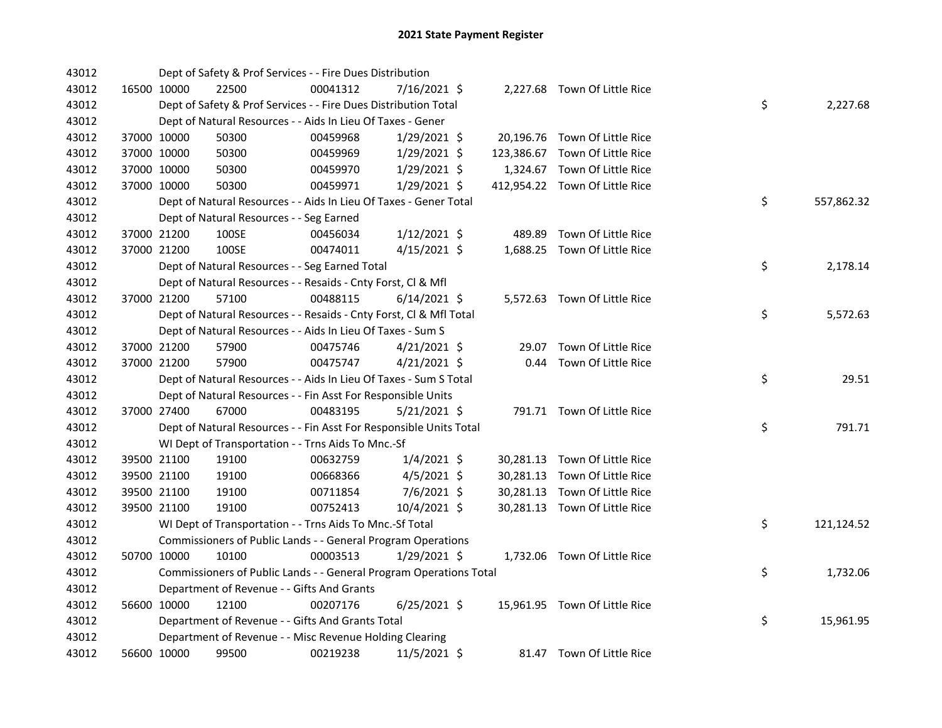| 43012 |             | Dept of Safety & Prof Services - - Fire Dues Distribution          |          |                |        |                                |    |            |
|-------|-------------|--------------------------------------------------------------------|----------|----------------|--------|--------------------------------|----|------------|
| 43012 | 16500 10000 | 22500                                                              | 00041312 | 7/16/2021 \$   |        | 2,227.68 Town Of Little Rice   |    |            |
| 43012 |             | Dept of Safety & Prof Services - - Fire Dues Distribution Total    |          |                |        |                                | \$ | 2,227.68   |
| 43012 |             | Dept of Natural Resources - - Aids In Lieu Of Taxes - Gener        |          |                |        |                                |    |            |
| 43012 | 37000 10000 | 50300                                                              | 00459968 | 1/29/2021 \$   |        | 20,196.76 Town Of Little Rice  |    |            |
| 43012 | 37000 10000 | 50300                                                              | 00459969 | $1/29/2021$ \$ |        | 123,386.67 Town Of Little Rice |    |            |
| 43012 | 37000 10000 | 50300                                                              | 00459970 | $1/29/2021$ \$ |        | 1,324.67 Town Of Little Rice   |    |            |
| 43012 | 37000 10000 | 50300                                                              | 00459971 | $1/29/2021$ \$ |        | 412,954.22 Town Of Little Rice |    |            |
| 43012 |             | Dept of Natural Resources - - Aids In Lieu Of Taxes - Gener Total  |          |                |        |                                | \$ | 557,862.32 |
| 43012 |             | Dept of Natural Resources - - Seg Earned                           |          |                |        |                                |    |            |
| 43012 | 37000 21200 | 100SE                                                              | 00456034 | $1/12/2021$ \$ | 489.89 | Town Of Little Rice            |    |            |
| 43012 | 37000 21200 | 100SE                                                              | 00474011 | 4/15/2021 \$   |        | 1,688.25 Town Of Little Rice   |    |            |
| 43012 |             | Dept of Natural Resources - - Seg Earned Total                     |          |                |        |                                | \$ | 2,178.14   |
| 43012 |             | Dept of Natural Resources - - Resaids - Cnty Forst, Cl & Mfl       |          |                |        |                                |    |            |
| 43012 | 37000 21200 | 57100                                                              | 00488115 | $6/14/2021$ \$ |        | 5,572.63 Town Of Little Rice   |    |            |
| 43012 |             | Dept of Natural Resources - - Resaids - Cnty Forst, CI & Mfl Total |          |                |        |                                | \$ | 5,572.63   |
| 43012 |             | Dept of Natural Resources - - Aids In Lieu Of Taxes - Sum S        |          |                |        |                                |    |            |
| 43012 | 37000 21200 | 57900                                                              | 00475746 | $4/21/2021$ \$ |        | 29.07 Town Of Little Rice      |    |            |
| 43012 | 37000 21200 | 57900                                                              | 00475747 | $4/21/2021$ \$ |        | 0.44 Town Of Little Rice       |    |            |
| 43012 |             | Dept of Natural Resources - - Aids In Lieu Of Taxes - Sum S Total  |          |                |        |                                | \$ | 29.51      |
| 43012 |             | Dept of Natural Resources - - Fin Asst For Responsible Units       |          |                |        |                                |    |            |
| 43012 | 37000 27400 | 67000                                                              | 00483195 | $5/21/2021$ \$ |        | 791.71 Town Of Little Rice     |    |            |
| 43012 |             | Dept of Natural Resources - - Fin Asst For Responsible Units Total |          |                |        |                                | \$ | 791.71     |
| 43012 |             | WI Dept of Transportation - - Trns Aids To Mnc.-Sf                 |          |                |        |                                |    |            |
| 43012 | 39500 21100 | 19100                                                              | 00632759 | $1/4/2021$ \$  |        | 30,281.13 Town Of Little Rice  |    |            |
| 43012 | 39500 21100 | 19100                                                              | 00668366 | $4/5/2021$ \$  |        | 30,281.13 Town Of Little Rice  |    |            |
| 43012 | 39500 21100 | 19100                                                              | 00711854 | 7/6/2021 \$    |        | 30,281.13 Town Of Little Rice  |    |            |
| 43012 | 39500 21100 | 19100                                                              | 00752413 | 10/4/2021 \$   |        | 30,281.13 Town Of Little Rice  |    |            |
| 43012 |             | WI Dept of Transportation - - Trns Aids To Mnc.-Sf Total           |          |                |        |                                | \$ | 121,124.52 |
| 43012 |             | Commissioners of Public Lands - - General Program Operations       |          |                |        |                                |    |            |
| 43012 | 50700 10000 | 10100                                                              | 00003513 | $1/29/2021$ \$ |        | 1,732.06 Town Of Little Rice   |    |            |
| 43012 |             | Commissioners of Public Lands - - General Program Operations Total |          |                |        |                                | \$ | 1,732.06   |
| 43012 |             | Department of Revenue - - Gifts And Grants                         |          |                |        |                                |    |            |
| 43012 | 56600 10000 | 12100                                                              | 00207176 | $6/25/2021$ \$ |        | 15,961.95 Town Of Little Rice  |    |            |
| 43012 |             | Department of Revenue - - Gifts And Grants Total                   |          |                |        |                                | \$ | 15,961.95  |
| 43012 |             | Department of Revenue - - Misc Revenue Holding Clearing            |          |                |        |                                |    |            |
| 43012 | 56600 10000 | 99500                                                              | 00219238 | $11/5/2021$ \$ |        | 81.47 Town Of Little Rice      |    |            |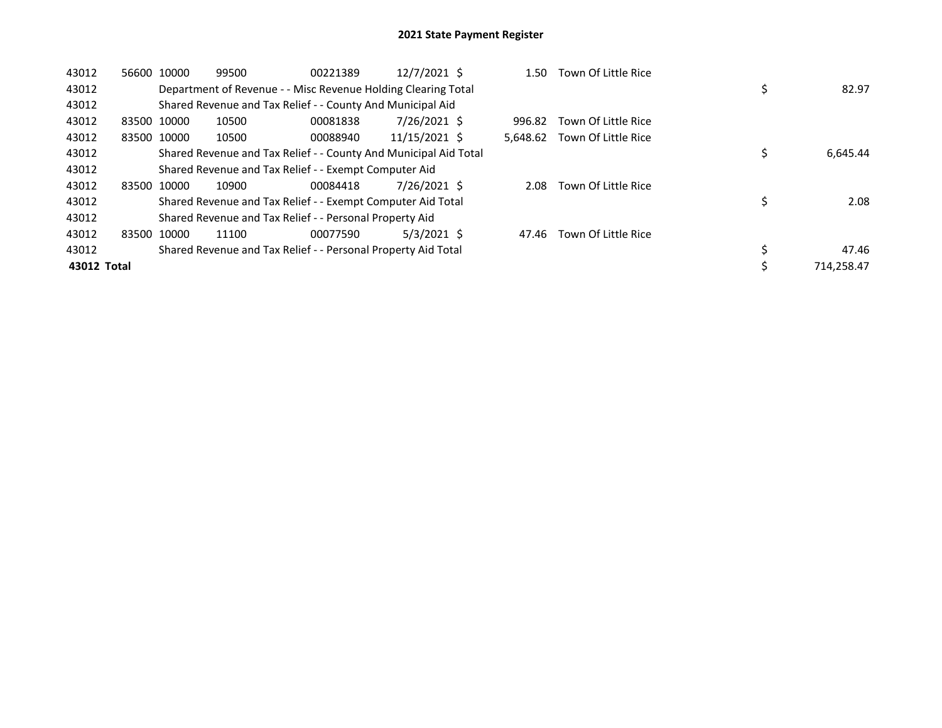| 43012       | 56600 | 10000       | 99500 | 00221389                                                         | 12/7/2021 \$  | 1.50     | Town Of Little Rice |             |
|-------------|-------|-------------|-------|------------------------------------------------------------------|---------------|----------|---------------------|-------------|
| 43012       |       |             |       | Department of Revenue - - Misc Revenue Holding Clearing Total    |               |          |                     | 82.97       |
| 43012       |       |             |       | Shared Revenue and Tax Relief - - County And Municipal Aid       |               |          |                     |             |
| 43012       |       | 83500 10000 | 10500 | 00081838                                                         | 7/26/2021 \$  | 996.82   | Town Of Little Rice |             |
| 43012       |       | 83500 10000 | 10500 | 00088940                                                         | 11/15/2021 \$ | 5.648.62 | Town Of Little Rice |             |
| 43012       |       |             |       | Shared Revenue and Tax Relief - - County And Municipal Aid Total |               |          |                     | 6,645.44    |
| 43012       |       |             |       | Shared Revenue and Tax Relief - - Exempt Computer Aid            |               |          |                     |             |
| 43012       |       | 83500 10000 | 10900 | 00084418                                                         | 7/26/2021 \$  | 2.08     | Town Of Little Rice |             |
| 43012       |       |             |       | Shared Revenue and Tax Relief - - Exempt Computer Aid Total      |               |          |                     | 2.08        |
| 43012       |       |             |       | Shared Revenue and Tax Relief - - Personal Property Aid          |               |          |                     |             |
| 43012       |       | 83500 10000 | 11100 | 00077590                                                         | $5/3/2021$ \$ | 47.46    | Town Of Little Rice |             |
| 43012       |       |             |       | Shared Revenue and Tax Relief - - Personal Property Aid Total    |               |          |                     | \$<br>47.46 |
| 43012 Total |       |             |       |                                                                  |               |          |                     | 714.258.47  |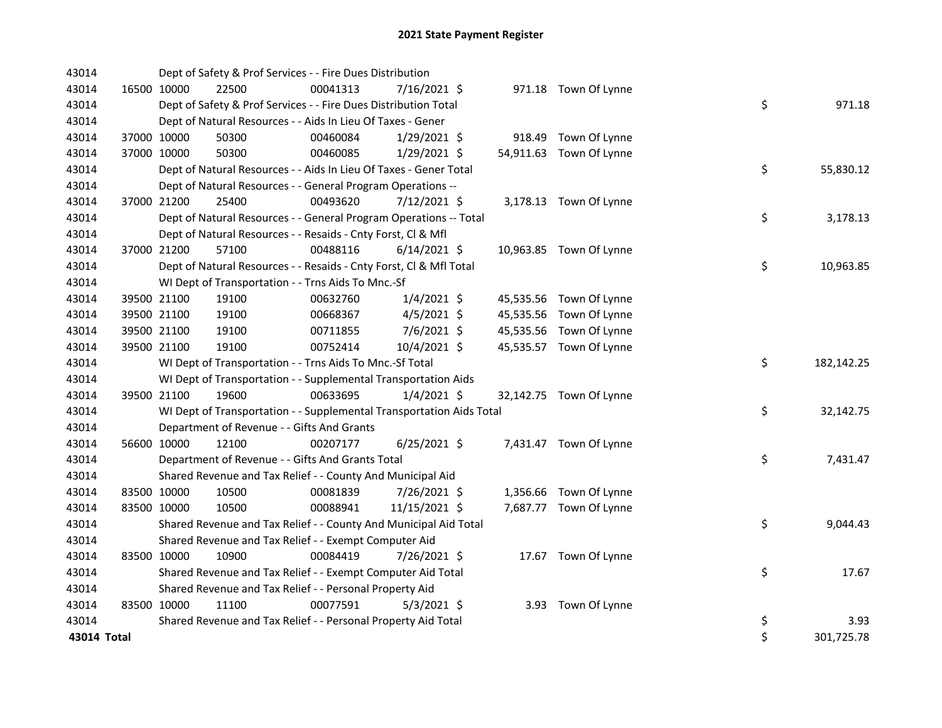| 43014       |             |             | Dept of Safety & Prof Services - - Fire Dues Distribution            |          |                |  |                         |    |            |
|-------------|-------------|-------------|----------------------------------------------------------------------|----------|----------------|--|-------------------------|----|------------|
| 43014       |             | 16500 10000 | 22500                                                                | 00041313 | 7/16/2021 \$   |  | 971.18 Town Of Lynne    |    |            |
| 43014       |             |             | Dept of Safety & Prof Services - - Fire Dues Distribution Total      |          |                |  |                         | \$ | 971.18     |
| 43014       |             |             | Dept of Natural Resources - - Aids In Lieu Of Taxes - Gener          |          |                |  |                         |    |            |
| 43014       |             | 37000 10000 | 50300                                                                | 00460084 | $1/29/2021$ \$ |  | 918.49 Town Of Lynne    |    |            |
| 43014       |             | 37000 10000 | 50300                                                                | 00460085 | 1/29/2021 \$   |  | 54,911.63 Town Of Lynne |    |            |
| 43014       |             |             | Dept of Natural Resources - - Aids In Lieu Of Taxes - Gener Total    |          |                |  |                         | \$ | 55,830.12  |
| 43014       |             |             | Dept of Natural Resources - - General Program Operations --          |          |                |  |                         |    |            |
| 43014       |             | 37000 21200 | 25400                                                                | 00493620 | 7/12/2021 \$   |  | 3,178.13 Town Of Lynne  |    |            |
| 43014       |             |             | Dept of Natural Resources - - General Program Operations -- Total    |          |                |  |                         | \$ | 3,178.13   |
| 43014       |             |             | Dept of Natural Resources - - Resaids - Cnty Forst, Cl & Mfl         |          |                |  |                         |    |            |
| 43014       |             | 37000 21200 | 57100                                                                | 00488116 | $6/14/2021$ \$ |  | 10,963.85 Town Of Lynne |    |            |
| 43014       |             |             | Dept of Natural Resources - - Resaids - Cnty Forst, Cl & Mfl Total   |          |                |  |                         | \$ | 10,963.85  |
| 43014       |             |             | WI Dept of Transportation - - Trns Aids To Mnc.-Sf                   |          |                |  |                         |    |            |
| 43014       |             | 39500 21100 | 19100                                                                | 00632760 | $1/4/2021$ \$  |  | 45,535.56 Town Of Lynne |    |            |
| 43014       |             | 39500 21100 | 19100                                                                | 00668367 | $4/5/2021$ \$  |  | 45,535.56 Town Of Lynne |    |            |
| 43014       |             | 39500 21100 | 19100                                                                | 00711855 | 7/6/2021 \$    |  | 45,535.56 Town Of Lynne |    |            |
| 43014       |             | 39500 21100 | 19100                                                                | 00752414 | 10/4/2021 \$   |  | 45,535.57 Town Of Lynne |    |            |
| 43014       |             |             | WI Dept of Transportation - - Trns Aids To Mnc.-Sf Total             |          |                |  |                         | \$ | 182,142.25 |
| 43014       |             |             | WI Dept of Transportation - - Supplemental Transportation Aids       |          |                |  |                         |    |            |
| 43014       |             | 39500 21100 | 19600                                                                | 00633695 | $1/4/2021$ \$  |  | 32,142.75 Town Of Lynne |    |            |
| 43014       |             |             | WI Dept of Transportation - - Supplemental Transportation Aids Total |          |                |  |                         | \$ | 32,142.75  |
| 43014       |             |             | Department of Revenue - - Gifts And Grants                           |          |                |  |                         |    |            |
| 43014       |             | 56600 10000 | 12100                                                                | 00207177 | $6/25/2021$ \$ |  | 7,431.47 Town Of Lynne  |    |            |
| 43014       |             |             | Department of Revenue - - Gifts And Grants Total                     |          |                |  |                         | \$ | 7,431.47   |
| 43014       |             |             | Shared Revenue and Tax Relief - - County And Municipal Aid           |          |                |  |                         |    |            |
| 43014       |             | 83500 10000 | 10500                                                                | 00081839 | 7/26/2021 \$   |  | 1,356.66 Town Of Lynne  |    |            |
| 43014       |             | 83500 10000 | 10500                                                                | 00088941 | 11/15/2021 \$  |  | 7,687.77 Town Of Lynne  |    |            |
| 43014       |             |             | Shared Revenue and Tax Relief - - County And Municipal Aid Total     |          |                |  |                         | \$ | 9,044.43   |
| 43014       |             |             | Shared Revenue and Tax Relief - - Exempt Computer Aid                |          |                |  |                         |    |            |
| 43014       | 83500 10000 |             | 10900                                                                | 00084419 | 7/26/2021 \$   |  | 17.67 Town Of Lynne     |    |            |
| 43014       |             |             | Shared Revenue and Tax Relief - - Exempt Computer Aid Total          |          |                |  |                         | \$ | 17.67      |
| 43014       |             |             | Shared Revenue and Tax Relief - - Personal Property Aid              |          |                |  |                         |    |            |
| 43014       | 83500 10000 |             | 11100                                                                | 00077591 | $5/3/2021$ \$  |  | 3.93 Town Of Lynne      |    |            |
| 43014       |             |             | Shared Revenue and Tax Relief - - Personal Property Aid Total        |          |                |  |                         | \$ | 3.93       |
| 43014 Total |             |             |                                                                      |          |                |  |                         | \$ | 301,725.78 |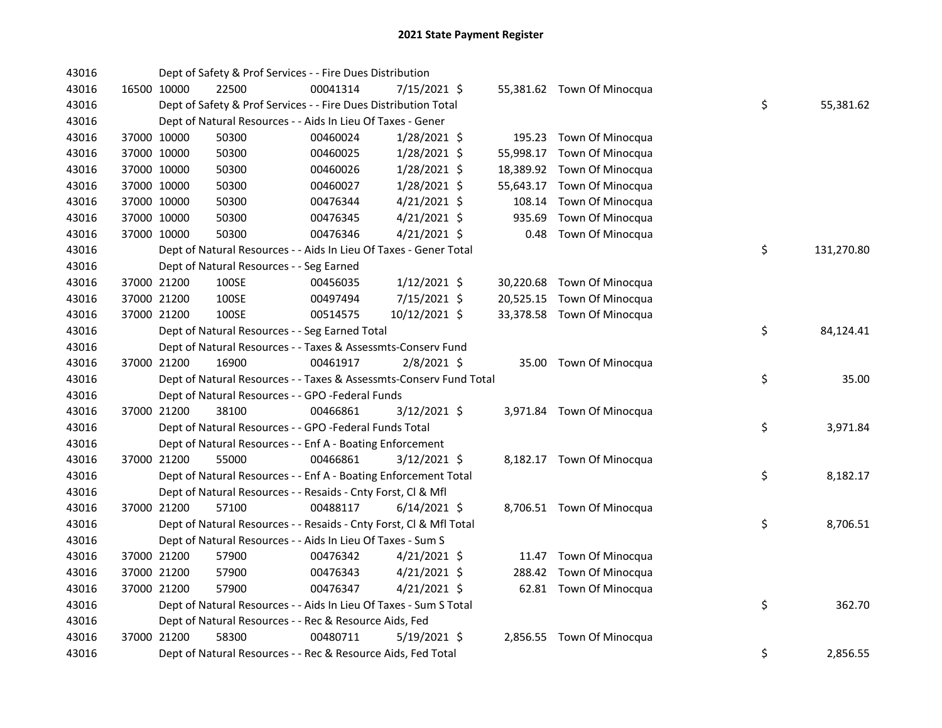| 43016 |             |                                          | Dept of Safety & Prof Services - - Fire Dues Distribution          |                |           |                            |    |            |
|-------|-------------|------------------------------------------|--------------------------------------------------------------------|----------------|-----------|----------------------------|----|------------|
| 43016 | 16500 10000 | 22500                                    | 00041314                                                           | 7/15/2021 \$   |           | 55,381.62 Town Of Minocqua |    |            |
| 43016 |             |                                          | Dept of Safety & Prof Services - - Fire Dues Distribution Total    |                |           |                            | \$ | 55,381.62  |
| 43016 |             |                                          | Dept of Natural Resources - - Aids In Lieu Of Taxes - Gener        |                |           |                            |    |            |
| 43016 | 37000 10000 | 50300                                    | 00460024                                                           | 1/28/2021 \$   |           | 195.23 Town Of Minocqua    |    |            |
| 43016 | 37000 10000 | 50300                                    | 00460025                                                           | $1/28/2021$ \$ | 55,998.17 | Town Of Minocqua           |    |            |
| 43016 | 37000 10000 | 50300                                    | 00460026                                                           | 1/28/2021 \$   |           | 18,389.92 Town Of Minocqua |    |            |
| 43016 | 37000 10000 | 50300                                    | 00460027                                                           | $1/28/2021$ \$ |           | 55,643.17 Town Of Minocqua |    |            |
| 43016 | 37000 10000 | 50300                                    | 00476344                                                           | $4/21/2021$ \$ | 108.14    | Town Of Minocqua           |    |            |
| 43016 | 37000 10000 | 50300                                    | 00476345                                                           | $4/21/2021$ \$ | 935.69    | Town Of Minocqua           |    |            |
| 43016 | 37000 10000 | 50300                                    | 00476346                                                           | $4/21/2021$ \$ |           | 0.48 Town Of Minocqua      |    |            |
| 43016 |             |                                          | Dept of Natural Resources - - Aids In Lieu Of Taxes - Gener Total  |                |           |                            | \$ | 131,270.80 |
| 43016 |             | Dept of Natural Resources - - Seg Earned |                                                                    |                |           |                            |    |            |
| 43016 | 37000 21200 | 100SE                                    | 00456035                                                           | $1/12/2021$ \$ |           | 30,220.68 Town Of Minocqua |    |            |
| 43016 | 37000 21200 | 100SE                                    | 00497494                                                           | 7/15/2021 \$   |           | 20,525.15 Town Of Minocqua |    |            |
| 43016 | 37000 21200 | 100SE                                    | 00514575                                                           | 10/12/2021 \$  |           | 33,378.58 Town Of Minocqua |    |            |
| 43016 |             |                                          | Dept of Natural Resources - - Seg Earned Total                     |                |           |                            | \$ | 84,124.41  |
| 43016 |             |                                          | Dept of Natural Resources - - Taxes & Assessmts-Conserv Fund       |                |           |                            |    |            |
| 43016 | 37000 21200 | 16900                                    | 00461917                                                           | $2/8/2021$ \$  |           | 35.00 Town Of Minocqua     |    |            |
| 43016 |             |                                          | Dept of Natural Resources - - Taxes & Assessmts-Conserv Fund Total |                |           |                            | \$ | 35.00      |
| 43016 |             |                                          | Dept of Natural Resources - - GPO -Federal Funds                   |                |           |                            |    |            |
| 43016 | 37000 21200 | 38100                                    | 00466861                                                           | $3/12/2021$ \$ |           | 3,971.84 Town Of Minocqua  |    |            |
| 43016 |             |                                          | Dept of Natural Resources - - GPO -Federal Funds Total             |                |           |                            | \$ | 3,971.84   |
| 43016 |             |                                          | Dept of Natural Resources - - Enf A - Boating Enforcement          |                |           |                            |    |            |
| 43016 | 37000 21200 | 55000                                    | 00466861                                                           | 3/12/2021 \$   |           | 8,182.17 Town Of Minocqua  |    |            |
| 43016 |             |                                          | Dept of Natural Resources - - Enf A - Boating Enforcement Total    |                |           |                            | \$ | 8,182.17   |
| 43016 |             |                                          | Dept of Natural Resources - - Resaids - Cnty Forst, Cl & Mfl       |                |           |                            |    |            |
| 43016 | 37000 21200 | 57100                                    | 00488117                                                           | $6/14/2021$ \$ |           | 8,706.51 Town Of Minocqua  |    |            |
| 43016 |             |                                          | Dept of Natural Resources - - Resaids - Cnty Forst, Cl & Mfl Total |                |           |                            | \$ | 8,706.51   |
| 43016 |             |                                          | Dept of Natural Resources - - Aids In Lieu Of Taxes - Sum S        |                |           |                            |    |            |
| 43016 | 37000 21200 | 57900                                    | 00476342                                                           | $4/21/2021$ \$ |           | 11.47 Town Of Minocqua     |    |            |
| 43016 | 37000 21200 | 57900                                    | 00476343                                                           | $4/21/2021$ \$ |           | 288.42 Town Of Minocqua    |    |            |
| 43016 | 37000 21200 | 57900                                    | 00476347                                                           | $4/21/2021$ \$ |           | 62.81 Town Of Minocqua     |    |            |
| 43016 |             |                                          | Dept of Natural Resources - - Aids In Lieu Of Taxes - Sum S Total  |                |           |                            | \$ | 362.70     |
| 43016 |             |                                          | Dept of Natural Resources - - Rec & Resource Aids, Fed             |                |           |                            |    |            |
| 43016 | 37000 21200 | 58300                                    | 00480711                                                           | $5/19/2021$ \$ |           | 2,856.55 Town Of Minocqua  |    |            |
| 43016 |             |                                          | Dept of Natural Resources - - Rec & Resource Aids, Fed Total       |                |           |                            | \$ | 2,856.55   |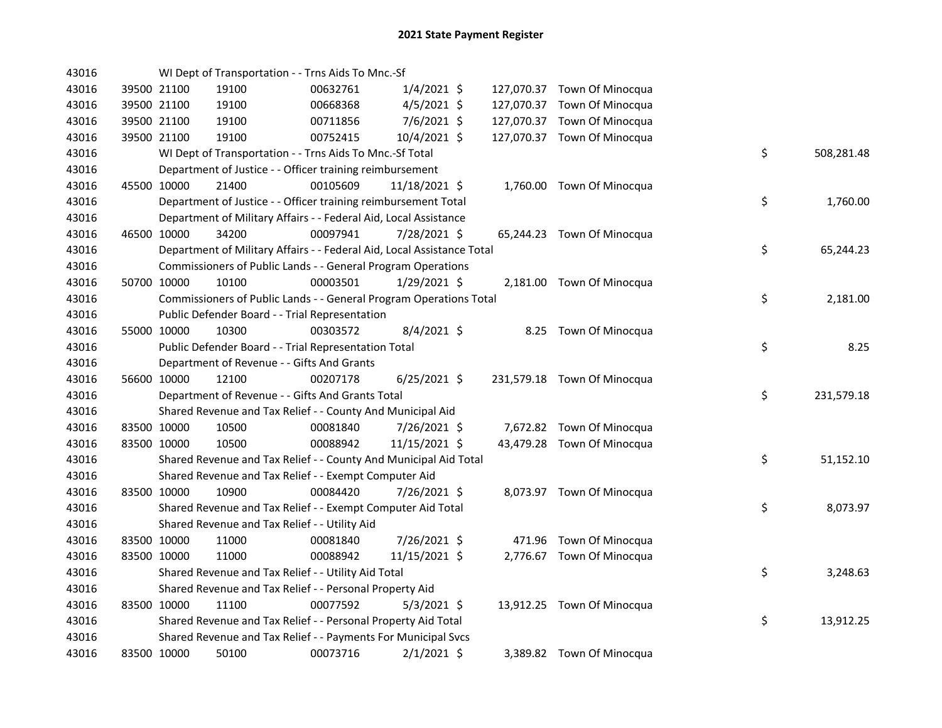| 43016 |             | WI Dept of Transportation - - Trns Aids To Mnc.-Sf                     |          |                |  |                             |    |            |
|-------|-------------|------------------------------------------------------------------------|----------|----------------|--|-----------------------------|----|------------|
| 43016 | 39500 21100 | 19100                                                                  | 00632761 | $1/4/2021$ \$  |  | 127,070.37 Town Of Minocqua |    |            |
| 43016 | 39500 21100 | 19100                                                                  | 00668368 | $4/5/2021$ \$  |  | 127,070.37 Town Of Minocqua |    |            |
| 43016 | 39500 21100 | 19100                                                                  | 00711856 | $7/6/2021$ \$  |  | 127,070.37 Town Of Minocqua |    |            |
| 43016 | 39500 21100 | 19100                                                                  | 00752415 | 10/4/2021 \$   |  | 127,070.37 Town Of Minocqua |    |            |
| 43016 |             | WI Dept of Transportation - - Trns Aids To Mnc.-Sf Total               |          |                |  |                             | \$ | 508,281.48 |
| 43016 |             | Department of Justice - - Officer training reimbursement               |          |                |  |                             |    |            |
| 43016 | 45500 10000 | 21400                                                                  | 00105609 | 11/18/2021 \$  |  | 1,760.00 Town Of Minocqua   |    |            |
| 43016 |             | Department of Justice - - Officer training reimbursement Total         |          |                |  |                             | \$ | 1,760.00   |
| 43016 |             | Department of Military Affairs - - Federal Aid, Local Assistance       |          |                |  |                             |    |            |
| 43016 | 46500 10000 | 34200                                                                  | 00097941 | 7/28/2021 \$   |  | 65,244.23 Town Of Minocqua  |    |            |
| 43016 |             | Department of Military Affairs - - Federal Aid, Local Assistance Total |          |                |  |                             | \$ | 65,244.23  |
| 43016 |             | Commissioners of Public Lands - - General Program Operations           |          |                |  |                             |    |            |
| 43016 | 50700 10000 | 10100                                                                  | 00003501 | $1/29/2021$ \$ |  | 2,181.00 Town Of Minocqua   |    |            |
| 43016 |             | Commissioners of Public Lands - - General Program Operations Total     |          |                |  |                             | \$ | 2,181.00   |
| 43016 |             | Public Defender Board - - Trial Representation                         |          |                |  |                             |    |            |
| 43016 | 55000 10000 | 10300                                                                  | 00303572 | 8/4/2021 \$    |  | 8.25 Town Of Minocqua       |    |            |
| 43016 |             | Public Defender Board - - Trial Representation Total                   |          |                |  |                             | \$ | 8.25       |
| 43016 |             | Department of Revenue - - Gifts And Grants                             |          |                |  |                             |    |            |
| 43016 | 56600 10000 | 12100                                                                  | 00207178 | $6/25/2021$ \$ |  | 231,579.18 Town Of Minocqua |    |            |
| 43016 |             | Department of Revenue - - Gifts And Grants Total                       |          |                |  |                             | \$ | 231,579.18 |
| 43016 |             | Shared Revenue and Tax Relief - - County And Municipal Aid             |          |                |  |                             |    |            |
| 43016 | 83500 10000 | 10500                                                                  | 00081840 | 7/26/2021 \$   |  | 7,672.82 Town Of Minocqua   |    |            |
| 43016 | 83500 10000 | 10500                                                                  | 00088942 | 11/15/2021 \$  |  | 43,479.28 Town Of Minocqua  |    |            |
| 43016 |             | Shared Revenue and Tax Relief - - County And Municipal Aid Total       |          |                |  |                             | \$ | 51,152.10  |
| 43016 |             | Shared Revenue and Tax Relief - - Exempt Computer Aid                  |          |                |  |                             |    |            |
| 43016 | 83500 10000 | 10900                                                                  | 00084420 | 7/26/2021 \$   |  | 8,073.97 Town Of Minocqua   |    |            |
| 43016 |             | Shared Revenue and Tax Relief - - Exempt Computer Aid Total            |          |                |  |                             | \$ | 8,073.97   |
| 43016 |             | Shared Revenue and Tax Relief - - Utility Aid                          |          |                |  |                             |    |            |
| 43016 | 83500 10000 | 11000                                                                  | 00081840 | 7/26/2021 \$   |  | 471.96 Town Of Minocqua     |    |            |
| 43016 | 83500 10000 | 11000                                                                  | 00088942 | 11/15/2021 \$  |  | 2,776.67 Town Of Minocqua   |    |            |
| 43016 |             | Shared Revenue and Tax Relief - - Utility Aid Total                    |          |                |  |                             | \$ | 3,248.63   |
| 43016 |             | Shared Revenue and Tax Relief - - Personal Property Aid                |          |                |  |                             |    |            |
| 43016 | 83500 10000 | 11100                                                                  | 00077592 | $5/3/2021$ \$  |  | 13,912.25 Town Of Minocqua  |    |            |
| 43016 |             | Shared Revenue and Tax Relief - - Personal Property Aid Total          |          |                |  |                             | \$ | 13,912.25  |
| 43016 |             | Shared Revenue and Tax Relief - - Payments For Municipal Svcs          |          |                |  |                             |    |            |
| 43016 | 83500 10000 | 50100                                                                  | 00073716 | $2/1/2021$ \$  |  | 3,389.82 Town Of Minocqua   |    |            |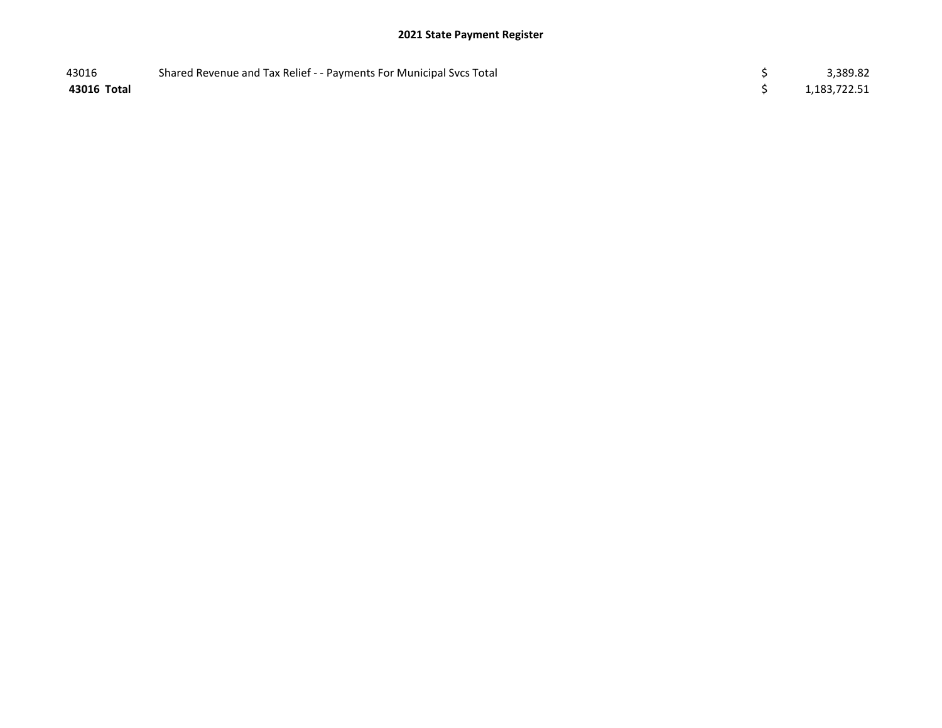| 43016       | Shared Revenue and Tax Relief - - Payments For Municipal Svcs Total | 3,389.82     |
|-------------|---------------------------------------------------------------------|--------------|
| 43016 Total |                                                                     | 1,183,722.51 |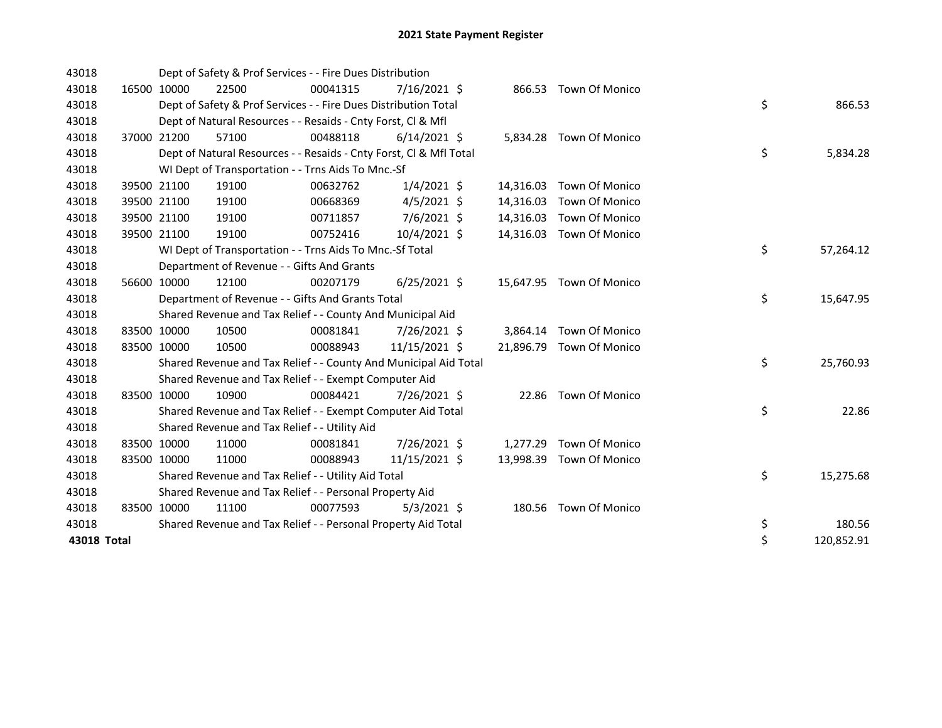| 43018       |             | Dept of Safety & Prof Services - - Fire Dues Distribution          |          |                |           |                          |    |            |
|-------------|-------------|--------------------------------------------------------------------|----------|----------------|-----------|--------------------------|----|------------|
| 43018       | 16500 10000 | 22500                                                              | 00041315 | $7/16/2021$ \$ |           | 866.53 Town Of Monico    |    |            |
| 43018       |             | Dept of Safety & Prof Services - - Fire Dues Distribution Total    |          |                |           |                          | \$ | 866.53     |
| 43018       |             | Dept of Natural Resources - - Resaids - Cnty Forst, Cl & Mfl       |          |                |           |                          |    |            |
| 43018       | 37000 21200 | 57100                                                              | 00488118 | $6/14/2021$ \$ |           | 5,834.28 Town Of Monico  |    |            |
| 43018       |             | Dept of Natural Resources - - Resaids - Cnty Forst, Cl & Mfl Total |          |                |           |                          | \$ | 5,834.28   |
| 43018       |             | WI Dept of Transportation - - Trns Aids To Mnc.-Sf                 |          |                |           |                          |    |            |
| 43018       | 39500 21100 | 19100                                                              | 00632762 | $1/4/2021$ \$  |           | 14,316.03 Town Of Monico |    |            |
| 43018       | 39500 21100 | 19100                                                              | 00668369 | $4/5/2021$ \$  | 14,316.03 | Town Of Monico           |    |            |
| 43018       | 39500 21100 | 19100                                                              | 00711857 | 7/6/2021 \$    |           | 14,316.03 Town Of Monico |    |            |
| 43018       | 39500 21100 | 19100                                                              | 00752416 | 10/4/2021 \$   | 14,316.03 | Town Of Monico           |    |            |
| 43018       |             | WI Dept of Transportation - - Trns Aids To Mnc.-Sf Total           |          |                |           |                          | \$ | 57,264.12  |
| 43018       |             | Department of Revenue - - Gifts And Grants                         |          |                |           |                          |    |            |
| 43018       | 56600 10000 | 12100                                                              | 00207179 | $6/25/2021$ \$ |           | 15,647.95 Town Of Monico |    |            |
| 43018       |             | Department of Revenue - - Gifts And Grants Total                   |          |                |           |                          | \$ | 15,647.95  |
| 43018       |             | Shared Revenue and Tax Relief - - County And Municipal Aid         |          |                |           |                          |    |            |
| 43018       | 83500 10000 | 10500                                                              | 00081841 | 7/26/2021 \$   |           | 3,864.14 Town Of Monico  |    |            |
| 43018       | 83500 10000 | 10500                                                              | 00088943 | 11/15/2021 \$  |           | 21,896.79 Town Of Monico |    |            |
| 43018       |             | Shared Revenue and Tax Relief - - County And Municipal Aid Total   |          |                |           |                          | \$ | 25,760.93  |
| 43018       |             | Shared Revenue and Tax Relief - - Exempt Computer Aid              |          |                |           |                          |    |            |
| 43018       | 83500 10000 | 10900                                                              | 00084421 | 7/26/2021 \$   |           | 22.86 Town Of Monico     |    |            |
| 43018       |             | Shared Revenue and Tax Relief - - Exempt Computer Aid Total        |          |                |           |                          | \$ | 22.86      |
| 43018       |             | Shared Revenue and Tax Relief - - Utility Aid                      |          |                |           |                          |    |            |
| 43018       | 83500 10000 | 11000                                                              | 00081841 | 7/26/2021 \$   |           | 1,277.29 Town Of Monico  |    |            |
| 43018       | 83500 10000 | 11000                                                              | 00088943 | 11/15/2021 \$  |           | 13,998.39 Town Of Monico |    |            |
| 43018       |             | Shared Revenue and Tax Relief - - Utility Aid Total                |          |                |           |                          | \$ | 15,275.68  |
| 43018       |             | Shared Revenue and Tax Relief - - Personal Property Aid            |          |                |           |                          |    |            |
| 43018       | 83500 10000 | 11100                                                              | 00077593 | $5/3/2021$ \$  |           | 180.56 Town Of Monico    |    |            |
| 43018       |             | Shared Revenue and Tax Relief - - Personal Property Aid Total      |          |                |           |                          | \$ | 180.56     |
| 43018 Total |             |                                                                    |          |                |           |                          | \$ | 120,852.91 |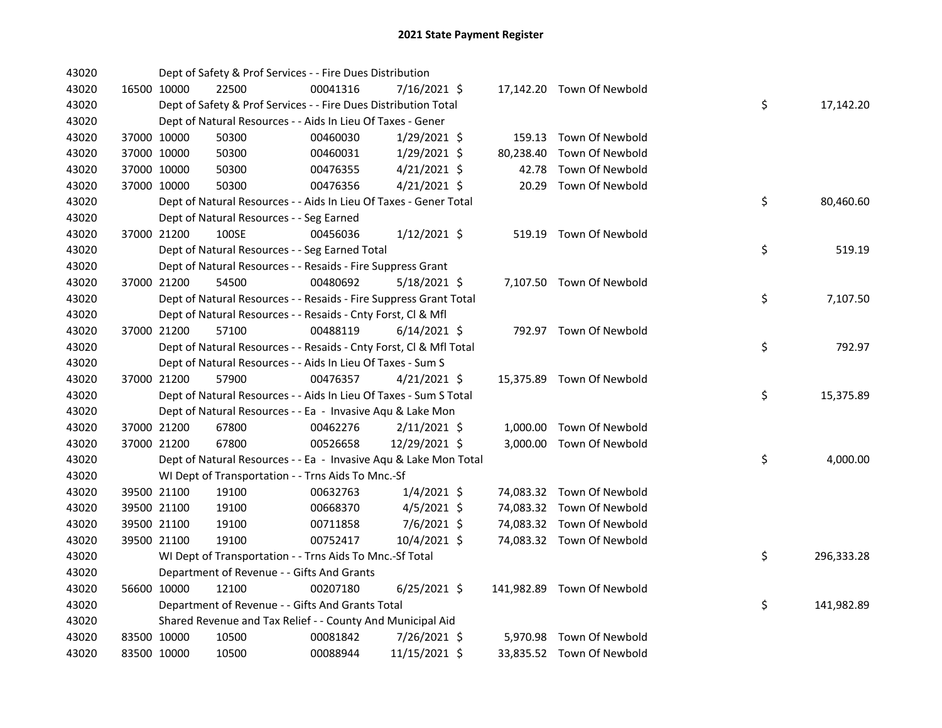| 43020 |             | Dept of Safety & Prof Services - - Fire Dues Distribution          |          |                |           |                            |    |            |
|-------|-------------|--------------------------------------------------------------------|----------|----------------|-----------|----------------------------|----|------------|
| 43020 | 16500 10000 | 22500                                                              | 00041316 | 7/16/2021 \$   |           | 17,142.20 Town Of Newbold  |    |            |
| 43020 |             | Dept of Safety & Prof Services - - Fire Dues Distribution Total    |          |                |           |                            | \$ | 17,142.20  |
| 43020 |             | Dept of Natural Resources - - Aids In Lieu Of Taxes - Gener        |          |                |           |                            |    |            |
| 43020 | 37000 10000 | 50300                                                              | 00460030 | 1/29/2021 \$   |           | 159.13 Town Of Newbold     |    |            |
| 43020 | 37000 10000 | 50300                                                              | 00460031 | $1/29/2021$ \$ | 80,238.40 | Town Of Newbold            |    |            |
| 43020 | 37000 10000 | 50300                                                              | 00476355 | $4/21/2021$ \$ | 42.78     | Town Of Newbold            |    |            |
| 43020 | 37000 10000 | 50300                                                              | 00476356 | $4/21/2021$ \$ | 20.29     | Town Of Newbold            |    |            |
| 43020 |             | Dept of Natural Resources - - Aids In Lieu Of Taxes - Gener Total  |          |                |           |                            | \$ | 80,460.60  |
| 43020 |             | Dept of Natural Resources - - Seg Earned                           |          |                |           |                            |    |            |
| 43020 | 37000 21200 | 100SE                                                              | 00456036 | $1/12/2021$ \$ |           | 519.19 Town Of Newbold     |    |            |
| 43020 |             | Dept of Natural Resources - - Seg Earned Total                     |          |                |           |                            | \$ | 519.19     |
| 43020 |             | Dept of Natural Resources - - Resaids - Fire Suppress Grant        |          |                |           |                            |    |            |
| 43020 | 37000 21200 | 54500                                                              | 00480692 | $5/18/2021$ \$ |           | 7,107.50 Town Of Newbold   |    |            |
| 43020 |             | Dept of Natural Resources - - Resaids - Fire Suppress Grant Total  |          |                |           |                            | \$ | 7,107.50   |
| 43020 |             | Dept of Natural Resources - - Resaids - Cnty Forst, Cl & Mfl       |          |                |           |                            |    |            |
| 43020 | 37000 21200 | 57100                                                              | 00488119 | $6/14/2021$ \$ |           | 792.97 Town Of Newbold     |    |            |
| 43020 |             | Dept of Natural Resources - - Resaids - Cnty Forst, Cl & Mfl Total |          |                |           |                            | \$ | 792.97     |
| 43020 |             | Dept of Natural Resources - - Aids In Lieu Of Taxes - Sum S        |          |                |           |                            |    |            |
| 43020 | 37000 21200 | 57900                                                              | 00476357 | $4/21/2021$ \$ |           | 15,375.89 Town Of Newbold  |    |            |
| 43020 |             | Dept of Natural Resources - - Aids In Lieu Of Taxes - Sum S Total  |          |                |           |                            | \$ | 15,375.89  |
| 43020 |             | Dept of Natural Resources - - Ea - Invasive Aqu & Lake Mon         |          |                |           |                            |    |            |
| 43020 | 37000 21200 | 67800                                                              | 00462276 | $2/11/2021$ \$ |           | 1,000.00 Town Of Newbold   |    |            |
| 43020 | 37000 21200 | 67800                                                              | 00526658 | 12/29/2021 \$  |           | 3,000.00 Town Of Newbold   |    |            |
| 43020 |             | Dept of Natural Resources - - Ea - Invasive Aqu & Lake Mon Total   |          |                |           |                            | \$ | 4,000.00   |
| 43020 |             | WI Dept of Transportation - - Trns Aids To Mnc.-Sf                 |          |                |           |                            |    |            |
| 43020 | 39500 21100 | 19100                                                              | 00632763 | $1/4/2021$ \$  |           | 74,083.32 Town Of Newbold  |    |            |
| 43020 | 39500 21100 | 19100                                                              | 00668370 | $4/5/2021$ \$  |           | 74,083.32 Town Of Newbold  |    |            |
| 43020 | 39500 21100 | 19100                                                              | 00711858 | $7/6/2021$ \$  |           | 74,083.32 Town Of Newbold  |    |            |
| 43020 | 39500 21100 | 19100                                                              | 00752417 | $10/4/2021$ \$ |           | 74,083.32 Town Of Newbold  |    |            |
| 43020 |             | WI Dept of Transportation - - Trns Aids To Mnc.-Sf Total           |          |                |           |                            | \$ | 296,333.28 |
| 43020 |             | Department of Revenue - - Gifts And Grants                         |          |                |           |                            |    |            |
| 43020 | 56600 10000 | 12100                                                              | 00207180 | $6/25/2021$ \$ |           | 141,982.89 Town Of Newbold |    |            |
| 43020 |             | Department of Revenue - - Gifts And Grants Total                   |          |                |           |                            | \$ | 141,982.89 |
| 43020 |             | Shared Revenue and Tax Relief - - County And Municipal Aid         |          |                |           |                            |    |            |
| 43020 | 83500 10000 | 10500                                                              | 00081842 | 7/26/2021 \$   |           | 5,970.98 Town Of Newbold   |    |            |
| 43020 | 83500 10000 | 10500                                                              | 00088944 | 11/15/2021 \$  |           | 33,835.52 Town Of Newbold  |    |            |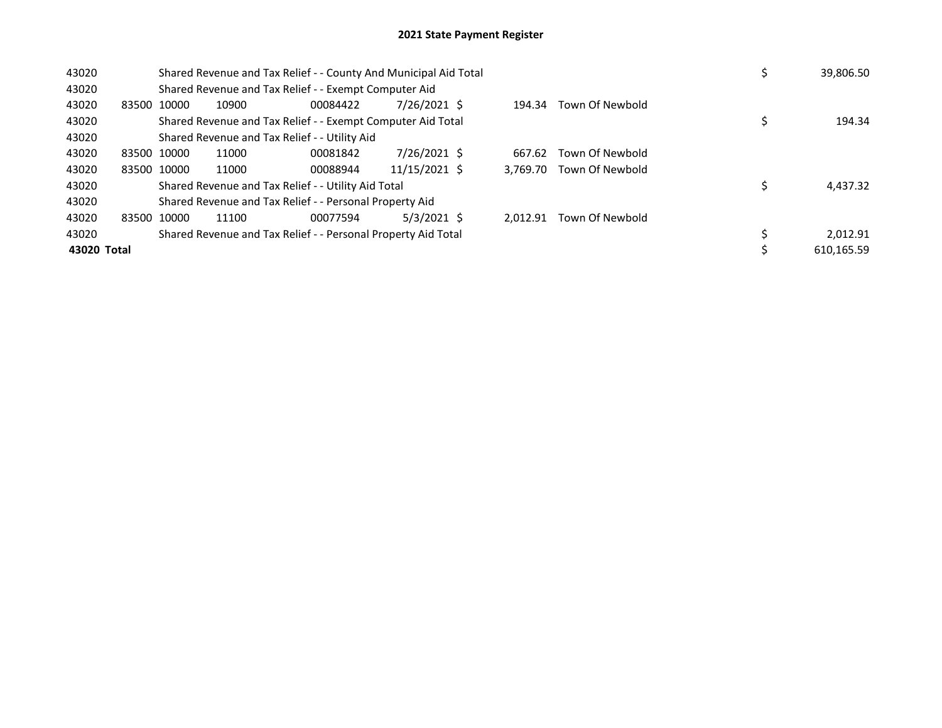| 43020       |             |             |       | Shared Revenue and Tax Relief - - County And Municipal Aid Total |               |          |                 |  | 39,806.50  |
|-------------|-------------|-------------|-------|------------------------------------------------------------------|---------------|----------|-----------------|--|------------|
| 43020       |             |             |       | Shared Revenue and Tax Relief - - Exempt Computer Aid            |               |          |                 |  |            |
| 43020       |             | 83500 10000 | 10900 | 00084422                                                         | 7/26/2021 \$  | 194.34   | Town Of Newbold |  |            |
| 43020       |             |             |       | Shared Revenue and Tax Relief - - Exempt Computer Aid Total      |               |          |                 |  | 194.34     |
| 43020       |             |             |       | Shared Revenue and Tax Relief - - Utility Aid                    |               |          |                 |  |            |
| 43020       | 83500 10000 |             | 11000 | 00081842                                                         | 7/26/2021 \$  | 667.62   | Town Of Newbold |  |            |
| 43020       |             | 83500 10000 | 11000 | 00088944                                                         | 11/15/2021 \$ | 3.769.70 | Town Of Newbold |  |            |
| 43020       |             |             |       | Shared Revenue and Tax Relief - - Utility Aid Total              |               |          |                 |  | 4,437.32   |
| 43020       |             |             |       | Shared Revenue and Tax Relief - - Personal Property Aid          |               |          |                 |  |            |
| 43020       | 83500 10000 |             | 11100 | 00077594                                                         | $5/3/2021$ \$ | 2.012.91 | Town Of Newbold |  |            |
| 43020       |             |             |       | Shared Revenue and Tax Relief - - Personal Property Aid Total    |               |          |                 |  | 2.012.91   |
| 43020 Total |             |             |       |                                                                  |               |          |                 |  | 610.165.59 |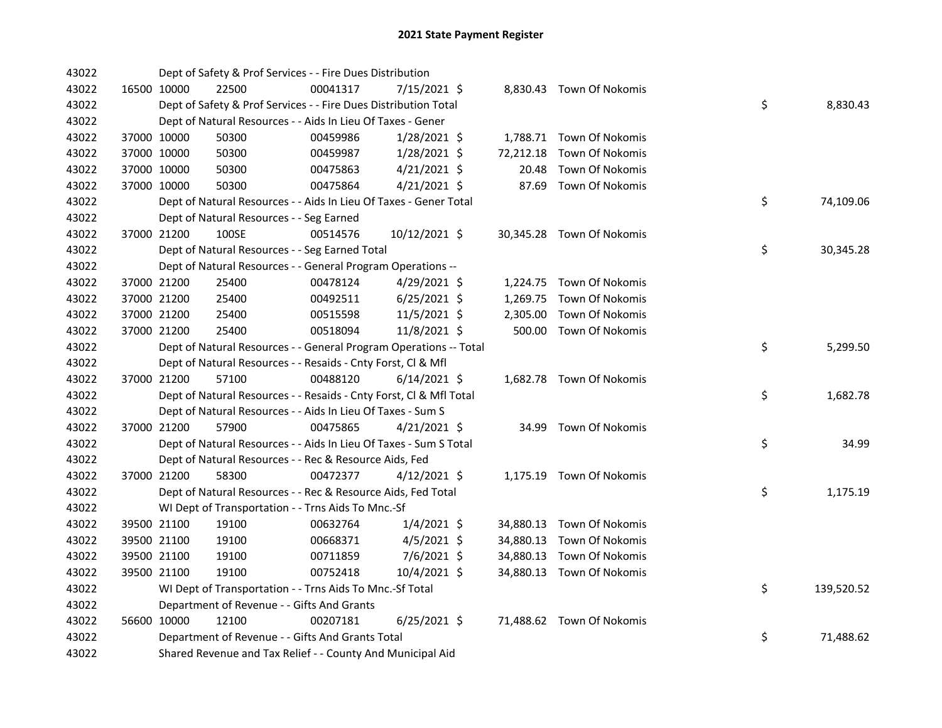| 43022 |             | Dept of Safety & Prof Services - - Fire Dues Distribution          |          |                |           |                           |    |            |
|-------|-------------|--------------------------------------------------------------------|----------|----------------|-----------|---------------------------|----|------------|
| 43022 | 16500 10000 | 22500                                                              | 00041317 | $7/15/2021$ \$ |           | 8,830.43 Town Of Nokomis  |    |            |
| 43022 |             | Dept of Safety & Prof Services - - Fire Dues Distribution Total    |          |                |           |                           | \$ | 8,830.43   |
| 43022 |             | Dept of Natural Resources - - Aids In Lieu Of Taxes - Gener        |          |                |           |                           |    |            |
| 43022 | 37000 10000 | 50300                                                              | 00459986 | $1/28/2021$ \$ |           | 1,788.71 Town Of Nokomis  |    |            |
| 43022 | 37000 10000 | 50300                                                              | 00459987 | 1/28/2021 \$   | 72,212.18 | Town Of Nokomis           |    |            |
| 43022 | 37000 10000 | 50300                                                              | 00475863 | 4/21/2021 \$   | 20.48     | Town Of Nokomis           |    |            |
| 43022 | 37000 10000 | 50300                                                              | 00475864 | $4/21/2021$ \$ | 87.69     | Town Of Nokomis           |    |            |
| 43022 |             | Dept of Natural Resources - - Aids In Lieu Of Taxes - Gener Total  |          |                |           |                           | \$ | 74,109.06  |
| 43022 |             | Dept of Natural Resources - - Seg Earned                           |          |                |           |                           |    |            |
| 43022 | 37000 21200 | 100SE                                                              | 00514576 | 10/12/2021 \$  |           | 30,345.28 Town Of Nokomis |    |            |
| 43022 |             | Dept of Natural Resources - - Seg Earned Total                     |          |                |           |                           | \$ | 30,345.28  |
| 43022 |             | Dept of Natural Resources - - General Program Operations --        |          |                |           |                           |    |            |
| 43022 | 37000 21200 | 25400                                                              | 00478124 | 4/29/2021 \$   |           | 1,224.75 Town Of Nokomis  |    |            |
| 43022 | 37000 21200 | 25400                                                              | 00492511 | $6/25/2021$ \$ | 1,269.75  | Town Of Nokomis           |    |            |
| 43022 | 37000 21200 | 25400                                                              | 00515598 | 11/5/2021 \$   | 2,305.00  | Town Of Nokomis           |    |            |
| 43022 | 37000 21200 | 25400                                                              | 00518094 | 11/8/2021 \$   |           | 500.00 Town Of Nokomis    |    |            |
| 43022 |             | Dept of Natural Resources - - General Program Operations -- Total  |          |                |           |                           | \$ | 5,299.50   |
| 43022 |             | Dept of Natural Resources - - Resaids - Cnty Forst, Cl & Mfl       |          |                |           |                           |    |            |
| 43022 | 37000 21200 | 57100                                                              | 00488120 | $6/14/2021$ \$ |           | 1,682.78 Town Of Nokomis  |    |            |
| 43022 |             | Dept of Natural Resources - - Resaids - Cnty Forst, Cl & Mfl Total |          |                |           |                           | \$ | 1,682.78   |
| 43022 |             | Dept of Natural Resources - - Aids In Lieu Of Taxes - Sum S        |          |                |           |                           |    |            |
| 43022 | 37000 21200 | 57900                                                              | 00475865 | $4/21/2021$ \$ |           | 34.99 Town Of Nokomis     |    |            |
| 43022 |             | Dept of Natural Resources - - Aids In Lieu Of Taxes - Sum S Total  |          |                |           |                           | \$ | 34.99      |
| 43022 |             | Dept of Natural Resources - - Rec & Resource Aids, Fed             |          |                |           |                           |    |            |
| 43022 | 37000 21200 | 58300                                                              | 00472377 | $4/12/2021$ \$ |           | 1,175.19 Town Of Nokomis  |    |            |
| 43022 |             | Dept of Natural Resources - - Rec & Resource Aids, Fed Total       |          |                |           |                           | \$ | 1,175.19   |
| 43022 |             | WI Dept of Transportation - - Trns Aids To Mnc.-Sf                 |          |                |           |                           |    |            |
| 43022 | 39500 21100 | 19100                                                              | 00632764 | $1/4/2021$ \$  |           | 34,880.13 Town Of Nokomis |    |            |
| 43022 | 39500 21100 | 19100                                                              | 00668371 | $4/5/2021$ \$  |           | 34,880.13 Town Of Nokomis |    |            |
| 43022 | 39500 21100 | 19100                                                              | 00711859 | 7/6/2021 \$    |           | 34,880.13 Town Of Nokomis |    |            |
| 43022 | 39500 21100 | 19100                                                              | 00752418 | 10/4/2021 \$   |           | 34,880.13 Town Of Nokomis |    |            |
| 43022 |             | WI Dept of Transportation - - Trns Aids To Mnc.-Sf Total           |          |                |           |                           | \$ | 139,520.52 |
| 43022 |             | Department of Revenue - - Gifts And Grants                         |          |                |           |                           |    |            |
| 43022 | 56600 10000 | 12100                                                              | 00207181 | $6/25/2021$ \$ |           | 71,488.62 Town Of Nokomis |    |            |
| 43022 |             | Department of Revenue - - Gifts And Grants Total                   |          |                |           |                           | \$ | 71,488.62  |
| 43022 |             | Shared Revenue and Tax Relief - - County And Municipal Aid         |          |                |           |                           |    |            |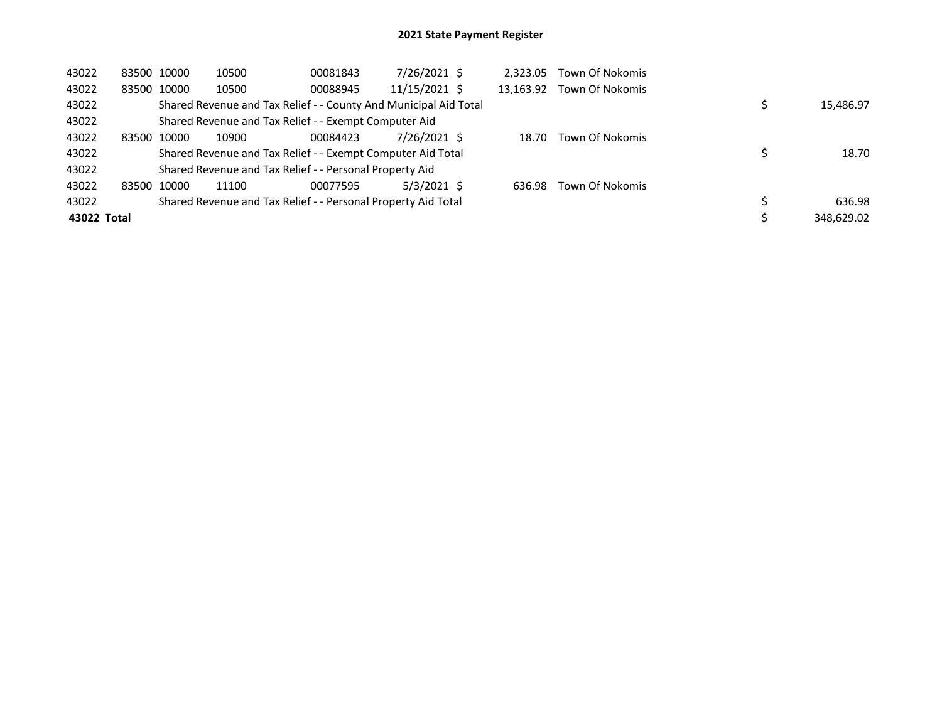| 43022       | 83500 10000 | 10500 | 00081843                                                         | 7/26/2021 \$  | 2.323.05  | Town Of Nokomis |            |
|-------------|-------------|-------|------------------------------------------------------------------|---------------|-----------|-----------------|------------|
| 43022       | 83500 10000 | 10500 | 00088945                                                         | 11/15/2021 \$ | 13.163.92 | Town Of Nokomis |            |
| 43022       |             |       | Shared Revenue and Tax Relief - - County And Municipal Aid Total |               |           |                 | 15,486.97  |
| 43022       |             |       | Shared Revenue and Tax Relief - - Exempt Computer Aid            |               |           |                 |            |
| 43022       | 83500 10000 | 10900 | 00084423                                                         | 7/26/2021 \$  | 18.70     | Town Of Nokomis |            |
| 43022       |             |       | Shared Revenue and Tax Relief - - Exempt Computer Aid Total      |               |           |                 | 18.70      |
| 43022       |             |       | Shared Revenue and Tax Relief - - Personal Property Aid          |               |           |                 |            |
| 43022       | 83500 10000 | 11100 | 00077595                                                         | $5/3/2021$ \$ | 636.98    | Town Of Nokomis |            |
| 43022       |             |       | Shared Revenue and Tax Relief - - Personal Property Aid Total    |               |           |                 | 636.98     |
| 43022 Total |             |       |                                                                  |               |           |                 | 348.629.02 |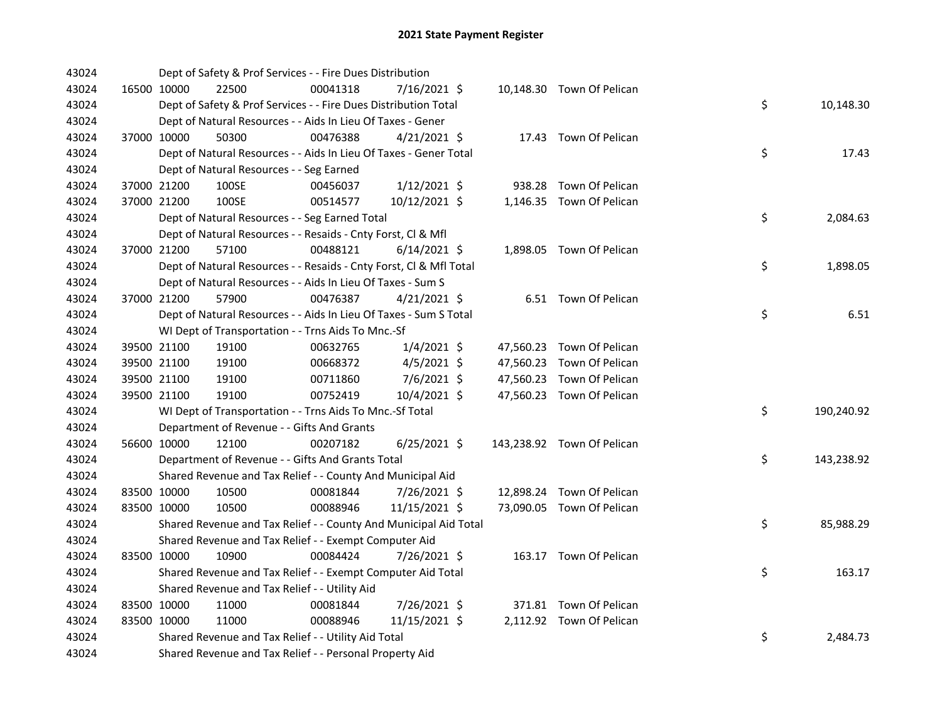| 43024 |             | Dept of Safety & Prof Services - - Fire Dues Distribution          |          |                |  |                            |    |            |
|-------|-------------|--------------------------------------------------------------------|----------|----------------|--|----------------------------|----|------------|
| 43024 | 16500 10000 | 22500                                                              | 00041318 | 7/16/2021 \$   |  | 10,148.30 Town Of Pelican  |    |            |
| 43024 |             | Dept of Safety & Prof Services - - Fire Dues Distribution Total    |          |                |  |                            | \$ | 10,148.30  |
| 43024 |             | Dept of Natural Resources - - Aids In Lieu Of Taxes - Gener        |          |                |  |                            |    |            |
| 43024 | 37000 10000 | 50300                                                              | 00476388 | $4/21/2021$ \$ |  | 17.43 Town Of Pelican      |    |            |
| 43024 |             | Dept of Natural Resources - - Aids In Lieu Of Taxes - Gener Total  |          |                |  |                            | \$ | 17.43      |
| 43024 |             | Dept of Natural Resources - - Seg Earned                           |          |                |  |                            |    |            |
| 43024 | 37000 21200 | 100SE                                                              | 00456037 | $1/12/2021$ \$ |  | 938.28 Town Of Pelican     |    |            |
| 43024 | 37000 21200 | 100SE                                                              | 00514577 | 10/12/2021 \$  |  | 1,146.35 Town Of Pelican   |    |            |
| 43024 |             | Dept of Natural Resources - - Seg Earned Total                     |          |                |  |                            | \$ | 2,084.63   |
| 43024 |             | Dept of Natural Resources - - Resaids - Cnty Forst, Cl & Mfl       |          |                |  |                            |    |            |
| 43024 | 37000 21200 | 57100                                                              | 00488121 | $6/14/2021$ \$ |  | 1,898.05 Town Of Pelican   |    |            |
| 43024 |             | Dept of Natural Resources - - Resaids - Cnty Forst, Cl & Mfl Total |          |                |  |                            | \$ | 1,898.05   |
| 43024 |             | Dept of Natural Resources - - Aids In Lieu Of Taxes - Sum S        |          |                |  |                            |    |            |
| 43024 | 37000 21200 | 57900                                                              | 00476387 | $4/21/2021$ \$ |  | 6.51 Town Of Pelican       |    |            |
| 43024 |             | Dept of Natural Resources - - Aids In Lieu Of Taxes - Sum S Total  |          |                |  |                            | \$ | 6.51       |
| 43024 |             | WI Dept of Transportation - - Trns Aids To Mnc.-Sf                 |          |                |  |                            |    |            |
| 43024 | 39500 21100 | 19100                                                              | 00632765 | $1/4/2021$ \$  |  | 47,560.23 Town Of Pelican  |    |            |
| 43024 | 39500 21100 | 19100                                                              | 00668372 | $4/5/2021$ \$  |  | 47,560.23 Town Of Pelican  |    |            |
| 43024 | 39500 21100 | 19100                                                              | 00711860 | 7/6/2021 \$    |  | 47,560.23 Town Of Pelican  |    |            |
| 43024 | 39500 21100 | 19100                                                              | 00752419 | 10/4/2021 \$   |  | 47,560.23 Town Of Pelican  |    |            |
| 43024 |             | WI Dept of Transportation - - Trns Aids To Mnc.-Sf Total           |          |                |  |                            | \$ | 190,240.92 |
| 43024 |             | Department of Revenue - - Gifts And Grants                         |          |                |  |                            |    |            |
| 43024 | 56600 10000 | 12100                                                              | 00207182 | $6/25/2021$ \$ |  | 143,238.92 Town Of Pelican |    |            |
| 43024 |             | Department of Revenue - - Gifts And Grants Total                   |          |                |  |                            | \$ | 143,238.92 |
| 43024 |             | Shared Revenue and Tax Relief - - County And Municipal Aid         |          |                |  |                            |    |            |
| 43024 | 83500 10000 | 10500                                                              | 00081844 | 7/26/2021 \$   |  | 12,898.24 Town Of Pelican  |    |            |
| 43024 | 83500 10000 | 10500                                                              | 00088946 | 11/15/2021 \$  |  | 73,090.05 Town Of Pelican  |    |            |
| 43024 |             | Shared Revenue and Tax Relief - - County And Municipal Aid Total   |          |                |  |                            | \$ | 85,988.29  |
| 43024 |             | Shared Revenue and Tax Relief - - Exempt Computer Aid              |          |                |  |                            |    |            |
| 43024 | 83500 10000 | 10900                                                              | 00084424 | 7/26/2021 \$   |  | 163.17 Town Of Pelican     |    |            |
| 43024 |             | Shared Revenue and Tax Relief - - Exempt Computer Aid Total        |          |                |  |                            | \$ | 163.17     |
| 43024 |             | Shared Revenue and Tax Relief - - Utility Aid                      |          |                |  |                            |    |            |
| 43024 | 83500 10000 | 11000                                                              | 00081844 | 7/26/2021 \$   |  | 371.81 Town Of Pelican     |    |            |
| 43024 | 83500 10000 | 11000                                                              | 00088946 | 11/15/2021 \$  |  | 2,112.92 Town Of Pelican   |    |            |
| 43024 |             | Shared Revenue and Tax Relief - - Utility Aid Total                |          |                |  |                            | \$ | 2,484.73   |
| 43024 |             | Shared Revenue and Tax Relief - - Personal Property Aid            |          |                |  |                            |    |            |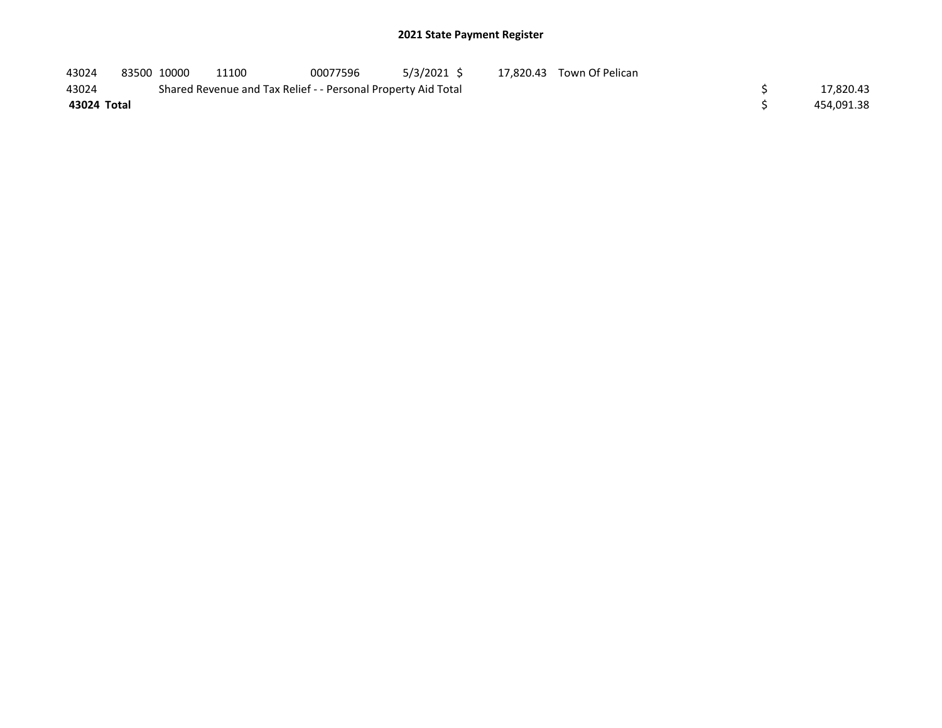| 43024       | 83500 10000 | 11100                                                         | 00077596 | 5/3/2021 \$ | 17,820.43 Town Of Pelican |            |
|-------------|-------------|---------------------------------------------------------------|----------|-------------|---------------------------|------------|
| 43024       |             | Shared Revenue and Tax Relief - - Personal Property Aid Total |          |             |                           | 17,820.43  |
| 43024 Total |             |                                                               |          |             |                           | 454.091.38 |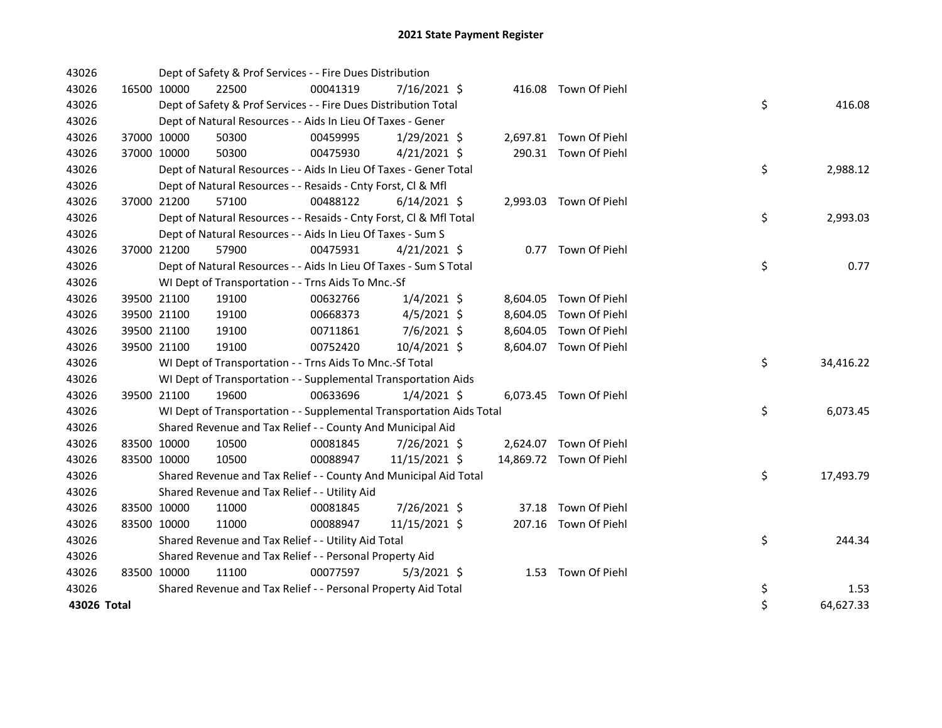| 43026       |             |             | Dept of Safety & Prof Services - - Fire Dues Distribution            |          |                |  |                         |    |           |
|-------------|-------------|-------------|----------------------------------------------------------------------|----------|----------------|--|-------------------------|----|-----------|
| 43026       | 16500 10000 |             | 22500                                                                | 00041319 | $7/16/2021$ \$ |  | 416.08 Town Of Piehl    |    |           |
| 43026       |             |             | Dept of Safety & Prof Services - - Fire Dues Distribution Total      |          |                |  |                         | \$ | 416.08    |
| 43026       |             |             | Dept of Natural Resources - - Aids In Lieu Of Taxes - Gener          |          |                |  |                         |    |           |
| 43026       |             | 37000 10000 | 50300                                                                | 00459995 | $1/29/2021$ \$ |  | 2,697.81 Town Of Piehl  |    |           |
| 43026       | 37000 10000 |             | 50300                                                                | 00475930 | $4/21/2021$ \$ |  | 290.31 Town Of Piehl    |    |           |
| 43026       |             |             | Dept of Natural Resources - - Aids In Lieu Of Taxes - Gener Total    |          |                |  |                         | \$ | 2,988.12  |
| 43026       |             |             | Dept of Natural Resources - - Resaids - Cnty Forst, Cl & Mfl         |          |                |  |                         |    |           |
| 43026       |             | 37000 21200 | 57100                                                                | 00488122 | $6/14/2021$ \$ |  | 2,993.03 Town Of Piehl  |    |           |
| 43026       |             |             | Dept of Natural Resources - - Resaids - Cnty Forst, Cl & Mfl Total   |          |                |  |                         | \$ | 2,993.03  |
| 43026       |             |             | Dept of Natural Resources - - Aids In Lieu Of Taxes - Sum S          |          |                |  |                         |    |           |
| 43026       | 37000 21200 |             | 57900                                                                | 00475931 | $4/21/2021$ \$ |  | 0.77 Town Of Piehl      |    |           |
| 43026       |             |             | Dept of Natural Resources - - Aids In Lieu Of Taxes - Sum S Total    |          |                |  |                         | \$ | 0.77      |
| 43026       |             |             | WI Dept of Transportation - - Trns Aids To Mnc.-Sf                   |          |                |  |                         |    |           |
| 43026       |             | 39500 21100 | 19100                                                                | 00632766 | $1/4/2021$ \$  |  | 8,604.05 Town Of Piehl  |    |           |
| 43026       |             | 39500 21100 | 19100                                                                | 00668373 | $4/5/2021$ \$  |  | 8,604.05 Town Of Piehl  |    |           |
| 43026       |             | 39500 21100 | 19100                                                                | 00711861 | 7/6/2021 \$    |  | 8,604.05 Town Of Piehl  |    |           |
| 43026       |             | 39500 21100 | 19100                                                                | 00752420 | 10/4/2021 \$   |  | 8,604.07 Town Of Piehl  |    |           |
| 43026       |             |             | WI Dept of Transportation - - Trns Aids To Mnc.-Sf Total             |          |                |  |                         | \$ | 34,416.22 |
| 43026       |             |             | WI Dept of Transportation - - Supplemental Transportation Aids       |          |                |  |                         |    |           |
| 43026       | 39500 21100 |             | 19600                                                                | 00633696 | $1/4/2021$ \$  |  | 6,073.45 Town Of Piehl  |    |           |
| 43026       |             |             | WI Dept of Transportation - - Supplemental Transportation Aids Total |          |                |  |                         | \$ | 6,073.45  |
| 43026       |             |             | Shared Revenue and Tax Relief - - County And Municipal Aid           |          |                |  |                         |    |           |
| 43026       | 83500 10000 |             | 10500                                                                | 00081845 | 7/26/2021 \$   |  | 2,624.07 Town Of Piehl  |    |           |
| 43026       |             | 83500 10000 | 10500                                                                | 00088947 | 11/15/2021 \$  |  | 14,869.72 Town Of Piehl |    |           |
| 43026       |             |             | Shared Revenue and Tax Relief - - County And Municipal Aid Total     |          |                |  |                         | \$ | 17,493.79 |
| 43026       |             |             | Shared Revenue and Tax Relief - - Utility Aid                        |          |                |  |                         |    |           |
| 43026       | 83500 10000 |             | 11000                                                                | 00081845 | 7/26/2021 \$   |  | 37.18 Town Of Piehl     |    |           |
| 43026       | 83500 10000 |             | 11000                                                                | 00088947 | 11/15/2021 \$  |  | 207.16 Town Of Piehl    |    |           |
| 43026       |             |             | Shared Revenue and Tax Relief - - Utility Aid Total                  |          |                |  |                         | \$ | 244.34    |
| 43026       |             |             | Shared Revenue and Tax Relief - - Personal Property Aid              |          |                |  |                         |    |           |
| 43026       | 83500 10000 |             | 11100                                                                | 00077597 | $5/3/2021$ \$  |  | 1.53 Town Of Piehl      |    |           |
| 43026       |             |             | Shared Revenue and Tax Relief - - Personal Property Aid Total        |          |                |  |                         | \$ | 1.53      |
| 43026 Total |             |             |                                                                      |          |                |  |                         | \$ | 64,627.33 |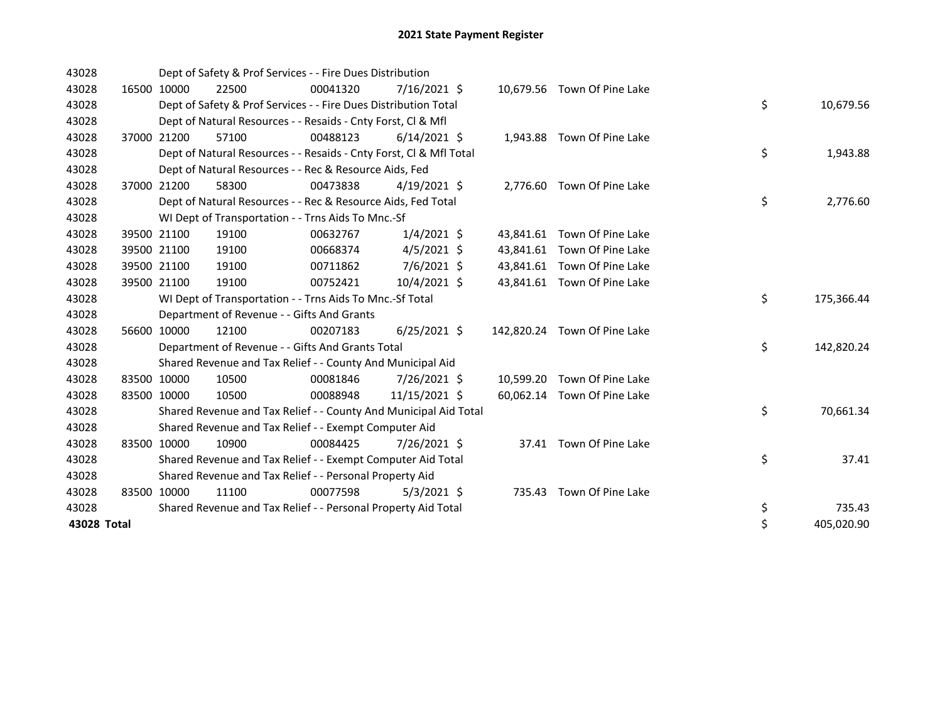| 43028       |       |             | Dept of Safety & Prof Services - - Fire Dues Distribution          |          |                |           |                              |    |            |
|-------------|-------|-------------|--------------------------------------------------------------------|----------|----------------|-----------|------------------------------|----|------------|
| 43028       |       | 16500 10000 | 22500                                                              | 00041320 | 7/16/2021 \$   |           | 10,679.56 Town Of Pine Lake  |    |            |
| 43028       |       |             | Dept of Safety & Prof Services - - Fire Dues Distribution Total    |          |                |           |                              | \$ | 10,679.56  |
| 43028       |       |             | Dept of Natural Resources - - Resaids - Cnty Forst, CI & Mfl       |          |                |           |                              |    |            |
| 43028       | 37000 | 21200       | 57100                                                              | 00488123 | $6/14/2021$ \$ |           | 1,943.88 Town Of Pine Lake   |    |            |
| 43028       |       |             | Dept of Natural Resources - - Resaids - Cnty Forst, Cl & Mfl Total |          |                |           |                              | \$ | 1,943.88   |
| 43028       |       |             | Dept of Natural Resources - - Rec & Resource Aids, Fed             |          |                |           |                              |    |            |
| 43028       |       | 37000 21200 | 58300                                                              | 00473838 | $4/19/2021$ \$ |           | 2,776.60 Town Of Pine Lake   |    |            |
| 43028       |       |             | Dept of Natural Resources - - Rec & Resource Aids, Fed Total       |          |                |           |                              | \$ | 2,776.60   |
| 43028       |       |             | WI Dept of Transportation - - Trns Aids To Mnc.-Sf                 |          |                |           |                              |    |            |
| 43028       |       | 39500 21100 | 19100                                                              | 00632767 | $1/4/2021$ \$  |           | 43,841.61 Town Of Pine Lake  |    |            |
| 43028       |       | 39500 21100 | 19100                                                              | 00668374 | $4/5/2021$ \$  |           | 43,841.61 Town Of Pine Lake  |    |            |
| 43028       |       | 39500 21100 | 19100                                                              | 00711862 | 7/6/2021 \$    |           | 43,841.61 Town Of Pine Lake  |    |            |
| 43028       |       | 39500 21100 | 19100                                                              | 00752421 | 10/4/2021 \$   |           | 43,841.61 Town Of Pine Lake  |    |            |
| 43028       |       |             | WI Dept of Transportation - - Trns Aids To Mnc.-Sf Total           |          |                |           |                              | \$ | 175,366.44 |
| 43028       |       |             | Department of Revenue - - Gifts And Grants                         |          |                |           |                              |    |            |
| 43028       |       | 56600 10000 | 12100                                                              | 00207183 | $6/25/2021$ \$ |           | 142,820.24 Town Of Pine Lake |    |            |
| 43028       |       |             | Department of Revenue - - Gifts And Grants Total                   |          |                |           |                              | \$ | 142,820.24 |
| 43028       |       |             | Shared Revenue and Tax Relief - - County And Municipal Aid         |          |                |           |                              |    |            |
| 43028       |       | 83500 10000 | 10500                                                              | 00081846 | 7/26/2021 \$   | 10,599.20 | Town Of Pine Lake            |    |            |
| 43028       |       | 83500 10000 | 10500                                                              | 00088948 | 11/15/2021 \$  |           | 60,062.14 Town Of Pine Lake  |    |            |
| 43028       |       |             | Shared Revenue and Tax Relief - - County And Municipal Aid Total   |          |                |           |                              | \$ | 70,661.34  |
| 43028       |       |             | Shared Revenue and Tax Relief - - Exempt Computer Aid              |          |                |           |                              |    |            |
| 43028       |       | 83500 10000 | 10900                                                              | 00084425 | 7/26/2021 \$   |           | 37.41 Town Of Pine Lake      |    |            |
| 43028       |       |             | Shared Revenue and Tax Relief - - Exempt Computer Aid Total        |          |                |           |                              | \$ | 37.41      |
| 43028       |       |             | Shared Revenue and Tax Relief - - Personal Property Aid            |          |                |           |                              |    |            |
| 43028       |       | 83500 10000 | 11100                                                              | 00077598 | $5/3/2021$ \$  | 735.43    | Town Of Pine Lake            |    |            |
| 43028       |       |             | Shared Revenue and Tax Relief - - Personal Property Aid Total      |          |                |           |                              | \$ | 735.43     |
| 43028 Total |       |             |                                                                    |          |                |           |                              | \$ | 405,020.90 |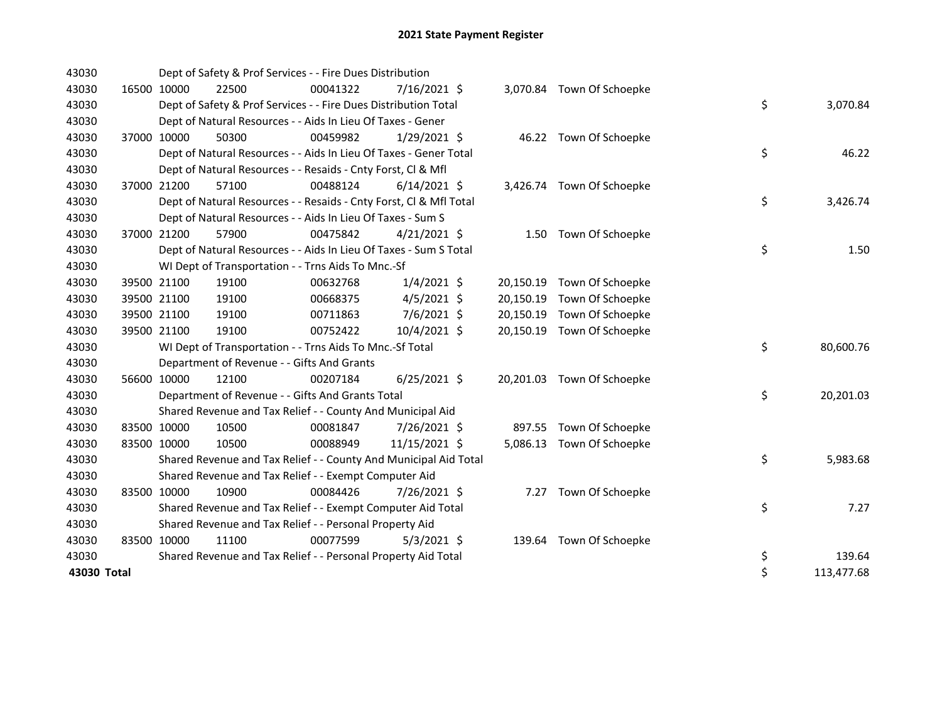| 43030       |             | Dept of Safety & Prof Services - - Fire Dues Distribution          |          |                |           |                            |    |            |
|-------------|-------------|--------------------------------------------------------------------|----------|----------------|-----------|----------------------------|----|------------|
| 43030       | 16500 10000 | 22500                                                              | 00041322 | $7/16/2021$ \$ |           | 3,070.84 Town Of Schoepke  |    |            |
| 43030       |             | Dept of Safety & Prof Services - - Fire Dues Distribution Total    |          |                |           |                            | \$ | 3,070.84   |
| 43030       |             | Dept of Natural Resources - - Aids In Lieu Of Taxes - Gener        |          |                |           |                            |    |            |
| 43030       | 37000 10000 | 50300                                                              | 00459982 | $1/29/2021$ \$ |           | 46.22 Town Of Schoepke     |    |            |
| 43030       |             | Dept of Natural Resources - - Aids In Lieu Of Taxes - Gener Total  |          |                |           |                            | \$ | 46.22      |
| 43030       |             | Dept of Natural Resources - - Resaids - Cnty Forst, CI & Mfl       |          |                |           |                            |    |            |
| 43030       | 37000 21200 | 57100                                                              | 00488124 | $6/14/2021$ \$ |           | 3,426.74 Town Of Schoepke  |    |            |
| 43030       |             | Dept of Natural Resources - - Resaids - Cnty Forst, Cl & Mfl Total |          |                |           |                            | \$ | 3,426.74   |
| 43030       |             | Dept of Natural Resources - - Aids In Lieu Of Taxes - Sum S        |          |                |           |                            |    |            |
| 43030       | 37000 21200 | 57900                                                              | 00475842 | $4/21/2021$ \$ |           | 1.50 Town Of Schoepke      |    |            |
| 43030       |             | Dept of Natural Resources - - Aids In Lieu Of Taxes - Sum S Total  |          |                |           |                            | \$ | 1.50       |
| 43030       |             | WI Dept of Transportation - - Trns Aids To Mnc.-Sf                 |          |                |           |                            |    |            |
| 43030       | 39500 21100 | 19100                                                              | 00632768 | $1/4/2021$ \$  |           | 20,150.19 Town Of Schoepke |    |            |
| 43030       | 39500 21100 | 19100                                                              | 00668375 | $4/5/2021$ \$  |           | 20,150.19 Town Of Schoepke |    |            |
| 43030       | 39500 21100 | 19100                                                              | 00711863 | 7/6/2021 \$    | 20,150.19 | Town Of Schoepke           |    |            |
| 43030       | 39500 21100 | 19100                                                              | 00752422 | 10/4/2021 \$   |           | 20,150.19 Town Of Schoepke |    |            |
| 43030       |             | WI Dept of Transportation - - Trns Aids To Mnc.-Sf Total           |          |                |           |                            | \$ | 80,600.76  |
| 43030       |             | Department of Revenue - - Gifts And Grants                         |          |                |           |                            |    |            |
| 43030       | 56600 10000 | 12100                                                              | 00207184 | $6/25/2021$ \$ |           | 20,201.03 Town Of Schoepke |    |            |
| 43030       |             | Department of Revenue - - Gifts And Grants Total                   |          |                |           |                            | \$ | 20,201.03  |
| 43030       |             | Shared Revenue and Tax Relief - - County And Municipal Aid         |          |                |           |                            |    |            |
| 43030       | 83500 10000 | 10500                                                              | 00081847 | 7/26/2021 \$   |           | 897.55 Town Of Schoepke    |    |            |
| 43030       | 83500 10000 | 10500                                                              | 00088949 | 11/15/2021 \$  |           | 5,086.13 Town Of Schoepke  |    |            |
| 43030       |             | Shared Revenue and Tax Relief - - County And Municipal Aid Total   |          |                |           |                            | \$ | 5,983.68   |
| 43030       |             | Shared Revenue and Tax Relief - - Exempt Computer Aid              |          |                |           |                            |    |            |
| 43030       | 83500 10000 | 10900                                                              | 00084426 | 7/26/2021 \$   |           | 7.27 Town Of Schoepke      |    |            |
| 43030       |             | Shared Revenue and Tax Relief - - Exempt Computer Aid Total        |          |                |           |                            | \$ | 7.27       |
| 43030       |             | Shared Revenue and Tax Relief - - Personal Property Aid            |          |                |           |                            |    |            |
| 43030       | 83500 10000 | 11100                                                              | 00077599 | $5/3/2021$ \$  |           | 139.64 Town Of Schoepke    |    |            |
| 43030       |             | Shared Revenue and Tax Relief - - Personal Property Aid Total      |          |                |           |                            | \$ | 139.64     |
| 43030 Total |             |                                                                    |          |                |           |                            | \$ | 113,477.68 |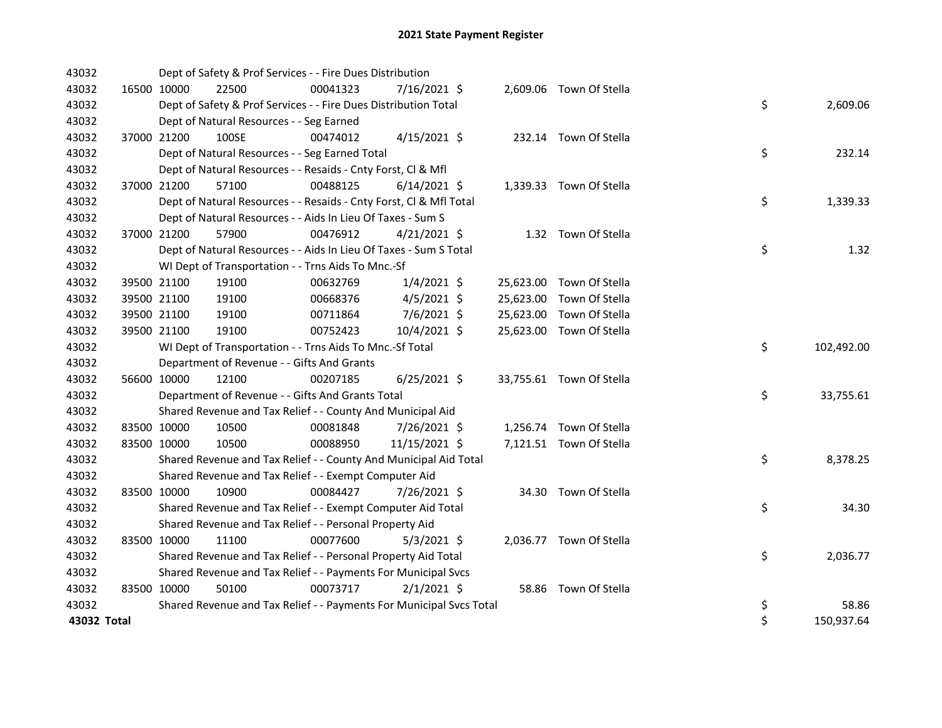| 43032       |             | Dept of Safety & Prof Services - - Fire Dues Distribution           |          |                |  |                          |    |            |
|-------------|-------------|---------------------------------------------------------------------|----------|----------------|--|--------------------------|----|------------|
| 43032       | 16500 10000 | 22500                                                               | 00041323 | 7/16/2021 \$   |  | 2,609.06 Town Of Stella  |    |            |
| 43032       |             | Dept of Safety & Prof Services - - Fire Dues Distribution Total     |          |                |  |                          | \$ | 2,609.06   |
| 43032       |             | Dept of Natural Resources - - Seg Earned                            |          |                |  |                          |    |            |
| 43032       | 37000 21200 | 100SE                                                               | 00474012 | $4/15/2021$ \$ |  | 232.14 Town Of Stella    |    |            |
| 43032       |             | Dept of Natural Resources - - Seg Earned Total                      |          |                |  |                          | \$ | 232.14     |
| 43032       |             | Dept of Natural Resources - - Resaids - Cnty Forst, Cl & Mfl        |          |                |  |                          |    |            |
| 43032       | 37000 21200 | 57100                                                               | 00488125 | $6/14/2021$ \$ |  | 1,339.33 Town Of Stella  |    |            |
| 43032       |             | Dept of Natural Resources - - Resaids - Cnty Forst, Cl & Mfl Total  |          |                |  |                          | \$ | 1,339.33   |
| 43032       |             | Dept of Natural Resources - - Aids In Lieu Of Taxes - Sum S         |          |                |  |                          |    |            |
| 43032       | 37000 21200 | 57900                                                               | 00476912 | $4/21/2021$ \$ |  | 1.32 Town Of Stella      |    |            |
| 43032       |             | Dept of Natural Resources - - Aids In Lieu Of Taxes - Sum S Total   |          |                |  |                          | \$ | 1.32       |
| 43032       |             | WI Dept of Transportation - - Trns Aids To Mnc.-Sf                  |          |                |  |                          |    |            |
| 43032       | 39500 21100 | 19100                                                               | 00632769 | $1/4/2021$ \$  |  | 25,623.00 Town Of Stella |    |            |
| 43032       | 39500 21100 | 19100                                                               | 00668376 | $4/5/2021$ \$  |  | 25,623.00 Town Of Stella |    |            |
| 43032       | 39500 21100 | 19100                                                               | 00711864 | 7/6/2021 \$    |  | 25,623.00 Town Of Stella |    |            |
| 43032       | 39500 21100 | 19100                                                               | 00752423 | 10/4/2021 \$   |  | 25,623.00 Town Of Stella |    |            |
| 43032       |             | WI Dept of Transportation - - Trns Aids To Mnc.-Sf Total            |          |                |  |                          | \$ | 102,492.00 |
| 43032       |             | Department of Revenue - - Gifts And Grants                          |          |                |  |                          |    |            |
| 43032       | 56600 10000 | 12100                                                               | 00207185 | $6/25/2021$ \$ |  | 33,755.61 Town Of Stella |    |            |
| 43032       |             | Department of Revenue - - Gifts And Grants Total                    |          |                |  |                          | \$ | 33,755.61  |
| 43032       |             | Shared Revenue and Tax Relief - - County And Municipal Aid          |          |                |  |                          |    |            |
| 43032       | 83500 10000 | 10500                                                               | 00081848 | 7/26/2021 \$   |  | 1,256.74 Town Of Stella  |    |            |
| 43032       | 83500 10000 | 10500                                                               | 00088950 | 11/15/2021 \$  |  | 7,121.51 Town Of Stella  |    |            |
| 43032       |             | Shared Revenue and Tax Relief - - County And Municipal Aid Total    |          |                |  |                          | \$ | 8,378.25   |
| 43032       |             | Shared Revenue and Tax Relief - - Exempt Computer Aid               |          |                |  |                          |    |            |
| 43032       | 83500 10000 | 10900                                                               | 00084427 | 7/26/2021 \$   |  | 34.30 Town Of Stella     |    |            |
| 43032       |             | Shared Revenue and Tax Relief - - Exempt Computer Aid Total         |          |                |  |                          | \$ | 34.30      |
| 43032       |             | Shared Revenue and Tax Relief - - Personal Property Aid             |          |                |  |                          |    |            |
| 43032       | 83500 10000 | 11100                                                               | 00077600 | $5/3/2021$ \$  |  | 2,036.77 Town Of Stella  |    |            |
| 43032       |             | Shared Revenue and Tax Relief - - Personal Property Aid Total       |          |                |  |                          | \$ | 2,036.77   |
| 43032       |             | Shared Revenue and Tax Relief - - Payments For Municipal Svcs       |          |                |  |                          |    |            |
| 43032       | 83500 10000 | 50100                                                               | 00073717 | $2/1/2021$ \$  |  | 58.86 Town Of Stella     |    |            |
| 43032       |             | Shared Revenue and Tax Relief - - Payments For Municipal Svcs Total |          |                |  |                          | \$ | 58.86      |
| 43032 Total |             |                                                                     |          |                |  |                          | \$ | 150,937.64 |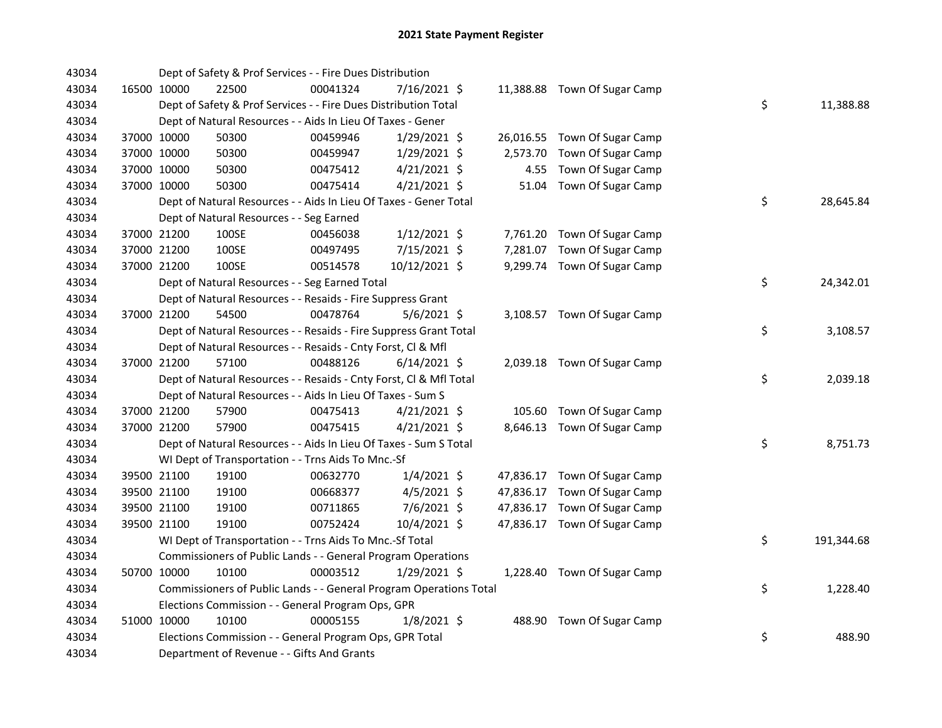| 43034 |             | Dept of Safety & Prof Services - - Fire Dues Distribution          |          |                |          |                              |    |            |
|-------|-------------|--------------------------------------------------------------------|----------|----------------|----------|------------------------------|----|------------|
| 43034 | 16500 10000 | 22500                                                              | 00041324 | 7/16/2021 \$   |          | 11,388.88 Town Of Sugar Camp |    |            |
| 43034 |             | Dept of Safety & Prof Services - - Fire Dues Distribution Total    |          |                |          |                              | \$ | 11,388.88  |
| 43034 |             | Dept of Natural Resources - - Aids In Lieu Of Taxes - Gener        |          |                |          |                              |    |            |
| 43034 | 37000 10000 | 50300                                                              | 00459946 | 1/29/2021 \$   |          | 26,016.55 Town Of Sugar Camp |    |            |
| 43034 | 37000 10000 | 50300                                                              | 00459947 | $1/29/2021$ \$ | 2,573.70 | Town Of Sugar Camp           |    |            |
| 43034 | 37000 10000 | 50300                                                              | 00475412 | $4/21/2021$ \$ |          | 4.55 Town Of Sugar Camp      |    |            |
| 43034 | 37000 10000 | 50300                                                              | 00475414 | $4/21/2021$ \$ | 51.04    | Town Of Sugar Camp           |    |            |
| 43034 |             | Dept of Natural Resources - - Aids In Lieu Of Taxes - Gener Total  |          |                |          |                              | \$ | 28,645.84  |
| 43034 |             | Dept of Natural Resources - - Seg Earned                           |          |                |          |                              |    |            |
| 43034 | 37000 21200 | 100SE                                                              | 00456038 | $1/12/2021$ \$ |          | 7,761.20 Town Of Sugar Camp  |    |            |
| 43034 | 37000 21200 | 100SE                                                              | 00497495 | 7/15/2021 \$   |          | 7,281.07 Town Of Sugar Camp  |    |            |
| 43034 | 37000 21200 | 100SE                                                              | 00514578 | 10/12/2021 \$  |          | 9,299.74 Town Of Sugar Camp  |    |            |
| 43034 |             | Dept of Natural Resources - - Seg Earned Total                     |          |                |          |                              | \$ | 24,342.01  |
| 43034 |             | Dept of Natural Resources - - Resaids - Fire Suppress Grant        |          |                |          |                              |    |            |
| 43034 | 37000 21200 | 54500                                                              | 00478764 | $5/6/2021$ \$  |          | 3,108.57 Town Of Sugar Camp  |    |            |
| 43034 |             | Dept of Natural Resources - - Resaids - Fire Suppress Grant Total  |          |                |          |                              | \$ | 3,108.57   |
| 43034 |             | Dept of Natural Resources - - Resaids - Cnty Forst, Cl & Mfl       |          |                |          |                              |    |            |
| 43034 | 37000 21200 | 57100                                                              | 00488126 | $6/14/2021$ \$ |          | 2,039.18 Town Of Sugar Camp  |    |            |
| 43034 |             | Dept of Natural Resources - - Resaids - Cnty Forst, Cl & Mfl Total |          |                |          |                              | \$ | 2,039.18   |
| 43034 |             | Dept of Natural Resources - - Aids In Lieu Of Taxes - Sum S        |          |                |          |                              |    |            |
| 43034 | 37000 21200 | 57900                                                              | 00475413 | $4/21/2021$ \$ |          | 105.60 Town Of Sugar Camp    |    |            |
| 43034 | 37000 21200 | 57900                                                              | 00475415 | $4/21/2021$ \$ |          | 8,646.13 Town Of Sugar Camp  |    |            |
| 43034 |             | Dept of Natural Resources - - Aids In Lieu Of Taxes - Sum S Total  |          |                |          |                              | \$ | 8,751.73   |
| 43034 |             | WI Dept of Transportation - - Trns Aids To Mnc.-Sf                 |          |                |          |                              |    |            |
| 43034 | 39500 21100 | 19100                                                              | 00632770 | $1/4/2021$ \$  |          | 47,836.17 Town Of Sugar Camp |    |            |
| 43034 | 39500 21100 | 19100                                                              | 00668377 | $4/5/2021$ \$  |          | 47,836.17 Town Of Sugar Camp |    |            |
| 43034 | 39500 21100 | 19100                                                              | 00711865 | $7/6/2021$ \$  |          | 47,836.17 Town Of Sugar Camp |    |            |
| 43034 | 39500 21100 | 19100                                                              | 00752424 | 10/4/2021 \$   |          | 47,836.17 Town Of Sugar Camp |    |            |
| 43034 |             | WI Dept of Transportation - - Trns Aids To Mnc.-Sf Total           |          |                |          |                              | \$ | 191,344.68 |
| 43034 |             | Commissioners of Public Lands - - General Program Operations       |          |                |          |                              |    |            |
| 43034 | 50700 10000 | 10100                                                              | 00003512 | $1/29/2021$ \$ |          | 1,228.40 Town Of Sugar Camp  |    |            |
| 43034 |             | Commissioners of Public Lands - - General Program Operations Total |          |                |          |                              | \$ | 1,228.40   |
| 43034 |             | Elections Commission - - General Program Ops, GPR                  |          |                |          |                              |    |            |
| 43034 | 51000 10000 | 10100                                                              | 00005155 | $1/8/2021$ \$  |          | 488.90 Town Of Sugar Camp    |    |            |
| 43034 |             | Elections Commission - - General Program Ops, GPR Total            |          |                |          |                              | \$ | 488.90     |
| 43034 |             | Department of Revenue - - Gifts And Grants                         |          |                |          |                              |    |            |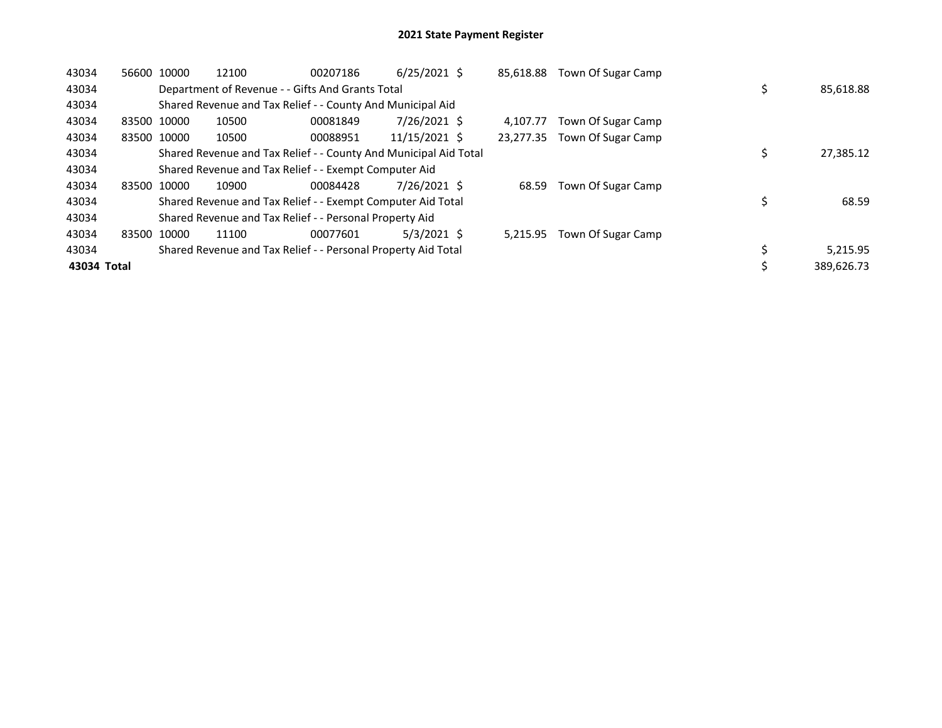| 43034       | 56600 | 10000       | 12100 | 00207186                                                         | $6/25/2021$ \$ | 85,618.88 | Town Of Sugar Camp |            |
|-------------|-------|-------------|-------|------------------------------------------------------------------|----------------|-----------|--------------------|------------|
| 43034       |       |             |       | Department of Revenue - - Gifts And Grants Total                 |                |           |                    | 85,618.88  |
| 43034       |       |             |       | Shared Revenue and Tax Relief - - County And Municipal Aid       |                |           |                    |            |
| 43034       |       | 83500 10000 | 10500 | 00081849                                                         | 7/26/2021 \$   | 4.107.77  | Town Of Sugar Camp |            |
| 43034       |       | 83500 10000 | 10500 | 00088951                                                         | 11/15/2021 \$  | 23,277.35 | Town Of Sugar Camp |            |
| 43034       |       |             |       | Shared Revenue and Tax Relief - - County And Municipal Aid Total |                |           |                    | 27,385.12  |
| 43034       |       |             |       | Shared Revenue and Tax Relief - - Exempt Computer Aid            |                |           |                    |            |
| 43034       |       | 83500 10000 | 10900 | 00084428                                                         | 7/26/2021 \$   | 68.59     | Town Of Sugar Camp |            |
| 43034       |       |             |       | Shared Revenue and Tax Relief - - Exempt Computer Aid Total      |                |           |                    | 68.59      |
| 43034       |       |             |       | Shared Revenue and Tax Relief - - Personal Property Aid          |                |           |                    |            |
| 43034       | 83500 | 10000       | 11100 | 00077601                                                         | $5/3/2021$ \$  | 5.215.95  | Town Of Sugar Camp |            |
| 43034       |       |             |       | Shared Revenue and Tax Relief - - Personal Property Aid Total    |                |           |                    | 5,215.95   |
| 43034 Total |       |             |       |                                                                  |                |           |                    | 389,626.73 |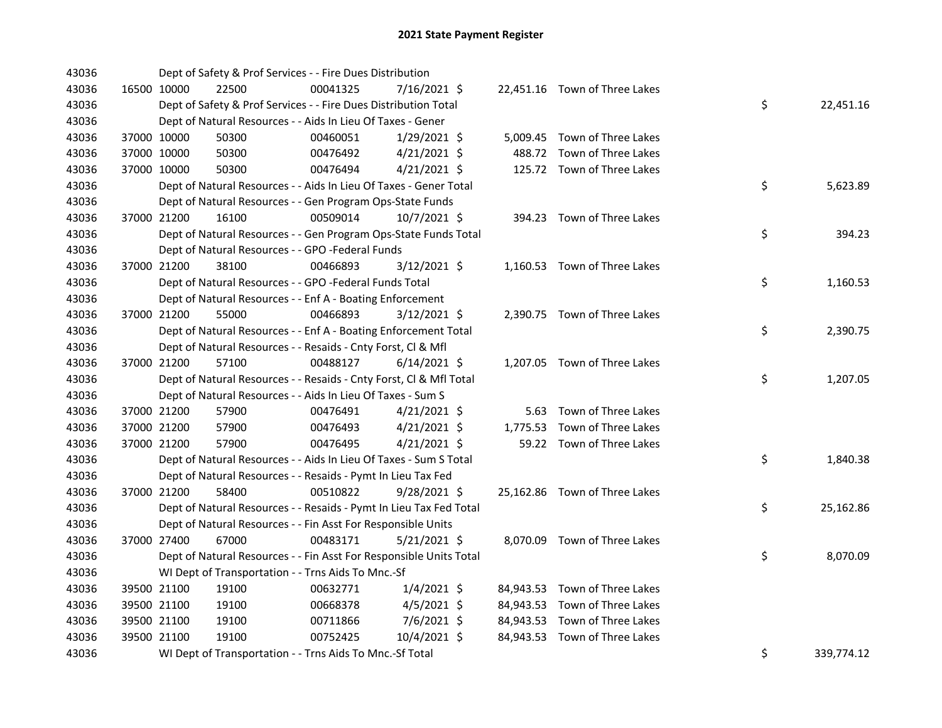| 43036 |             | Dept of Safety & Prof Services - - Fire Dues Distribution          |          |                |  |                               |    |            |
|-------|-------------|--------------------------------------------------------------------|----------|----------------|--|-------------------------------|----|------------|
| 43036 | 16500 10000 | 22500                                                              | 00041325 | 7/16/2021 \$   |  | 22,451.16 Town of Three Lakes |    |            |
| 43036 |             | Dept of Safety & Prof Services - - Fire Dues Distribution Total    |          |                |  |                               | \$ | 22,451.16  |
| 43036 |             | Dept of Natural Resources - - Aids In Lieu Of Taxes - Gener        |          |                |  |                               |    |            |
| 43036 | 37000 10000 | 50300                                                              | 00460051 | $1/29/2021$ \$ |  | 5,009.45 Town of Three Lakes  |    |            |
| 43036 | 37000 10000 | 50300                                                              | 00476492 | $4/21/2021$ \$ |  | 488.72 Town of Three Lakes    |    |            |
| 43036 | 37000 10000 | 50300                                                              | 00476494 | $4/21/2021$ \$ |  | 125.72 Town of Three Lakes    |    |            |
| 43036 |             | Dept of Natural Resources - - Aids In Lieu Of Taxes - Gener Total  |          |                |  |                               | \$ | 5,623.89   |
| 43036 |             | Dept of Natural Resources - - Gen Program Ops-State Funds          |          |                |  |                               |    |            |
| 43036 | 37000 21200 | 16100                                                              | 00509014 | 10/7/2021 \$   |  | 394.23 Town of Three Lakes    |    |            |
| 43036 |             | Dept of Natural Resources - - Gen Program Ops-State Funds Total    |          |                |  |                               | \$ | 394.23     |
| 43036 |             | Dept of Natural Resources - - GPO -Federal Funds                   |          |                |  |                               |    |            |
| 43036 | 37000 21200 | 38100                                                              | 00466893 | 3/12/2021 \$   |  | 1,160.53 Town of Three Lakes  |    |            |
| 43036 |             | Dept of Natural Resources - - GPO -Federal Funds Total             |          |                |  |                               | \$ | 1,160.53   |
| 43036 |             | Dept of Natural Resources - - Enf A - Boating Enforcement          |          |                |  |                               |    |            |
| 43036 | 37000 21200 | 55000                                                              | 00466893 | $3/12/2021$ \$ |  | 2,390.75 Town of Three Lakes  |    |            |
| 43036 |             | Dept of Natural Resources - - Enf A - Boating Enforcement Total    |          |                |  |                               | \$ | 2,390.75   |
| 43036 |             | Dept of Natural Resources - - Resaids - Cnty Forst, Cl & Mfl       |          |                |  |                               |    |            |
| 43036 | 37000 21200 | 57100                                                              | 00488127 | $6/14/2021$ \$ |  | 1,207.05 Town of Three Lakes  |    |            |
| 43036 |             | Dept of Natural Resources - - Resaids - Cnty Forst, Cl & Mfl Total |          |                |  |                               | \$ | 1,207.05   |
| 43036 |             | Dept of Natural Resources - - Aids In Lieu Of Taxes - Sum S        |          |                |  |                               |    |            |
| 43036 | 37000 21200 | 57900                                                              | 00476491 | $4/21/2021$ \$ |  | 5.63 Town of Three Lakes      |    |            |
| 43036 | 37000 21200 | 57900                                                              | 00476493 | $4/21/2021$ \$ |  | 1,775.53 Town of Three Lakes  |    |            |
| 43036 | 37000 21200 | 57900                                                              | 00476495 | $4/21/2021$ \$ |  | 59.22 Town of Three Lakes     |    |            |
| 43036 |             | Dept of Natural Resources - - Aids In Lieu Of Taxes - Sum S Total  |          |                |  |                               | \$ | 1,840.38   |
| 43036 |             | Dept of Natural Resources - - Resaids - Pymt In Lieu Tax Fed       |          |                |  |                               |    |            |
| 43036 | 37000 21200 | 58400                                                              | 00510822 | $9/28/2021$ \$ |  | 25,162.86 Town of Three Lakes |    |            |
| 43036 |             | Dept of Natural Resources - - Resaids - Pymt In Lieu Tax Fed Total |          |                |  |                               | \$ | 25,162.86  |
| 43036 |             | Dept of Natural Resources - - Fin Asst For Responsible Units       |          |                |  |                               |    |            |
| 43036 | 37000 27400 | 67000                                                              | 00483171 | $5/21/2021$ \$ |  | 8,070.09 Town of Three Lakes  |    |            |
| 43036 |             | Dept of Natural Resources - - Fin Asst For Responsible Units Total |          |                |  |                               | \$ | 8,070.09   |
| 43036 |             | WI Dept of Transportation - - Trns Aids To Mnc.-Sf                 |          |                |  |                               |    |            |
| 43036 | 39500 21100 | 19100                                                              | 00632771 | $1/4/2021$ \$  |  | 84,943.53 Town of Three Lakes |    |            |
| 43036 | 39500 21100 | 19100                                                              | 00668378 | $4/5/2021$ \$  |  | 84,943.53 Town of Three Lakes |    |            |
| 43036 | 39500 21100 | 19100                                                              | 00711866 | 7/6/2021 \$    |  | 84,943.53 Town of Three Lakes |    |            |
| 43036 | 39500 21100 | 19100                                                              | 00752425 | 10/4/2021 \$   |  | 84,943.53 Town of Three Lakes |    |            |
| 43036 |             | WI Dept of Transportation - - Trns Aids To Mnc.-Sf Total           |          |                |  |                               | \$ | 339,774.12 |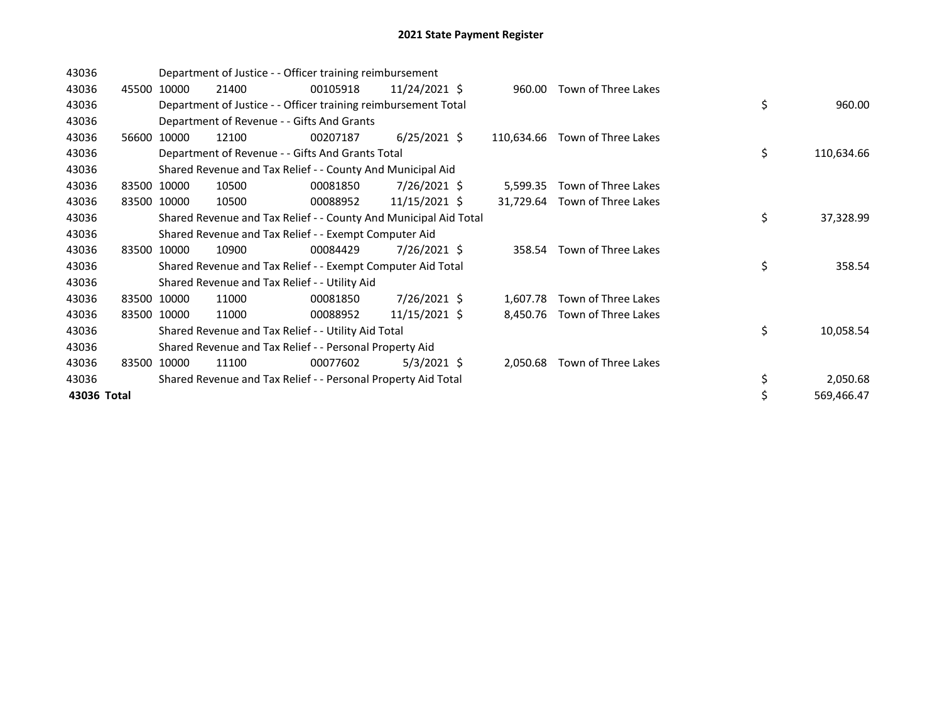| 43036       |       |             | Department of Justice - - Officer training reimbursement         |          |                 |            |                              |    |            |
|-------------|-------|-------------|------------------------------------------------------------------|----------|-----------------|------------|------------------------------|----|------------|
| 43036       |       | 45500 10000 | 21400                                                            | 00105918 | 11/24/2021 \$   | 960.00     | Town of Three Lakes          |    |            |
| 43036       |       |             | Department of Justice - - Officer training reimbursement Total   |          |                 |            |                              | \$ | 960.00     |
| 43036       |       |             | Department of Revenue - - Gifts And Grants                       |          |                 |            |                              |    |            |
| 43036       |       | 56600 10000 | 12100                                                            | 00207187 | $6/25/2021$ \$  | 110,634.66 | Town of Three Lakes          |    |            |
| 43036       |       |             | Department of Revenue - - Gifts And Grants Total                 |          |                 |            |                              | \$ | 110,634.66 |
| 43036       |       |             | Shared Revenue and Tax Relief - - County And Municipal Aid       |          |                 |            |                              |    |            |
| 43036       |       | 83500 10000 | 10500                                                            | 00081850 | 7/26/2021 \$    | 5,599.35   | Town of Three Lakes          |    |            |
| 43036       | 83500 | 10000       | 10500                                                            | 00088952 | 11/15/2021 \$   | 31,729.64  | Town of Three Lakes          |    |            |
| 43036       |       |             | Shared Revenue and Tax Relief - - County And Municipal Aid Total |          |                 |            |                              | \$ | 37,328.99  |
| 43036       |       |             | Shared Revenue and Tax Relief - - Exempt Computer Aid            |          |                 |            |                              |    |            |
| 43036       |       | 83500 10000 | 10900                                                            | 00084429 | 7/26/2021 \$    |            | 358.54 Town of Three Lakes   |    |            |
| 43036       |       |             | Shared Revenue and Tax Relief - - Exempt Computer Aid Total      |          |                 |            |                              | \$ | 358.54     |
| 43036       |       |             | Shared Revenue and Tax Relief - - Utility Aid                    |          |                 |            |                              |    |            |
| 43036       |       | 83500 10000 | 11000                                                            | 00081850 | $7/26/2021$ \$  | 1,607.78   | Town of Three Lakes          |    |            |
| 43036       |       | 83500 10000 | 11000                                                            | 00088952 | $11/15/2021$ \$ |            | 8,450.76 Town of Three Lakes |    |            |
| 43036       |       |             | Shared Revenue and Tax Relief - - Utility Aid Total              |          |                 |            |                              | \$ | 10,058.54  |
| 43036       |       |             | Shared Revenue and Tax Relief - - Personal Property Aid          |          |                 |            |                              |    |            |
| 43036       |       | 83500 10000 | 11100                                                            | 00077602 | $5/3/2021$ \$   | 2,050.68   | Town of Three Lakes          |    |            |
| 43036       |       |             | Shared Revenue and Tax Relief - - Personal Property Aid Total    |          |                 |            |                              | \$ | 2,050.68   |
| 43036 Total |       |             |                                                                  |          |                 |            |                              | \$ | 569,466.47 |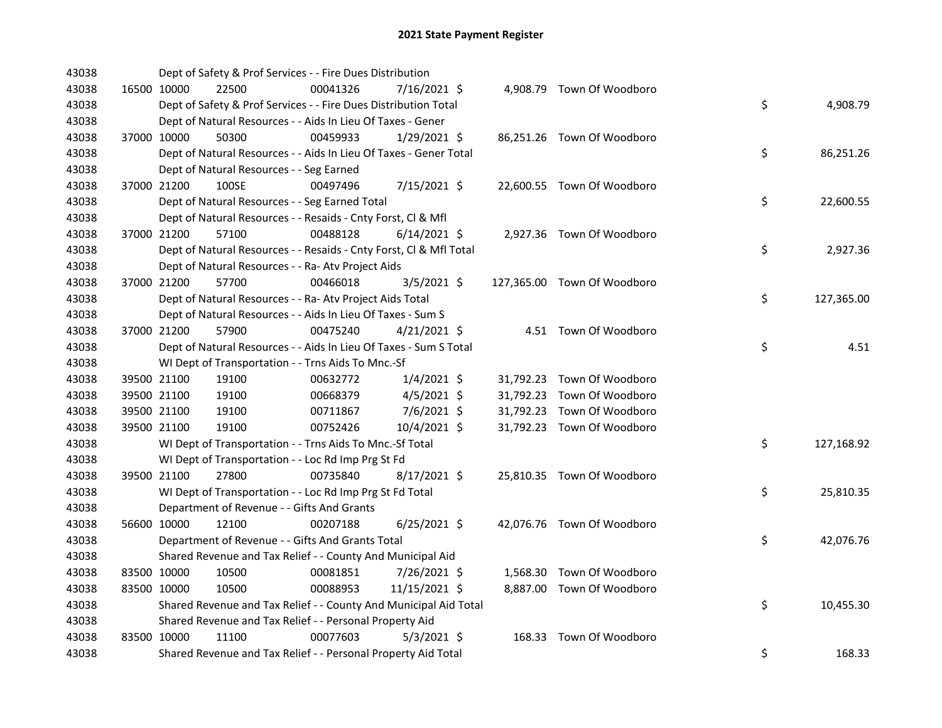| 43038 |             |             | Dept of Safety & Prof Services - - Fire Dues Distribution          |          |                |  |                             |    |            |
|-------|-------------|-------------|--------------------------------------------------------------------|----------|----------------|--|-----------------------------|----|------------|
| 43038 |             | 16500 10000 | 22500                                                              | 00041326 | 7/16/2021 \$   |  | 4,908.79 Town Of Woodboro   |    |            |
| 43038 |             |             | Dept of Safety & Prof Services - - Fire Dues Distribution Total    |          |                |  |                             | \$ | 4,908.79   |
| 43038 |             |             | Dept of Natural Resources - - Aids In Lieu Of Taxes - Gener        |          |                |  |                             |    |            |
| 43038 | 37000 10000 |             | 50300                                                              | 00459933 | $1/29/2021$ \$ |  | 86,251.26 Town Of Woodboro  |    |            |
| 43038 |             |             | Dept of Natural Resources - - Aids In Lieu Of Taxes - Gener Total  |          |                |  |                             | \$ | 86,251.26  |
| 43038 |             |             | Dept of Natural Resources - - Seg Earned                           |          |                |  |                             |    |            |
| 43038 | 37000 21200 |             | 100SE                                                              | 00497496 | 7/15/2021 \$   |  | 22,600.55 Town Of Woodboro  |    |            |
| 43038 |             |             | Dept of Natural Resources - - Seg Earned Total                     |          |                |  |                             | \$ | 22,600.55  |
| 43038 |             |             | Dept of Natural Resources - - Resaids - Cnty Forst, Cl & Mfl       |          |                |  |                             |    |            |
| 43038 |             | 37000 21200 | 57100                                                              | 00488128 | $6/14/2021$ \$ |  | 2,927.36 Town Of Woodboro   |    |            |
| 43038 |             |             | Dept of Natural Resources - - Resaids - Cnty Forst, Cl & Mfl Total |          |                |  |                             | \$ | 2,927.36   |
| 43038 |             |             | Dept of Natural Resources - - Ra- Atv Project Aids                 |          |                |  |                             |    |            |
| 43038 |             | 37000 21200 | 57700                                                              | 00466018 | $3/5/2021$ \$  |  | 127,365.00 Town Of Woodboro |    |            |
| 43038 |             |             | Dept of Natural Resources - - Ra- Atv Project Aids Total           |          |                |  |                             | \$ | 127,365.00 |
| 43038 |             |             | Dept of Natural Resources - - Aids In Lieu Of Taxes - Sum S        |          |                |  |                             |    |            |
| 43038 |             | 37000 21200 | 57900                                                              | 00475240 | $4/21/2021$ \$ |  | 4.51 Town Of Woodboro       |    |            |
| 43038 |             |             | Dept of Natural Resources - - Aids In Lieu Of Taxes - Sum S Total  |          |                |  |                             | \$ | 4.51       |
| 43038 |             |             | WI Dept of Transportation - - Trns Aids To Mnc.-Sf                 |          |                |  |                             |    |            |
| 43038 |             | 39500 21100 | 19100                                                              | 00632772 | $1/4/2021$ \$  |  | 31,792.23 Town Of Woodboro  |    |            |
| 43038 |             | 39500 21100 | 19100                                                              | 00668379 | $4/5/2021$ \$  |  | 31,792.23 Town Of Woodboro  |    |            |
| 43038 |             | 39500 21100 | 19100                                                              | 00711867 | 7/6/2021 \$    |  | 31,792.23 Town Of Woodboro  |    |            |
| 43038 |             | 39500 21100 | 19100                                                              | 00752426 | 10/4/2021 \$   |  | 31,792.23 Town Of Woodboro  |    |            |
| 43038 |             |             | WI Dept of Transportation - - Trns Aids To Mnc.-Sf Total           |          |                |  |                             | \$ | 127,168.92 |
| 43038 |             |             | WI Dept of Transportation - - Loc Rd Imp Prg St Fd                 |          |                |  |                             |    |            |
| 43038 |             | 39500 21100 | 27800                                                              | 00735840 | $8/17/2021$ \$ |  | 25,810.35 Town Of Woodboro  |    |            |
| 43038 |             |             | WI Dept of Transportation - - Loc Rd Imp Prg St Fd Total           |          |                |  |                             | \$ | 25,810.35  |
| 43038 |             |             | Department of Revenue - - Gifts And Grants                         |          |                |  |                             |    |            |
| 43038 |             | 56600 10000 | 12100                                                              | 00207188 | $6/25/2021$ \$ |  | 42,076.76 Town Of Woodboro  |    |            |
| 43038 |             |             | Department of Revenue - - Gifts And Grants Total                   |          |                |  |                             | \$ | 42,076.76  |
| 43038 |             |             | Shared Revenue and Tax Relief - - County And Municipal Aid         |          |                |  |                             |    |            |
| 43038 |             | 83500 10000 | 10500                                                              | 00081851 | 7/26/2021 \$   |  | 1,568.30 Town Of Woodboro   |    |            |
| 43038 | 83500 10000 |             | 10500                                                              | 00088953 | 11/15/2021 \$  |  | 8,887.00 Town Of Woodboro   |    |            |
| 43038 |             |             | Shared Revenue and Tax Relief - - County And Municipal Aid Total   |          |                |  |                             | \$ | 10,455.30  |
| 43038 |             |             | Shared Revenue and Tax Relief - - Personal Property Aid            |          |                |  |                             |    |            |
| 43038 | 83500 10000 |             | 11100                                                              | 00077603 | $5/3/2021$ \$  |  | 168.33 Town Of Woodboro     |    |            |
| 43038 |             |             | Shared Revenue and Tax Relief - - Personal Property Aid Total      |          |                |  |                             | \$ | 168.33     |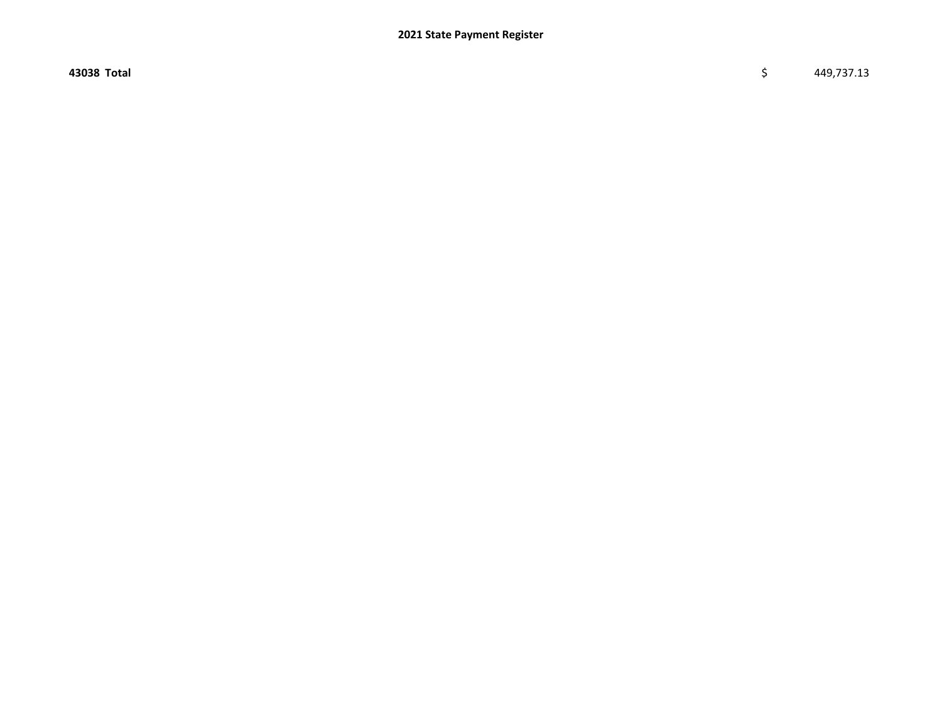43038 Total \$ 449,737.13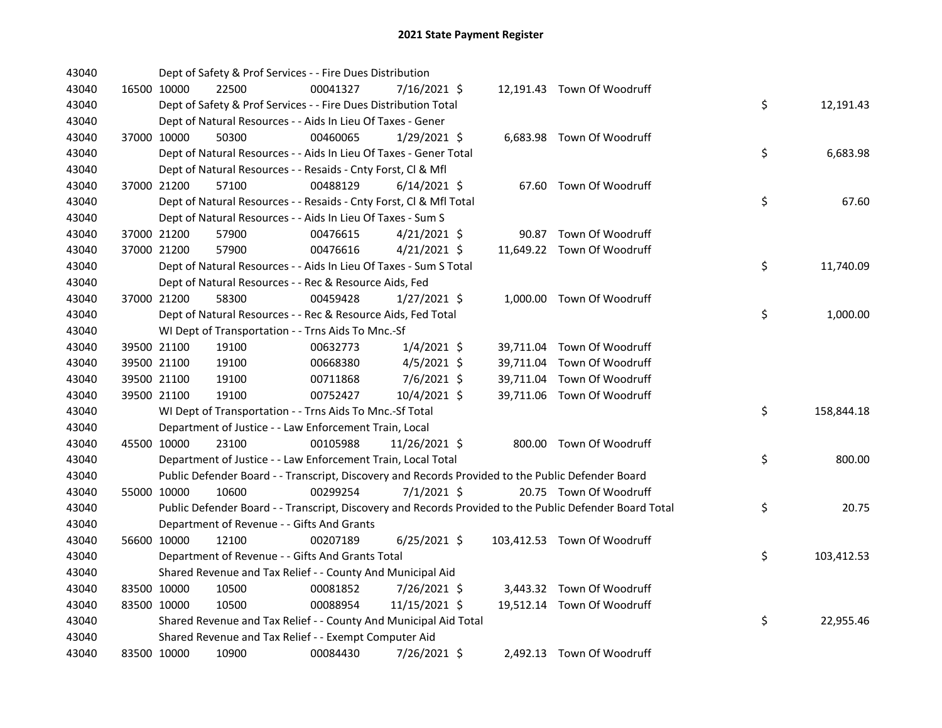| 43040 |             | Dept of Safety & Prof Services - - Fire Dues Distribution          |          |                |  |                                                                                                         |    |            |
|-------|-------------|--------------------------------------------------------------------|----------|----------------|--|---------------------------------------------------------------------------------------------------------|----|------------|
| 43040 | 16500 10000 | 22500                                                              | 00041327 | 7/16/2021 \$   |  | 12,191.43 Town Of Woodruff                                                                              |    |            |
| 43040 |             | Dept of Safety & Prof Services - - Fire Dues Distribution Total    |          |                |  |                                                                                                         | \$ | 12,191.43  |
| 43040 |             | Dept of Natural Resources - - Aids In Lieu Of Taxes - Gener        |          |                |  |                                                                                                         |    |            |
| 43040 | 37000 10000 | 50300                                                              | 00460065 | 1/29/2021 \$   |  | 6,683.98 Town Of Woodruff                                                                               |    |            |
| 43040 |             | Dept of Natural Resources - - Aids In Lieu Of Taxes - Gener Total  |          |                |  |                                                                                                         | \$ | 6,683.98   |
| 43040 |             | Dept of Natural Resources - - Resaids - Cnty Forst, Cl & Mfl       |          |                |  |                                                                                                         |    |            |
| 43040 | 37000 21200 | 57100                                                              | 00488129 | $6/14/2021$ \$ |  | 67.60 Town Of Woodruff                                                                                  |    |            |
| 43040 |             | Dept of Natural Resources - - Resaids - Cnty Forst, Cl & Mfl Total |          |                |  |                                                                                                         | \$ | 67.60      |
| 43040 |             | Dept of Natural Resources - - Aids In Lieu Of Taxes - Sum S        |          |                |  |                                                                                                         |    |            |
| 43040 | 37000 21200 | 57900                                                              | 00476615 | $4/21/2021$ \$ |  | 90.87 Town Of Woodruff                                                                                  |    |            |
| 43040 | 37000 21200 | 57900                                                              | 00476616 | $4/21/2021$ \$ |  | 11,649.22 Town Of Woodruff                                                                              |    |            |
| 43040 |             | Dept of Natural Resources - - Aids In Lieu Of Taxes - Sum S Total  |          |                |  |                                                                                                         | \$ | 11,740.09  |
| 43040 |             | Dept of Natural Resources - - Rec & Resource Aids, Fed             |          |                |  |                                                                                                         |    |            |
| 43040 | 37000 21200 | 58300                                                              | 00459428 | $1/27/2021$ \$ |  | 1,000.00 Town Of Woodruff                                                                               |    |            |
| 43040 |             | Dept of Natural Resources - - Rec & Resource Aids, Fed Total       |          |                |  |                                                                                                         | \$ | 1,000.00   |
| 43040 |             | WI Dept of Transportation - - Trns Aids To Mnc.-Sf                 |          |                |  |                                                                                                         |    |            |
| 43040 | 39500 21100 | 19100                                                              | 00632773 | $1/4/2021$ \$  |  | 39,711.04 Town Of Woodruff                                                                              |    |            |
| 43040 | 39500 21100 | 19100                                                              | 00668380 | $4/5/2021$ \$  |  | 39,711.04 Town Of Woodruff                                                                              |    |            |
| 43040 | 39500 21100 | 19100                                                              | 00711868 | 7/6/2021 \$    |  | 39,711.04 Town Of Woodruff                                                                              |    |            |
| 43040 | 39500 21100 | 19100                                                              | 00752427 | 10/4/2021 \$   |  | 39,711.06 Town Of Woodruff                                                                              |    |            |
| 43040 |             | WI Dept of Transportation - - Trns Aids To Mnc.-Sf Total           |          |                |  |                                                                                                         | \$ | 158,844.18 |
| 43040 |             | Department of Justice - - Law Enforcement Train, Local             |          |                |  |                                                                                                         |    |            |
| 43040 | 45500 10000 | 23100                                                              | 00105988 | 11/26/2021 \$  |  | 800.00 Town Of Woodruff                                                                                 |    |            |
| 43040 |             | Department of Justice - - Law Enforcement Train, Local Total       |          |                |  |                                                                                                         | \$ | 800.00     |
| 43040 |             |                                                                    |          |                |  | Public Defender Board - - Transcript, Discovery and Records Provided to the Public Defender Board       |    |            |
| 43040 | 55000 10000 | 10600                                                              | 00299254 | $7/1/2021$ \$  |  | 20.75 Town Of Woodruff                                                                                  |    |            |
| 43040 |             |                                                                    |          |                |  | Public Defender Board - - Transcript, Discovery and Records Provided to the Public Defender Board Total | \$ | 20.75      |
| 43040 |             | Department of Revenue - - Gifts And Grants                         |          |                |  |                                                                                                         |    |            |
| 43040 | 56600 10000 | 12100                                                              | 00207189 | $6/25/2021$ \$ |  | 103,412.53 Town Of Woodruff                                                                             |    |            |
| 43040 |             | Department of Revenue - - Gifts And Grants Total                   |          |                |  |                                                                                                         | \$ | 103,412.53 |
| 43040 |             | Shared Revenue and Tax Relief - - County And Municipal Aid         |          |                |  |                                                                                                         |    |            |
| 43040 | 83500 10000 | 10500                                                              | 00081852 | 7/26/2021 \$   |  | 3,443.32 Town Of Woodruff                                                                               |    |            |
| 43040 | 83500 10000 | 10500                                                              | 00088954 | 11/15/2021 \$  |  | 19,512.14 Town Of Woodruff                                                                              |    |            |
| 43040 |             | Shared Revenue and Tax Relief - - County And Municipal Aid Total   |          |                |  |                                                                                                         | \$ | 22,955.46  |
| 43040 |             | Shared Revenue and Tax Relief - - Exempt Computer Aid              |          |                |  |                                                                                                         |    |            |
| 43040 | 83500 10000 | 10900                                                              | 00084430 | 7/26/2021 \$   |  | 2,492.13 Town Of Woodruff                                                                               |    |            |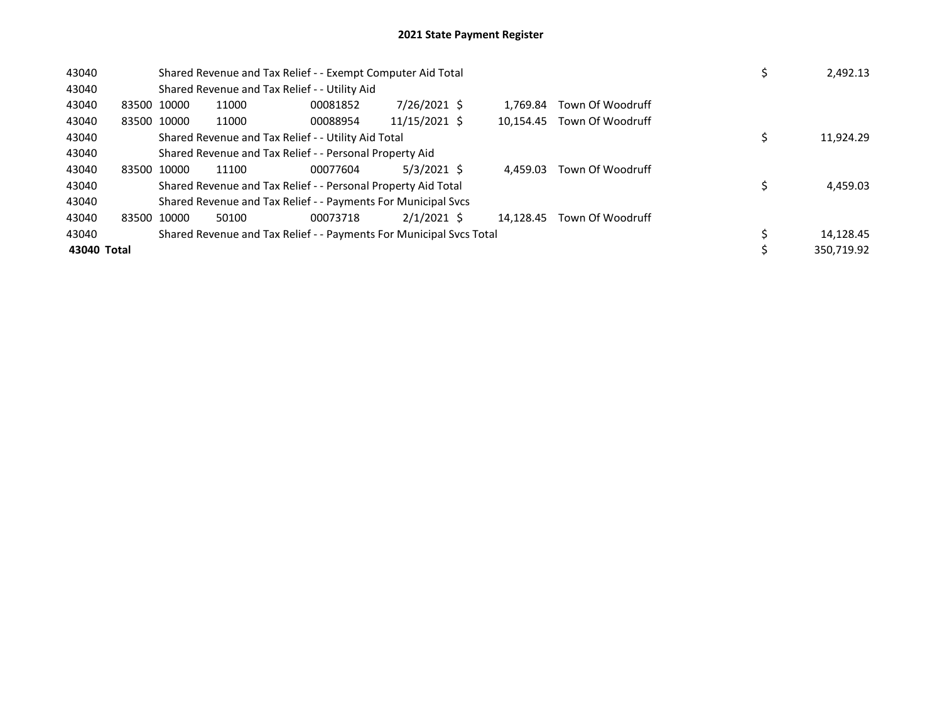| 43040       |             |       | Shared Revenue and Tax Relief - - Exempt Computer Aid Total         |               | 2,492.13  |                            |            |
|-------------|-------------|-------|---------------------------------------------------------------------|---------------|-----------|----------------------------|------------|
| 43040       |             |       | Shared Revenue and Tax Relief - - Utility Aid                       |               |           |                            |            |
| 43040       | 83500 10000 | 11000 | 00081852                                                            | 7/26/2021 \$  | 1.769.84  | Town Of Woodruff           |            |
| 43040       | 83500 10000 | 11000 | 00088954                                                            | 11/15/2021 \$ | 10.154.45 | Town Of Woodruff           |            |
| 43040       |             |       | Shared Revenue and Tax Relief - - Utility Aid Total                 |               |           |                            | 11,924.29  |
| 43040       |             |       | Shared Revenue and Tax Relief - - Personal Property Aid             |               |           |                            |            |
| 43040       | 83500 10000 | 11100 | 00077604                                                            | $5/3/2021$ \$ | 4.459.03  | Town Of Woodruff           |            |
| 43040       |             |       | Shared Revenue and Tax Relief - - Personal Property Aid Total       |               |           |                            | 4,459.03   |
| 43040       |             |       | Shared Revenue and Tax Relief - - Payments For Municipal Svcs       |               |           |                            |            |
| 43040       | 83500 10000 | 50100 | 00073718                                                            | $2/1/2021$ \$ |           | 14.128.45 Town Of Woodruff |            |
| 43040       |             |       | Shared Revenue and Tax Relief - - Payments For Municipal Svcs Total |               |           |                            | 14,128.45  |
| 43040 Total |             |       |                                                                     |               |           |                            | 350.719.92 |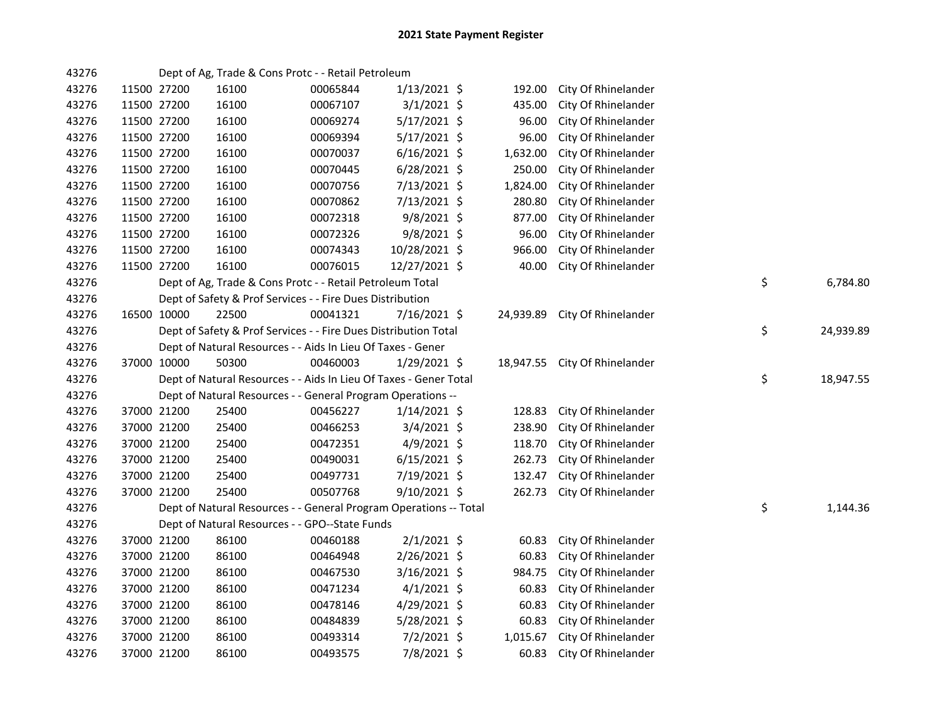| 43276 |             |       | Dept of Ag, Trade & Cons Protc - - Retail Petroleum               |                |           |                               |                 |  |
|-------|-------------|-------|-------------------------------------------------------------------|----------------|-----------|-------------------------------|-----------------|--|
| 43276 | 11500 27200 | 16100 | 00065844                                                          | $1/13/2021$ \$ | 192.00    | City Of Rhinelander           |                 |  |
| 43276 | 11500 27200 | 16100 | 00067107                                                          | $3/1/2021$ \$  | 435.00    | City Of Rhinelander           |                 |  |
| 43276 | 11500 27200 | 16100 | 00069274                                                          | $5/17/2021$ \$ | 96.00     | City Of Rhinelander           |                 |  |
| 43276 | 11500 27200 | 16100 | 00069394                                                          | $5/17/2021$ \$ | 96.00     | City Of Rhinelander           |                 |  |
| 43276 | 11500 27200 | 16100 | 00070037                                                          | $6/16/2021$ \$ | 1,632.00  | City Of Rhinelander           |                 |  |
| 43276 | 11500 27200 | 16100 | 00070445                                                          | 6/28/2021 \$   | 250.00    | City Of Rhinelander           |                 |  |
| 43276 | 11500 27200 | 16100 | 00070756                                                          | 7/13/2021 \$   | 1,824.00  | City Of Rhinelander           |                 |  |
| 43276 | 11500 27200 | 16100 | 00070862                                                          | 7/13/2021 \$   | 280.80    | City Of Rhinelander           |                 |  |
| 43276 | 11500 27200 | 16100 | 00072318                                                          | $9/8/2021$ \$  | 877.00    | City Of Rhinelander           |                 |  |
| 43276 | 11500 27200 | 16100 | 00072326                                                          | $9/8/2021$ \$  | 96.00     | City Of Rhinelander           |                 |  |
| 43276 | 11500 27200 | 16100 | 00074343                                                          | 10/28/2021 \$  | 966.00    | City Of Rhinelander           |                 |  |
| 43276 | 11500 27200 | 16100 | 00076015                                                          | 12/27/2021 \$  | 40.00     | City Of Rhinelander           |                 |  |
| 43276 |             |       | Dept of Ag, Trade & Cons Protc - - Retail Petroleum Total         |                |           |                               | \$<br>6,784.80  |  |
| 43276 |             |       | Dept of Safety & Prof Services - - Fire Dues Distribution         |                |           |                               |                 |  |
| 43276 | 16500 10000 | 22500 | 00041321                                                          | 7/16/2021 \$   | 24,939.89 | City Of Rhinelander           |                 |  |
| 43276 |             |       | Dept of Safety & Prof Services - - Fire Dues Distribution Total   |                |           |                               | \$<br>24,939.89 |  |
| 43276 |             |       | Dept of Natural Resources - - Aids In Lieu Of Taxes - Gener       |                |           |                               |                 |  |
| 43276 | 37000 10000 | 50300 | 00460003                                                          | 1/29/2021 \$   |           | 18,947.55 City Of Rhinelander |                 |  |
| 43276 |             |       | Dept of Natural Resources - - Aids In Lieu Of Taxes - Gener Total |                |           |                               | \$<br>18,947.55 |  |
| 43276 |             |       | Dept of Natural Resources - - General Program Operations --       |                |           |                               |                 |  |
| 43276 | 37000 21200 | 25400 | 00456227                                                          | $1/14/2021$ \$ | 128.83    | City Of Rhinelander           |                 |  |
| 43276 | 37000 21200 | 25400 | 00466253                                                          | $3/4/2021$ \$  | 238.90    | City Of Rhinelander           |                 |  |
| 43276 | 37000 21200 | 25400 | 00472351                                                          | $4/9/2021$ \$  | 118.70    | City Of Rhinelander           |                 |  |
| 43276 | 37000 21200 | 25400 | 00490031                                                          | $6/15/2021$ \$ | 262.73    | City Of Rhinelander           |                 |  |
| 43276 | 37000 21200 | 25400 | 00497731                                                          | 7/19/2021 \$   | 132.47    | City Of Rhinelander           |                 |  |
| 43276 | 37000 21200 | 25400 | 00507768                                                          | 9/10/2021 \$   | 262.73    | City Of Rhinelander           |                 |  |
| 43276 |             |       | Dept of Natural Resources - - General Program Operations -- Total |                |           |                               | \$<br>1,144.36  |  |
| 43276 |             |       | Dept of Natural Resources - - GPO--State Funds                    |                |           |                               |                 |  |
| 43276 | 37000 21200 | 86100 | 00460188                                                          | $2/1/2021$ \$  | 60.83     | City Of Rhinelander           |                 |  |
| 43276 | 37000 21200 | 86100 | 00464948                                                          | 2/26/2021 \$   | 60.83     | City Of Rhinelander           |                 |  |
| 43276 | 37000 21200 | 86100 | 00467530                                                          | $3/16/2021$ \$ | 984.75    | City Of Rhinelander           |                 |  |
| 43276 | 37000 21200 | 86100 | 00471234                                                          | $4/1/2021$ \$  | 60.83     | City Of Rhinelander           |                 |  |
| 43276 | 37000 21200 | 86100 | 00478146                                                          | 4/29/2021 \$   | 60.83     | City Of Rhinelander           |                 |  |
| 43276 | 37000 21200 | 86100 | 00484839                                                          | 5/28/2021 \$   | 60.83     | City Of Rhinelander           |                 |  |
| 43276 | 37000 21200 | 86100 | 00493314                                                          | $7/2/2021$ \$  | 1,015.67  | City Of Rhinelander           |                 |  |
| 43276 | 37000 21200 | 86100 | 00493575                                                          | 7/8/2021 \$    | 60.83     | City Of Rhinelander           |                 |  |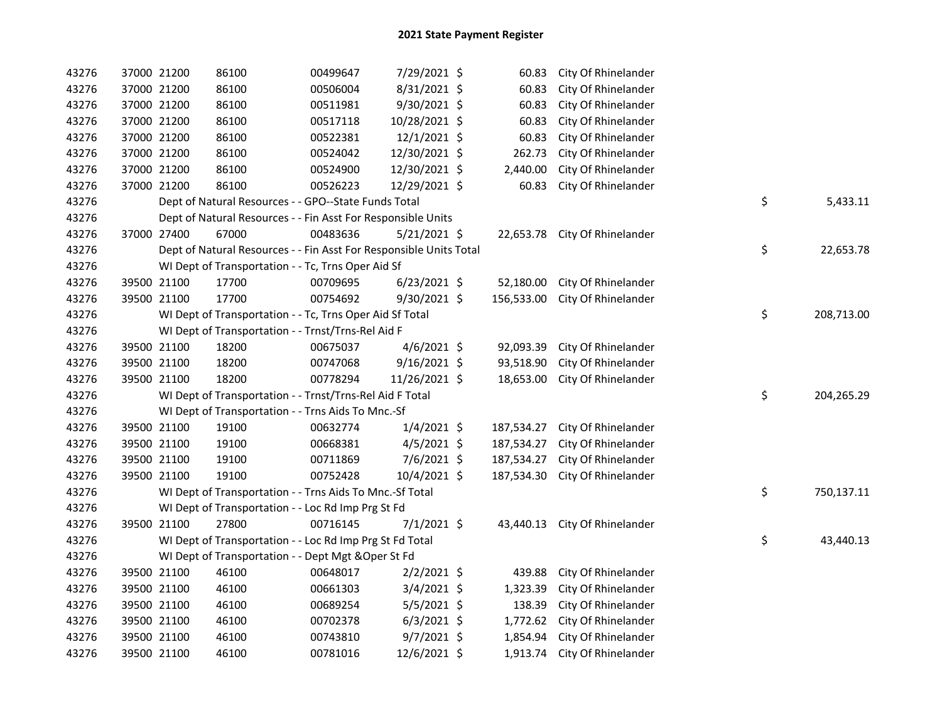| 43276 | 37000 21200 | 86100                                                              | 00499647 | 7/29/2021 \$   | 60.83      | City Of Rhinelander           |    |            |
|-------|-------------|--------------------------------------------------------------------|----------|----------------|------------|-------------------------------|----|------------|
| 43276 | 37000 21200 | 86100                                                              | 00506004 | 8/31/2021 \$   | 60.83      | City Of Rhinelander           |    |            |
| 43276 | 37000 21200 | 86100                                                              | 00511981 | 9/30/2021 \$   | 60.83      | City Of Rhinelander           |    |            |
| 43276 | 37000 21200 | 86100                                                              | 00517118 | 10/28/2021 \$  | 60.83      | City Of Rhinelander           |    |            |
| 43276 | 37000 21200 | 86100                                                              | 00522381 | 12/1/2021 \$   | 60.83      | City Of Rhinelander           |    |            |
| 43276 | 37000 21200 | 86100                                                              | 00524042 | 12/30/2021 \$  | 262.73     | City Of Rhinelander           |    |            |
| 43276 | 37000 21200 | 86100                                                              | 00524900 | 12/30/2021 \$  | 2,440.00   | City Of Rhinelander           |    |            |
| 43276 | 37000 21200 | 86100                                                              | 00526223 | 12/29/2021 \$  | 60.83      | City Of Rhinelander           |    |            |
| 43276 |             | Dept of Natural Resources - - GPO--State Funds Total               |          |                |            |                               | \$ | 5,433.11   |
| 43276 |             | Dept of Natural Resources - - Fin Asst For Responsible Units       |          |                |            |                               |    |            |
| 43276 | 37000 27400 | 67000                                                              | 00483636 | $5/21/2021$ \$ |            | 22,653.78 City Of Rhinelander |    |            |
| 43276 |             | Dept of Natural Resources - - Fin Asst For Responsible Units Total |          |                |            |                               | \$ | 22,653.78  |
| 43276 |             | WI Dept of Transportation - - Tc, Trns Oper Aid Sf                 |          |                |            |                               |    |            |
| 43276 | 39500 21100 | 17700                                                              | 00709695 | $6/23/2021$ \$ | 52,180.00  | City Of Rhinelander           |    |            |
| 43276 | 39500 21100 | 17700                                                              | 00754692 | $9/30/2021$ \$ | 156,533.00 | City Of Rhinelander           |    |            |
| 43276 |             | WI Dept of Transportation - - Tc, Trns Oper Aid Sf Total           |          |                |            |                               | \$ | 208,713.00 |
| 43276 |             | WI Dept of Transportation - - Trnst/Trns-Rel Aid F                 |          |                |            |                               |    |            |
| 43276 | 39500 21100 | 18200                                                              | 00675037 | $4/6/2021$ \$  | 92,093.39  | City Of Rhinelander           |    |            |
| 43276 | 39500 21100 | 18200                                                              | 00747068 | 9/16/2021 \$   | 93,518.90  | City Of Rhinelander           |    |            |
| 43276 | 39500 21100 | 18200                                                              | 00778294 | 11/26/2021 \$  | 18,653.00  | City Of Rhinelander           |    |            |
| 43276 |             | WI Dept of Transportation - - Trnst/Trns-Rel Aid F Total           |          |                |            |                               | \$ | 204,265.29 |
| 43276 |             | WI Dept of Transportation - - Trns Aids To Mnc.-Sf                 |          |                |            |                               |    |            |
| 43276 | 39500 21100 | 19100                                                              | 00632774 | $1/4/2021$ \$  | 187,534.27 | City Of Rhinelander           |    |            |
| 43276 | 39500 21100 | 19100                                                              | 00668381 | $4/5/2021$ \$  | 187,534.27 | City Of Rhinelander           |    |            |
| 43276 | 39500 21100 | 19100                                                              | 00711869 | $7/6/2021$ \$  | 187,534.27 | City Of Rhinelander           |    |            |
| 43276 | 39500 21100 | 19100                                                              | 00752428 | 10/4/2021 \$   | 187,534.30 | City Of Rhinelander           |    |            |
| 43276 |             | WI Dept of Transportation - - Trns Aids To Mnc.-Sf Total           |          |                |            |                               | \$ | 750,137.11 |
| 43276 |             | WI Dept of Transportation - - Loc Rd Imp Prg St Fd                 |          |                |            |                               |    |            |
| 43276 | 39500 21100 | 27800                                                              | 00716145 | $7/1/2021$ \$  | 43,440.13  | City Of Rhinelander           |    |            |
| 43276 |             | WI Dept of Transportation - - Loc Rd Imp Prg St Fd Total           |          |                |            |                               | \$ | 43,440.13  |
| 43276 |             | WI Dept of Transportation - - Dept Mgt & Oper St Fd                |          |                |            |                               |    |            |
| 43276 | 39500 21100 | 46100                                                              | 00648017 | $2/2/2021$ \$  | 439.88     | City Of Rhinelander           |    |            |
| 43276 | 39500 21100 | 46100                                                              | 00661303 | $3/4/2021$ \$  | 1,323.39   | City Of Rhinelander           |    |            |
| 43276 | 39500 21100 | 46100                                                              | 00689254 | $5/5/2021$ \$  | 138.39     | City Of Rhinelander           |    |            |
| 43276 | 39500 21100 | 46100                                                              | 00702378 | $6/3/2021$ \$  | 1,772.62   | City Of Rhinelander           |    |            |
| 43276 | 39500 21100 | 46100                                                              | 00743810 | $9/7/2021$ \$  | 1,854.94   | City Of Rhinelander           |    |            |
| 43276 | 39500 21100 | 46100                                                              | 00781016 | 12/6/2021 \$   | 1,913.74   | City Of Rhinelander           |    |            |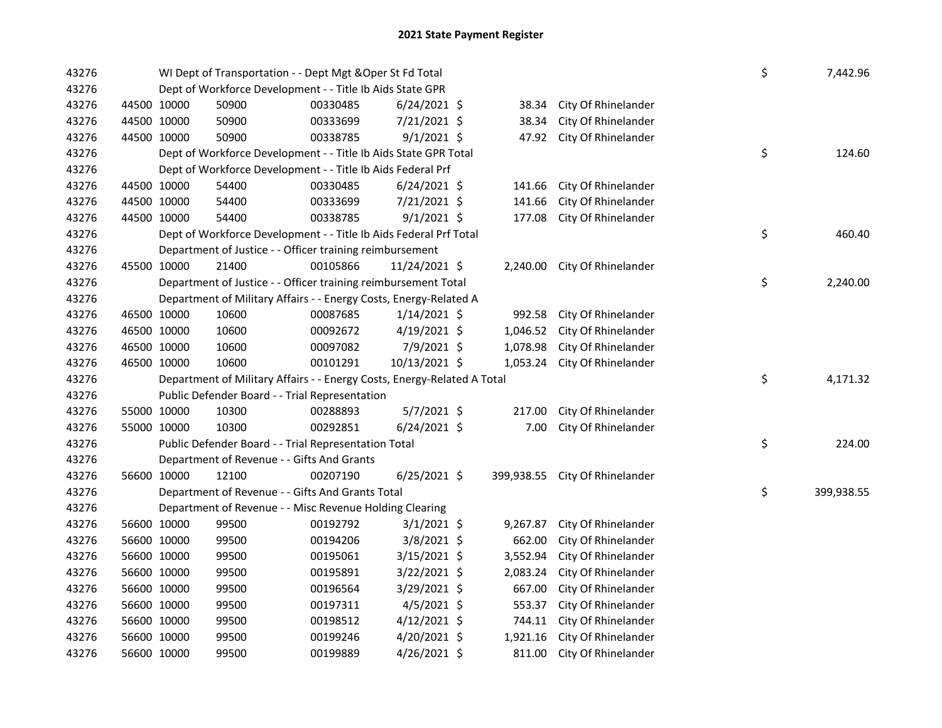| 43276 |                                                                         | WI Dept of Transportation - - Dept Mgt & Oper St Fd Total         |          |                |  |          |                                | \$ | 7,442.96       |
|-------|-------------------------------------------------------------------------|-------------------------------------------------------------------|----------|----------------|--|----------|--------------------------------|----|----------------|
| 43276 | Dept of Workforce Development - - Title Ib Aids State GPR               |                                                                   |          |                |  |          |                                |    |                |
| 43276 | 44500 10000                                                             | 50900                                                             | 00330485 | $6/24/2021$ \$ |  | 38.34    | City Of Rhinelander            |    |                |
| 43276 | 44500 10000                                                             | 50900                                                             | 00333699 | 7/21/2021 \$   |  | 38.34    | City Of Rhinelander            |    |                |
| 43276 | 44500 10000                                                             | 50900                                                             | 00338785 | $9/1/2021$ \$  |  | 47.92    | City Of Rhinelander            |    |                |
| 43276 |                                                                         | Dept of Workforce Development - - Title Ib Aids State GPR Total   |          |                |  |          |                                | \$ | 124.60         |
| 43276 |                                                                         | Dept of Workforce Development - - Title Ib Aids Federal Prf       |          |                |  |          |                                |    |                |
| 43276 | 44500 10000                                                             | 54400                                                             | 00330485 | $6/24/2021$ \$ |  | 141.66   | City Of Rhinelander            |    |                |
| 43276 | 44500 10000                                                             | 54400                                                             | 00333699 | 7/21/2021 \$   |  | 141.66   | City Of Rhinelander            |    |                |
| 43276 | 44500 10000                                                             | 54400                                                             | 00338785 | $9/1/2021$ \$  |  | 177.08   | City Of Rhinelander            |    |                |
| 43276 |                                                                         | Dept of Workforce Development - - Title Ib Aids Federal Prf Total |          |                |  |          |                                | \$ | 460.40         |
| 43276 |                                                                         | Department of Justice - - Officer training reimbursement          |          |                |  |          |                                |    |                |
| 43276 | 45500 10000                                                             | 21400                                                             | 00105866 | 11/24/2021 \$  |  | 2,240.00 | City Of Rhinelander            |    |                |
| 43276 |                                                                         | Department of Justice - - Officer training reimbursement Total    |          |                |  |          |                                | \$ | 2,240.00       |
| 43276 |                                                                         | Department of Military Affairs - - Energy Costs, Energy-Related A |          |                |  |          |                                |    |                |
| 43276 | 46500 10000                                                             | 10600                                                             | 00087685 | $1/14/2021$ \$ |  | 992.58   | City Of Rhinelander            |    |                |
| 43276 | 46500 10000                                                             | 10600                                                             | 00092672 | 4/19/2021 \$   |  | 1,046.52 | City Of Rhinelander            |    |                |
| 43276 | 46500 10000                                                             | 10600                                                             | 00097082 | 7/9/2021 \$    |  | 1,078.98 | City Of Rhinelander            |    |                |
| 43276 | 46500 10000                                                             | 10600                                                             | 00101291 | 10/13/2021 \$  |  | 1,053.24 | City Of Rhinelander            |    |                |
| 43276 | Department of Military Affairs - - Energy Costs, Energy-Related A Total |                                                                   |          |                |  |          |                                |    | \$<br>4,171.32 |
| 43276 |                                                                         | Public Defender Board - - Trial Representation                    |          |                |  |          |                                |    |                |
| 43276 | 55000 10000                                                             | 10300                                                             | 00288893 | 5/7/2021 \$    |  | 217.00   | City Of Rhinelander            |    |                |
| 43276 | 55000 10000                                                             | 10300                                                             | 00292851 | $6/24/2021$ \$ |  | 7.00     | City Of Rhinelander            |    |                |
| 43276 | Public Defender Board - - Trial Representation Total                    |                                                                   |          |                |  |          |                                | \$ | 224.00         |
| 43276 |                                                                         | Department of Revenue - - Gifts And Grants                        |          |                |  |          |                                |    |                |
| 43276 | 56600 10000                                                             | 12100                                                             | 00207190 | $6/25/2021$ \$ |  |          | 399,938.55 City Of Rhinelander |    |                |
| 43276 |                                                                         | Department of Revenue - - Gifts And Grants Total                  |          |                |  |          |                                | \$ | 399,938.55     |
| 43276 |                                                                         | Department of Revenue - - Misc Revenue Holding Clearing           |          |                |  |          |                                |    |                |
| 43276 | 56600 10000                                                             | 99500                                                             | 00192792 | $3/1/2021$ \$  |  | 9,267.87 | City Of Rhinelander            |    |                |
| 43276 | 56600 10000                                                             | 99500                                                             | 00194206 | $3/8/2021$ \$  |  | 662.00   | City Of Rhinelander            |    |                |
| 43276 | 56600 10000                                                             | 99500                                                             | 00195061 | $3/15/2021$ \$ |  | 3,552.94 | City Of Rhinelander            |    |                |
| 43276 | 56600 10000                                                             | 99500                                                             | 00195891 | 3/22/2021 \$   |  | 2,083.24 | City Of Rhinelander            |    |                |
| 43276 | 56600 10000                                                             | 99500                                                             | 00196564 | 3/29/2021 \$   |  | 667.00   | City Of Rhinelander            |    |                |
| 43276 | 56600 10000                                                             | 99500                                                             | 00197311 | $4/5/2021$ \$  |  | 553.37   | City Of Rhinelander            |    |                |
| 43276 | 56600 10000                                                             | 99500                                                             | 00198512 | $4/12/2021$ \$ |  | 744.11   | City Of Rhinelander            |    |                |
| 43276 | 56600 10000                                                             | 99500                                                             | 00199246 | $4/20/2021$ \$ |  | 1,921.16 | City Of Rhinelander            |    |                |
| 43276 | 56600 10000                                                             | 99500                                                             | 00199889 | 4/26/2021 \$   |  | 811.00   | City Of Rhinelander            |    |                |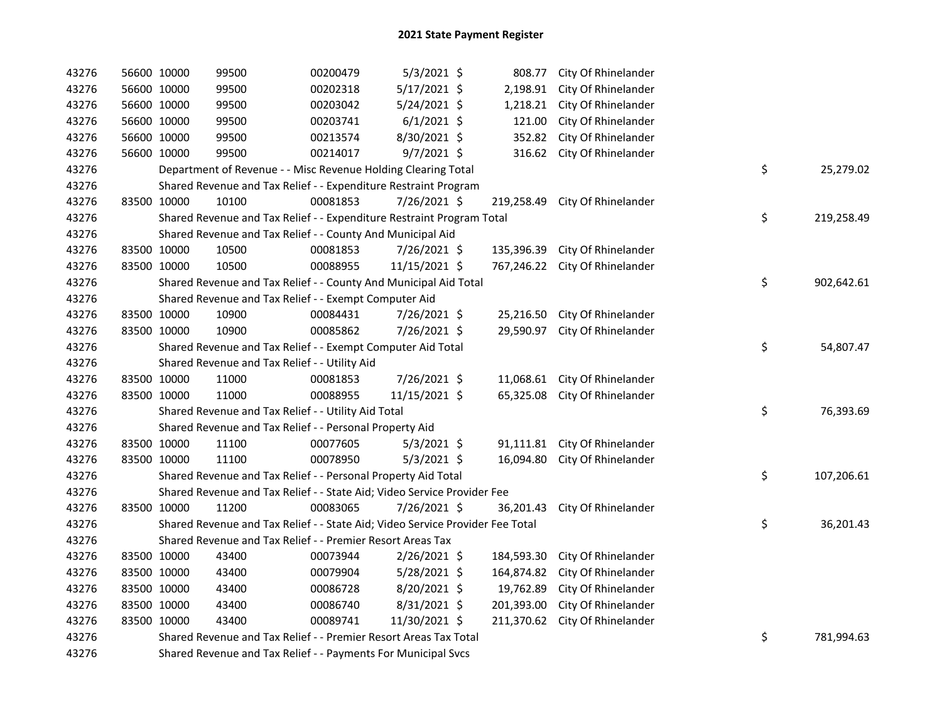| 43276 | 56600 10000 | 99500                                                                         | 00200479 | 5/3/2021 \$    | 808.77     | City Of Rhinelander |    |            |
|-------|-------------|-------------------------------------------------------------------------------|----------|----------------|------------|---------------------|----|------------|
| 43276 | 56600 10000 | 99500                                                                         | 00202318 | 5/17/2021 \$   | 2,198.91   | City Of Rhinelander |    |            |
| 43276 | 56600 10000 | 99500                                                                         | 00203042 | $5/24/2021$ \$ | 1,218.21   | City Of Rhinelander |    |            |
| 43276 | 56600 10000 | 99500                                                                         | 00203741 | $6/1/2021$ \$  | 121.00     | City Of Rhinelander |    |            |
| 43276 | 56600 10000 | 99500                                                                         | 00213574 | 8/30/2021 \$   | 352.82     | City Of Rhinelander |    |            |
| 43276 | 56600 10000 | 99500                                                                         | 00214017 | $9/7/2021$ \$  | 316.62     | City Of Rhinelander |    |            |
| 43276 |             | Department of Revenue - - Misc Revenue Holding Clearing Total                 |          |                |            |                     | \$ | 25,279.02  |
| 43276 |             | Shared Revenue and Tax Relief - - Expenditure Restraint Program               |          |                |            |                     |    |            |
| 43276 | 83500 10000 | 10100                                                                         | 00081853 | 7/26/2021 \$   | 219,258.49 | City Of Rhinelander |    |            |
| 43276 |             | Shared Revenue and Tax Relief - - Expenditure Restraint Program Total         |          |                |            |                     | \$ | 219,258.49 |
| 43276 |             | Shared Revenue and Tax Relief - - County And Municipal Aid                    |          |                |            |                     |    |            |
| 43276 | 83500 10000 | 10500                                                                         | 00081853 | $7/26/2021$ \$ | 135,396.39 | City Of Rhinelander |    |            |
| 43276 | 83500 10000 | 10500                                                                         | 00088955 | 11/15/2021 \$  | 767,246.22 | City Of Rhinelander |    |            |
| 43276 |             | Shared Revenue and Tax Relief - - County And Municipal Aid Total              |          |                |            |                     | \$ | 902,642.61 |
| 43276 |             | Shared Revenue and Tax Relief - - Exempt Computer Aid                         |          |                |            |                     |    |            |
| 43276 | 83500 10000 | 10900                                                                         | 00084431 | 7/26/2021 \$   | 25,216.50  | City Of Rhinelander |    |            |
| 43276 | 83500 10000 | 10900                                                                         | 00085862 | 7/26/2021 \$   | 29,590.97  | City Of Rhinelander |    |            |
| 43276 |             | Shared Revenue and Tax Relief - - Exempt Computer Aid Total                   |          |                |            |                     | \$ | 54,807.47  |
| 43276 |             | Shared Revenue and Tax Relief - - Utility Aid                                 |          |                |            |                     |    |            |
| 43276 | 83500 10000 | 11000                                                                         | 00081853 | 7/26/2021 \$   | 11,068.61  | City Of Rhinelander |    |            |
| 43276 | 83500 10000 | 11000                                                                         | 00088955 | 11/15/2021 \$  | 65,325.08  | City Of Rhinelander |    |            |
| 43276 |             | Shared Revenue and Tax Relief - - Utility Aid Total                           |          |                |            |                     | \$ | 76,393.69  |
| 43276 |             | Shared Revenue and Tax Relief - - Personal Property Aid                       |          |                |            |                     |    |            |
| 43276 | 83500 10000 | 11100                                                                         | 00077605 | $5/3/2021$ \$  | 91,111.81  | City Of Rhinelander |    |            |
| 43276 | 83500 10000 | 11100                                                                         | 00078950 | $5/3/2021$ \$  | 16,094.80  | City Of Rhinelander |    |            |
| 43276 |             | Shared Revenue and Tax Relief - - Personal Property Aid Total                 |          |                |            |                     | \$ | 107,206.61 |
| 43276 |             | Shared Revenue and Tax Relief - - State Aid; Video Service Provider Fee       |          |                |            |                     |    |            |
| 43276 | 83500 10000 | 11200                                                                         | 00083065 | $7/26/2021$ \$ | 36,201.43  | City Of Rhinelander |    |            |
| 43276 |             | Shared Revenue and Tax Relief - - State Aid; Video Service Provider Fee Total |          |                |            |                     | \$ | 36,201.43  |
| 43276 |             | Shared Revenue and Tax Relief - - Premier Resort Areas Tax                    |          |                |            |                     |    |            |
| 43276 | 83500 10000 | 43400                                                                         | 00073944 | $2/26/2021$ \$ | 184,593.30 | City Of Rhinelander |    |            |
| 43276 | 83500 10000 | 43400                                                                         | 00079904 | $5/28/2021$ \$ | 164,874.82 | City Of Rhinelander |    |            |
| 43276 | 83500 10000 | 43400                                                                         | 00086728 | $8/20/2021$ \$ | 19,762.89  | City Of Rhinelander |    |            |
| 43276 | 83500 10000 | 43400                                                                         | 00086740 | 8/31/2021 \$   | 201,393.00 | City Of Rhinelander |    |            |
| 43276 | 83500 10000 | 43400                                                                         | 00089741 | 11/30/2021 \$  | 211,370.62 | City Of Rhinelander |    |            |
| 43276 |             | Shared Revenue and Tax Relief - - Premier Resort Areas Tax Total              |          |                |            |                     | \$ | 781,994.63 |
| 43276 |             | Shared Revenue and Tax Relief - - Payments For Municipal Svcs                 |          |                |            |                     |    |            |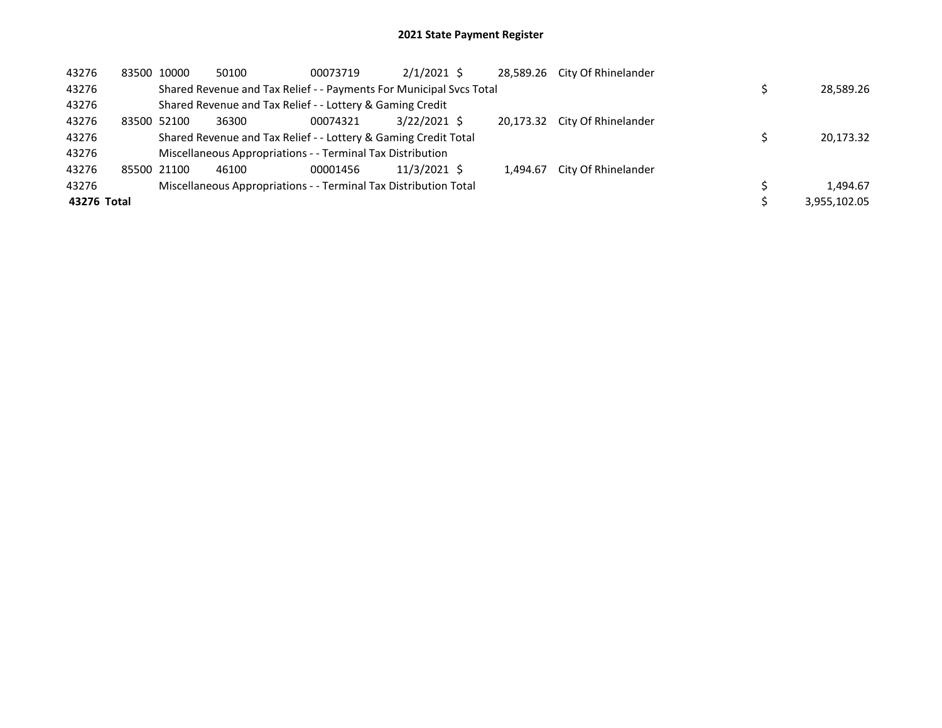| 43276       | 83500 10000 | 50100                                                               | 00073719 | $2/1/2021$ \$ |  |           | 28,589.26 City Of Rhinelander |  |              |
|-------------|-------------|---------------------------------------------------------------------|----------|---------------|--|-----------|-------------------------------|--|--------------|
| 43276       |             | Shared Revenue and Tax Relief - - Payments For Municipal Svcs Total |          |               |  |           |                               |  |              |
| 43276       |             | Shared Revenue and Tax Relief - - Lottery & Gaming Credit           |          |               |  |           |                               |  |              |
| 43276       | 83500 52100 | 36300                                                               | 00074321 | 3/22/2021 \$  |  | 20.173.32 | City Of Rhinelander           |  |              |
| 43276       |             | Shared Revenue and Tax Relief - - Lottery & Gaming Credit Total     |          |               |  |           |                               |  | 20,173.32    |
| 43276       |             | Miscellaneous Appropriations - - Terminal Tax Distribution          |          |               |  |           |                               |  |              |
| 43276       | 85500 21100 | 46100                                                               | 00001456 | 11/3/2021 \$  |  | 1.494.67  | City Of Rhinelander           |  |              |
| 43276       |             | Miscellaneous Appropriations - - Terminal Tax Distribution Total    |          |               |  |           |                               |  |              |
| 43276 Total |             |                                                                     |          |               |  |           |                               |  | 3,955,102.05 |